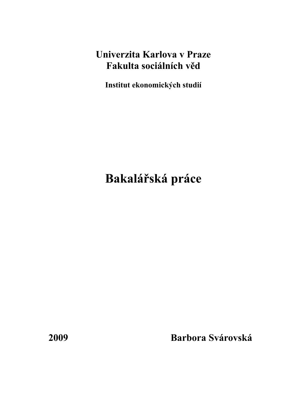# **Univerzita Karlova v Praze Fakulta sociálních věd**

**Institut ekonomických studií**

# **Bakalářská práce**

**2009 Barbora Svárovská**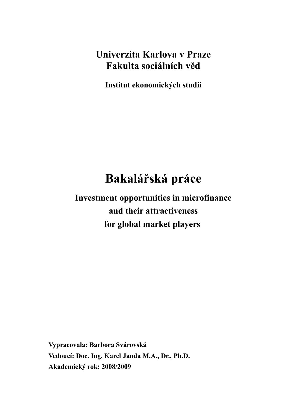# **Univerzita Karlova v Praze Fakulta sociálních věd**

**Institut ekonomických studií**

# **Bakalářská práce**

**Investment opportunities in microfinance and their attractiveness for global market players** 

**Vypracovala: Barbora Svárovská Vedoucí: Doc. Ing. Karel Janda M.A., Dr., Ph.D. Akademický rok: 2008/2009**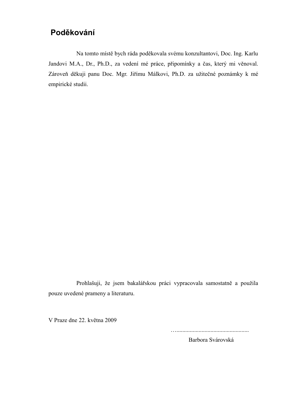# **Poděkování**

Na tomto místě bych ráda poděkovala svému konzultantovi, Doc. Ing. Karlu Jandovi M.A., Dr., Ph.D., za vedení mé práce, připomínky a čas, který mi věnoval. Zároveň děkuji panu Doc. Mgr. Jiřímu Málkovi, Ph.D. za užitečné poznámky k mé empirické studii.

Prohlašuji, že jsem bakalářskou práci vypracovala samostatně a použila pouze uvedené prameny a literaturu.

V Praze dne 22. května 2009

….................................................

Barbora Svárovská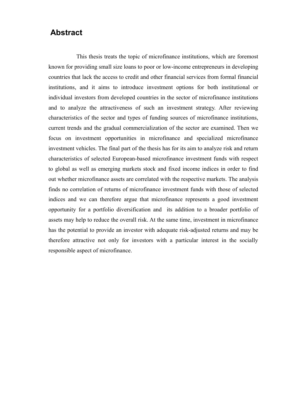# **Abstract**

This thesis treats the topic of microfinance institutions, which are foremost known for providing small size loans to poor or low-income entrepreneurs in developing countries that lack the access to credit and other financial services from formal financial institutions, and it aims to introduce investment options for both institutional or individual investors from developed countries in the sector of microfinance institutions and to analyze the attractiveness of such an investment strategy. After reviewing characteristics of the sector and types of funding sources of microfinance institutions, current trends and the gradual commercialization of the sector are examined. Then we focus on investment opportunities in microfinance and specialized microfinance investment vehicles. The final part of the thesis has for its aim to analyze risk and return characteristics of selected European-based microfinance investment funds with respect to global as well as emerging markets stock and fixed income indices in order to find out whether microfinance assets are correlated with the respective markets. The analysis finds no correlation of returns of microfinance investment funds with those of selected indices and we can therefore argue that microfinance represents a good investment opportunity for a portfolio diversification and its addition to a broader portfolio of assets may help to reduce the overall risk. At the same time, investment in microfinance has the potential to provide an investor with adequate risk-adjusted returns and may be therefore attractive not only for investors with a particular interest in the socially responsible aspect of microfinance.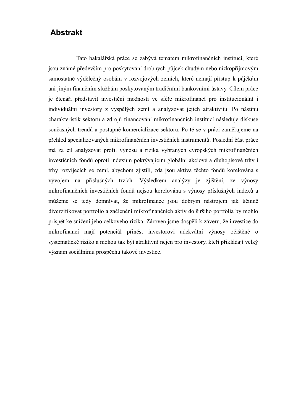# **Abstrakt**

Tato bakalářská práce se zabývá tématem mikrofinančních institucí, které jsou známé především pro poskytování drobných půjček chudým nebo nízkopříjmovým samostatně výdělečný osobám v rozvojových zemích, které nemají přístup k půjčkám ani jiným finančním službám poskytovaným tradičními bankovními ústavy. Cílem práce je čtenáři představit investiční možnosti ve sféře mikrofinancí pro institucionální i individuální investory z vyspělých zemí a analyzovat jejich atraktivitu. Po nástinu charakteristik sektoru a zdrojů financování mikrofinančních institucí následuje diskuse současných trendů a postupné komercializace sektoru. Po té se v práci zaměřujeme na přehled specializovaných mikrofinančních investičních instrumentů. Poslední část práce má za cíl analyzovat profil výnosu a rizika vybraných evropských mikrofinančních investičních fondů oproti indexům pokrývajícím globální akciové a dluhopisové trhy i trhy rozvíjecích se zemí, abychom zjistili, zda jsou aktiva těchto fondů korelována s vývojem na příslušných trzích. Výsledkem analýzy je zjištění, že výnosy mikrofinančních investičních fondů nejsou korelována s výnosy příslušných indexů a můžeme se tedy domnívat, že mikrofinance jsou dobrým nástrojem jak účinně diverzifikovat portfolio a začlenění mikrofinančních aktiv do širšího portfolia by mohlo přispět ke snížení jeho celkového rizika. Zároveň jsme dospěli k závěru, že investice do mikrofinancí mají potenciál přinést investorovi adekvátní výnosy očištěné o systematické riziko a mohou tak být atraktivní nejen pro investory, kteří přikládají velký význam sociálnímu prospěchu takové investice.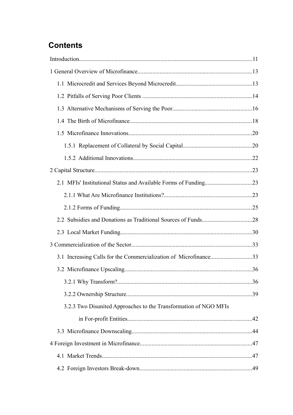# **Contents**

| 3.2.3 Two Disunited Approaches to the Transformation of NGO MFIs |  |
|------------------------------------------------------------------|--|
|                                                                  |  |
|                                                                  |  |
|                                                                  |  |
|                                                                  |  |
|                                                                  |  |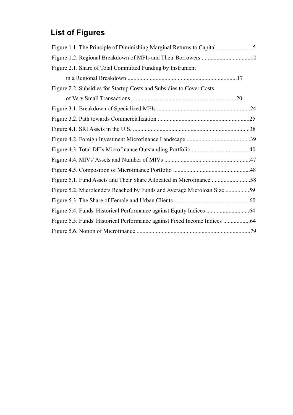# **List of Figures**

| Figure 1.2. Regional Breakdown of MFIs and Their Borrowers 10           |  |
|-------------------------------------------------------------------------|--|
| Figure 2.1. Share of Total Committed Funding by Instrument              |  |
|                                                                         |  |
| Figure 2.2. Subsidies for Startup Costs and Subsidies to Cover Costs    |  |
|                                                                         |  |
|                                                                         |  |
|                                                                         |  |
|                                                                         |  |
|                                                                         |  |
|                                                                         |  |
|                                                                         |  |
|                                                                         |  |
|                                                                         |  |
| Figure 5.2. Microlenders Reached by Funds and Average Microloan Size 59 |  |
|                                                                         |  |
|                                                                         |  |
|                                                                         |  |
|                                                                         |  |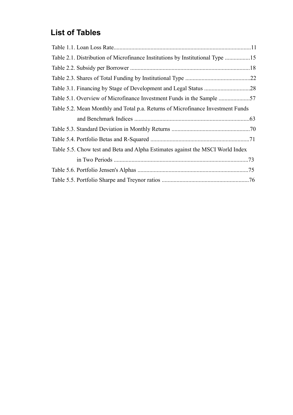# **List of Tables**

| Table 2.1. Distribution of Microfinance Institutions by Institutional Type 15   |  |
|---------------------------------------------------------------------------------|--|
|                                                                                 |  |
|                                                                                 |  |
|                                                                                 |  |
| Table 5.1. Overview of Microfinance Investment Funds in the Sample 57           |  |
| Table 5.2. Mean Monthly and Total p.a. Returns of Microfinance Investment Funds |  |
|                                                                                 |  |
|                                                                                 |  |
|                                                                                 |  |
| Table 5.5. Chow test and Beta and Alpha Estimates against the MSCI World Index  |  |
|                                                                                 |  |
|                                                                                 |  |
|                                                                                 |  |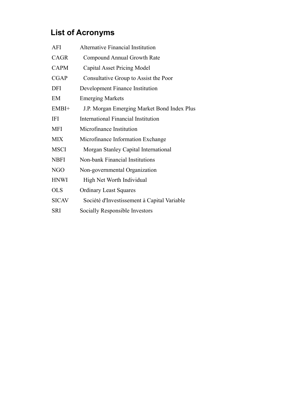# **List of Acronyms**

| AFI          | <b>Alternative Financial Institution</b>    |
|--------------|---------------------------------------------|
| CAGR         | <b>Compound Annual Growth Rate</b>          |
| <b>CAPM</b>  | Capital Asset Pricing Model                 |
| <b>CGAP</b>  | Consultative Group to Assist the Poor       |
| <b>DFI</b>   | Development Finance Institution             |
| EM           | <b>Emerging Markets</b>                     |
| $EMBI+$      | J.P. Morgan Emerging Market Bond Index Plus |
| IFI          | <b>International Financial Institution</b>  |
| <b>MFI</b>   | Microfinance Institution                    |
| <b>MIX</b>   | Microfinance Information Exchange           |
| <b>MSCI</b>  | Morgan Stanley Capital International        |
| <b>NBFI</b>  | Non-bank Financial Institutions             |
| NGO          | Non-governmental Organization               |
| <b>HNWI</b>  | High Net Worth Individual                   |
| <b>OLS</b>   | <b>Ordinary Least Squares</b>               |
| <b>SICAV</b> | Société d'Investissement à Capital Variable |
| <b>SRI</b>   | Socially Responsible Investors              |
|              |                                             |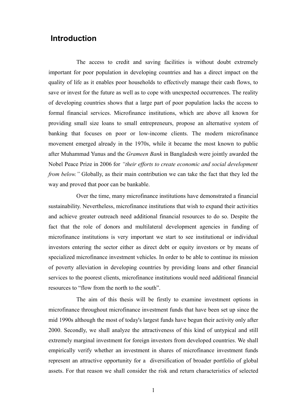## **Introduction**

The access to credit and saving facilities is without doubt extremely important for poor population in developing countries and has a direct impact on the quality of life as it enables poor households to effectively manage their cash flows, to save or invest for the future as well as to cope with unexpected occurrences. The reality of developing countries shows that a large part of poor population lacks the access to formal financial services. Microfinance institutions, which are above all known for providing small size loans to small entrepreneurs, propose an alternative system of banking that focuses on poor or low-income clients. The modern microfinance movement emerged already in the 1970s, while it became the most known to public after Muhammad Yunus and the *Grameen Bank* in Bangladesh were jointly awarded the Nobel Peace Prize in 2006 for *"their efforts to create economic and social development from below.*" Globally, as their main contribution we can take the fact that they led the way and proved that poor can be bankable.

Over the time, many microfinance institutions have demonstrated a financial sustainability. Nevertheless, microfinance institutions that wish to expand their activities and achieve greater outreach need additional financial resources to do so. Despite the fact that the role of donors and multilateral development agencies in funding of microfinance institutions is very important we start to see institutional or individual investors entering the sector either as direct debt or equity investors or by means of specialized microfinance investment vehicles. In order to be able to continue its mission of poverty alleviation in developing countries by providing loans and other financial services to the poorest clients, microfinance institutions would need additional financial resources to "flow from the north to the south".

The aim of this thesis will be firstly to examine investment options in microfinance throughout microfinance investment funds that have been set up since the mid 1990s although the most of today's largest funds have begun their activity only after 2000. Secondly, we shall analyze the attractiveness of this kind of untypical and still extremely marginal investment for foreign investors from developed countries. We shall empirically verify whether an investment in shares of microfinance investment funds represent an attractive opportunity for a diversification of broader portfolio of global assets. For that reason we shall consider the risk and return characteristics of selected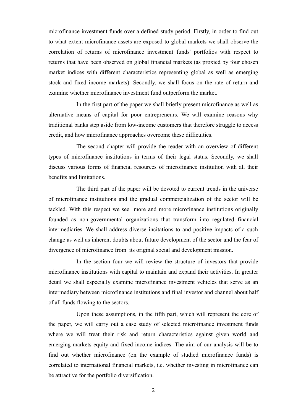microfinance investment funds over a defined study period. Firstly, in order to find out to what extent microfinance assets are exposed to global markets we shall observe the correlation of returns of microfinance investment funds' portfolios with respect to returns that have been observed on global financial markets (as proxied by four chosen market indices with different characteristics representing global as well as emerging stock and fixed income markets). Secondly, we shall focus on the rate of return and examine whether microfinance investment fund outperform the market.

In the first part of the paper we shall briefly present microfinance as well as alternative means of capital for poor entrepreneurs. We will examine reasons why traditional banks step aside from low-income customers that therefore struggle to access credit, and how microfinance approaches overcome these difficulties.

The second chapter will provide the reader with an overview of different types of microfinance institutions in terms of their legal status. Secondly, we shall discuss various forms of financial resources of microfinance institution with all their benefits and limitations.

The third part of the paper will be devoted to current trends in the universe of microfinance institutions and the gradual commercialization of the sector will be tackled. With this respect we see more and more microfinance institutions originally founded as non-governmental organizations that transform into regulated financial intermediaries. We shall address diverse incitations to and positive impacts of a such change as well as inherent doubts about future development of the sector and the fear of divergence of microfinance from its original social and development mission.

In the section four we will review the structure of investors that provide microfinance institutions with capital to maintain and expand their activities. In greater detail we shall especially examine microfinance investment vehicles that serve as an intermediary between microfinance institutions and final investor and channel about half of all funds flowing to the sectors.

Upon these assumptions, in the fifth part, which will represent the core of the paper, we will carry out a case study of selected microfinance investment funds where we will treat their risk and return characteristics against given world and emerging markets equity and fixed income indices. The aim of our analysis will be to find out whether microfinance (on the example of studied microfinance funds) is correlated to international financial markets, i.e. whether investing in microfinance can be attractive for the portfolio diversification.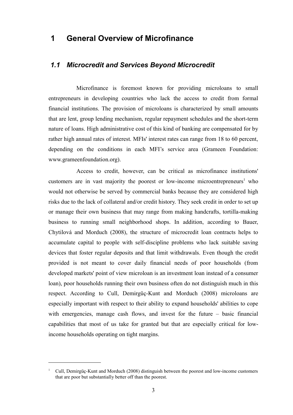### **1 General Overview of Microfinance**

#### *1.1 Microcredit and Services Beyond Microcredit*

Microfinance is foremost known for providing microloans to small entrepreneurs in developing countries who lack the access to credit from formal financial institutions. The provision of microloans is characterized by small amounts that are lent, group lending mechanism, regular repayment schedules and the short-term nature of loans. High administrative cost of this kind of banking are compensated for by rather high annual rates of interest. MFIs' interest rates can range from 18 to 60 percent, depending on the conditions in each MFI's service area (Grameen Foundation: www.grameenfoundation.org).

Access to credit, however, can be critical as microfinance institutions' customers are in vast majority the poorest or low-income microentrepreneurs<sup>[1](#page-12-0)</sup> who would not otherwise be served by commercial banks because they are considered high risks due to the lack of collateral and/or credit history. They seek credit in order to set up or manage their own business that may range from making handcrafts, tortilla-making business to running small neighborhood shops. In addition, according to Bauer, Chytilová and Morduch (2008), the structure of microcredit loan contracts helps to accumulate capital to people with self-discipline problems who lack suitable saving devices that foster regular deposits and that limit withdrawals. Even though the credit provided is not meant to cover daily financial needs of poor households (from developed markets' point of view microloan is an investment loan instead of a consumer loan), poor households running their own business often do not distinguish much in this respect. According to Cull, Demirgüç-Kunt and Morduch (2008) microloans are especially important with respect to their ability to expand households' abilities to cope with emergencies, manage cash flows, and invest for the future – basic financial capabilities that most of us take for granted but that are especially critical for lowincome households operating on tight margins.

<span id="page-12-0"></span><sup>1</sup> Cull, Demirgüç-Kunt and Morduch (2008) distinguish between the poorest and low-income customers that are poor but substantially better off than the poorest.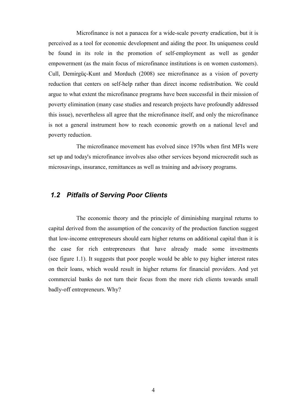Microfinance is not a panacea for a wide-scale poverty eradication, but it is perceived as a tool for economic development and aiding the poor. Its uniqueness could be found in its role in the promotion of self-employment as well as gender empowerment (as the main focus of microfinance institutions is on women customers). Cull, Demirgüç-Kunt and Morduch (2008) see microfinance as a vision of poverty reduction that centers on self-help rather than direct income redistribution. We could argue to what extent the microfinance programs have been successful in their mission of poverty elimination (many case studies and research projects have profoundly addressed this issue), nevertheless all agree that the microfinance itself, and only the microfinance is not a general instrument how to reach economic growth on a national level and poverty reduction.

The microfinance movement has evolved since 1970s when first MFIs were set up and today's microfinance involves also other services beyond microcredit such as microsavings, insurance, remittances as well as training and advisory programs.

### *1.2 Pitfalls of Serving Poor Clients*

The economic theory and the principle of diminishing marginal returns to capital derived from the assumption of the concavity of the production function suggest that low-income entrepreneurs should earn higher returns on additional capital than it is the case for rich entrepreneurs that have already made some investments (see figure 1.1). It suggests that poor people would be able to pay higher interest rates on their loans, which would result in higher returns for financial providers. And yet commercial banks do not turn their focus from the more rich clients towards small badly-off entrepreneurs. Why?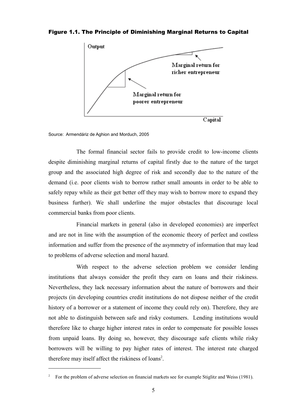Figure 1.1. The Principle of Diminishing Marginal Returns to Capital



Source: Armendáriz de Aghion and Morduch, 2005

The formal financial sector fails to provide credit to low-income clients despite diminishing marginal returns of capital firstly due to the nature of the target group and the associated high degree of risk and secondly due to the nature of the demand (i.e. poor clients wish to borrow rather small amounts in order to be able to safely repay while as their get better off they may wish to borrow more to expand they business further). We shall underline the major obstacles that discourage local commercial banks from poor clients.

Financial markets in general (also in developed economies) are imperfect and are not in line with the assumption of the economic theory of perfect and costless information and suffer from the presence of the asymmetry of information that may lead to problems of adverse selection and moral hazard.

With respect to the adverse selection problem we consider lending institutions that always consider the profit they earn on loans and their riskiness. Nevertheless, they lack necessary information about the nature of borrowers and their projects (in developing countries credit institutions do not dispose neither of the credit history of a borrower or a statement of income they could rely on). Therefore, they are not able to distinguish between safe and risky costumers. Lending institutions would therefore like to charge higher interest rates in order to compensate for possible losses from unpaid loans. By doing so, however, they discourage safe clients while risky borrowers will be willing to pay higher rates of interest. The interest rate charged therefore may itself affect the riskiness of loans<sup>[2](#page-14-0)</sup>.

<span id="page-14-0"></span><sup>2</sup> For the problem of adverse selection on financial markets see for example Stiglitz and Weiss (1981).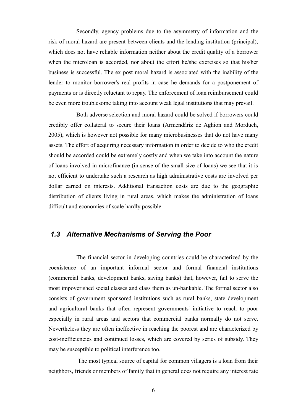Secondly, agency problems due to the asymmetry of information and the risk of moral hazard are present between clients and the lending institution (principal), which does not have reliable information neither about the credit quality of a borrower when the microloan is accorded, nor about the effort he/she exercises so that his/her business is successful. The ex post moral hazard is associated with the inability of the lender to monitor borrower's real profits in case he demands for a postponement of payments or is directly reluctant to repay. The enforcement of loan reimbursement could be even more troublesome taking into account weak legal institutions that may prevail.

Both adverse selection and moral hazard could be solved if borrowers could credibly offer collateral to secure their loans (Armendáriz de Aghion and Morduch, 2005), which is however not possible for many microbusinesses that do not have many assets. The effort of acquiring necessary information in order to decide to who the credit should be accorded could be extremely costly and when we take into account the nature of loans involved in microfinance (in sense of the small size of loans) we see that it is not efficient to undertake such a research as high administrative costs are involved per dollar earned on interests. Additional transaction costs are due to the geographic distribution of clients living in rural areas, which makes the administration of loans difficult and economies of scale hardly possible.

#### *1.3 Alternative Mechanisms of Serving the Poor*

The financial sector in developing countries could be characterized by the coexistence of an important informal sector and formal financial institutions (commercial banks, development banks, saving banks) that, however, fail to serve the most impoverished social classes and class them as un-bankable. The formal sector also consists of government sponsored institutions such as rural banks, state development and agricultural banks that often represent governments' initiative to reach to poor especially in rural areas and sectors that commercial banks normally do not serve. Nevertheless they are often ineffective in reaching the poorest and are characterized by cost-inefficiencies and continued losses, which are covered by series of subsidy. They may be susceptible to political interference too.

The most typical source of capital for common villagers is a loan from their neighbors, friends or members of family that in general does not require any interest rate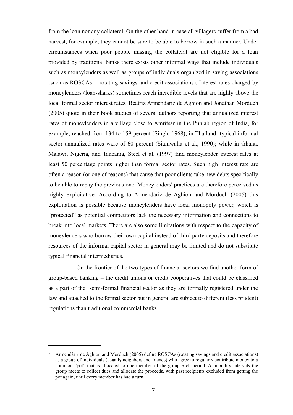from the loan nor any collateral. On the other hand in case all villagers suffer from a bad harvest, for example, they cannot be sure to be able to borrow in such a manner. Under circumstances when poor people missing the collateral are not eligible for a loan provided by traditional banks there exists other informal ways that include individuals such as moneylenders as well as groups of individuals organized in saving associations (such as ROSCAs<sup>[3](#page-16-0)</sup> - rotating savings and credit associations). Interest rates charged by moneylenders (loan-sharks) sometimes reach incredible levels that are highly above the local formal sector interest rates. Beatriz Armendáriz de Aghion and Jonathan Morduch (2005) quote in their book studies of several authors reporting that annualized interest rates of moneylenders in a village close to Amritsar in the Punjab region of India, for example, reached from 134 to 159 percent (Singh, 1968); in Thailand typical informal sector annualized rates were of 60 percent (Siamwalla et al., 1990); while in Ghana, Malawi, Nigeria, and Tanzania, Steel et al. (1997) find moneylender interest rates at least 50 percentage points higher than formal sector rates. Such high interest rate are often a reason (or one of reasons) that cause that poor clients take new debts specifically to be able to repay the previous one. Moneylenders' practices are therefore perceived as highly exploitative. According to Armendáriz de Aghion and Morduch (2005) this exploitation is possible because moneylenders have local monopoly power, which is "protected" as potential competitors lack the necessary information and connections to break into local markets. There are also some limitations with respect to the capacity of moneylenders who borrow their own capital instead of third party deposits and therefore resources of the informal capital sector in general may be limited and do not substitute typical financial intermediaries.

On the frontier of the two types of financial sectors we find another form of group-based banking – the credit unions or credit cooperatives that could be classified as a part of the semi-formal financial sector as they are formally registered under the law and attached to the formal sector but in general are subject to different (less prudent) regulations than traditional commercial banks.

<span id="page-16-0"></span><sup>3</sup> Armendáriz de Aghion and Morduch (2005) define ROSCAs (rotating savings and credit associations) as a group of individuals (usually neighbors and friends) who agree to regularly contribute money to a common "pot" that is allocated to one member of the group each period. At monthly intervals the group meets to collect dues and allocate the proceeds, with past recipients excluded from getting the pot again, until every member has had a turn.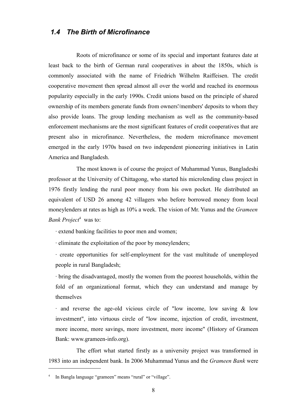#### *1.4 The Birth of Microfinance*

Roots of microfinance or some of its special and important features date at least back to the birth of German rural cooperatives in about the 1850s, which is commonly associated with the name of Friedrich Wilhelm Raiffeisen. The credit cooperative movement then spread almost all over the world and reached its enormous popularity especially in the early 1990s. Credit unions based on the principle of shared ownership of its members generate funds from owners'/members' deposits to whom they also provide loans. The group lending mechanism as well as the community-based enforcement mechanisms are the most significant features of credit cooperatives that are present also in microfinance. Nevertheless, the modern microfinance movement emerged in the early 1970s based on two independent pioneering initiatives in Latin America and Bangladesh.

The most known is of course the project of Muhammad Yunus, Bangladeshi professor at the University of Chittagong, who started his microlending class project in 1976 firstly lending the rural poor money from his own pocket. He distributed an equivalent of USD 26 among 42 villagers who before borrowed money from local moneylenders at rates as high as 10% a week. The vision of Mr. Yunus and the *Grameen Bank Project*[4](#page-17-0) was to:

· extend banking facilities to poor men and women;

· eliminate the exploitation of the poor by moneylenders;

· create opportunities for self-employment for the vast multitude of unemployed people in rural Bangladesh;

· bring the disadvantaged, mostly the women from the poorest households, within the fold of an organizational format, which they can understand and manage by themselves

· and reverse the age-old vicious circle of "low income, low saving & low investment", into virtuous circle of "low income, injection of credit, investment, more income, more savings, more investment, more income" (History of Grameen Bank: www.grameen-info.org).

The effort what started firstly as a university project was transformed in 1983 into an independent bank. In 2006 Muhammad Yunus and the *Grameen Bank* were

<span id="page-17-0"></span><sup>4</sup> In Bangla language "grameen" means "rural" or "village".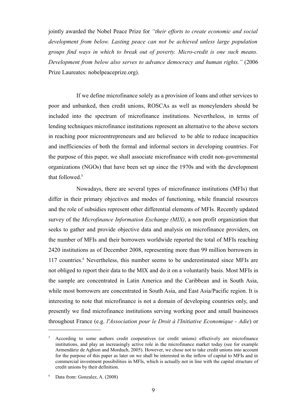jointly awarded the Nobel Peace Prize for *"their efforts to create economic and social development from below. Lasting peace can not be achieved unless large population groups find ways in which to break out of poverty. Micro-credit is one such means. Development from below also serves to advance democracy and human rights."* (2006 Prize Laureates: nobelpeaceprize.org).

If we define microfinance solely as a provision of loans and other services to poor and unbanked, then credit unions, ROSCAs as well as moneylenders should be included into the spectrum of microfinance institutions. Nevertheless, in terms of lending techniques microfinance institutions represent an alternative to the above sectors in reaching poor microentrepreneurs and are believed to be able to reduce incapacities and inefficiencies of both the formal and informal sectors in developing countries. For the purpose of this paper, we shall associate microfinance with credit non-governmental organizations (NGOs) that have been set up since the 1970s and with the development that followed  $5$ 

Nowadays, there are several types of microfinance institutions (MFIs) that differ in their primary objectives and modes of functioning, while financial resources and the role of subsidies represent other differential elements of MFIs. Recently updated survey of the *Microfinance Information Exchange (MIX)*, a non profit organization that seeks to gather and provide objective data and analysis on microfinance providers, on the number of MFIs and their borrowers worldwide reported the total of MFIs reaching 2420 institutions as of December 2008, representing more than 99 million borrowers in 117 countries.<sup>[6](#page-18-1)</sup> Nevertheless, this number seems to be underestimated since MFIs are not obliged to report their data to the MIX and do it on a voluntarily basis. Most MFIs in the sample are concentrated in Latin America and the Caribbean and in South Asia, while most borrowers are concentrated in South Asia, and East Asia/Pacific region. It is interesting to note that microfinance is not a domain of developing countries only, and presently we find microfinance institutions serving working poor and small businesses throughout France (e.g. *l'Association pour le Droit à l'Initiative Economique - Adie*) or

<span id="page-18-0"></span><sup>5</sup> According to some authors credit cooperatives (or credit unions) effectively are microfinance institutions, and play an increasingly active role in the microfinance market today (see for example Armendáriz de Aghion and Morduch, 2005). However, we chose not to take credit unions into account for the purpose of this paper as later on we shall be interested in the inflow of capital to MFIs and in commercial investment possibilities in MFIs, which is actually not in line with the capital structure of credit unions by their definition.

<span id="page-18-1"></span>Data from: Gonzalez, A. (2008)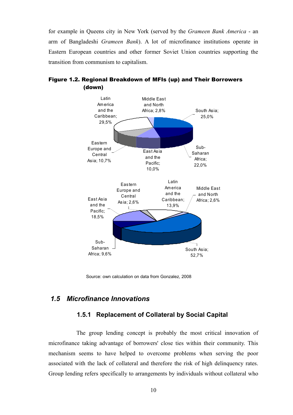for example in Queens city in New York (served by the *Grameen Bank America* - an arm of Bangladeshi *Grameen Bank*). A lot of microfinance institutions operate in Eastern European countries and other former Soviet Union countries supporting the transition from communism to capitalism.



Figure 1.2. Regional Breakdown of MFIs (up) and Their Borrowers (down)

Source: own calculation on data from Gonzalez, 2008

### *1.5 Microfinance Innovations*

#### **1.5.1 Replacement of Collateral by Social Capital**

The group lending concept is probably the most critical innovation of microfinance taking advantage of borrowers' close ties within their community. This mechanism seems to have helped to overcome problems when serving the poor associated with the lack of collateral and therefore the risk of high delinquency rates. Group lending refers specifically to arrangements by individuals without collateral who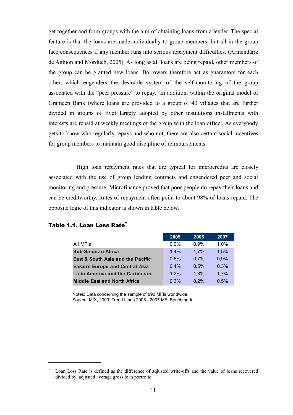get together and form groups with the aim of obtaining loans from a lender. The special feature is that the loans are made individually to group members, but all in the group face consequences if any member runs into serious repayment difficulties. (Armendáriz de Aghion and Morduch, 2005). As long as all loans are being repaid, other members of the group can be granted new loans. Borrowers therefore act as guarantors for each other, which engenders the desirable system of the self-monitoring of the group associated with the "peer pressure" to repay. In addition, within the original model of Grameen Bank (where loans are provided to a group of 40 villages that are further divided in groups of five) largely adopted by other institutions installments with interests are repaid at weekly meetings of the group with the loan officer. As everybody gets to know who regularly repays and who not, there are also certain social incentives for group members to maintain good discipline of reimbursements.

High loan repayment rates that are typical for microcredits are closely associated with the use of group lending contracts and engendered peer and social monitoring and pressure. Microfinance proved that poor people do repay their loans and can be creditworthy. Rates of repayment often point to about 98% of loans repaid. The opposite logic of this indicator is shown in table below.

|                                        | 2005 | 2006 | 2007 |
|----------------------------------------|------|------|------|
| All MFIs                               | 0.9% | 0.9% | 1.0% |
| Sub-Saharan Africa                     | 1.4% | 1.7% | 1.5% |
| East & South Asia and the Pacific      | 0.6% | 0.7% | 0.9% |
| <b>Eastern Europe and Central Asia</b> | 0.4% | 0.5% | 0.3% |
| Latin America and the Caribbean        | 1.2% | 1.3% | 1,7% |
| <b>Middle East and North Africa</b>    | 0.3% | 0.2% | 0.5% |

#### Table 1.1. Loan Loss Rate<sup>[7](#page-20-0)</sup>

Notes: Data concerning the sample of 890 MFIs worldwide. Source: MIX, 2009: Trend Lines 2005 - 2007 MFI Benchmark

<span id="page-20-0"></span>Loan Loss Rate is defined as the difference of adjusted write-offs and the value of loans recovered divided by adjusted average gross loan portfolio.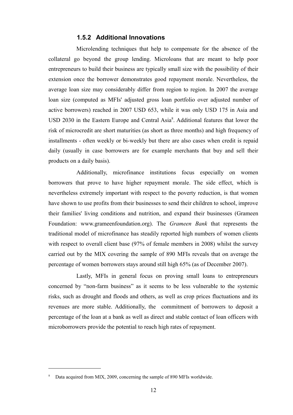#### **1.5.2 Additional Innovations**

Microlending techniques that help to compensate for the absence of the collateral go beyond the group lending. Microloans that are meant to help poor entrepreneurs to build their business are typically small size with the possibility of their extension once the borrower demonstrates good repayment morale. Nevertheless, the average loan size may considerably differ from region to region. In 2007 the average loan size (computed as MFIs' adjusted gross loan portfolio over adjusted number of active borrowers) reached in 2007 USD 653, while it was only USD 175 in Asia and USD 2030 in the Eastern Europe and Central Asia<sup>[8](#page-21-0)</sup>. Additional features that lower the risk of microcredit are short maturities (as short as three months) and high frequency of installments - often weekly or bi-weekly but there are also cases when credit is repaid daily (usually in case borrowers are for example merchants that buy and sell their products on a daily basis).

Additionally, microfinance institutions focus especially on women borrowers that prove to have higher repayment morale. The side effect, which is nevertheless extremely important with respect to the poverty reduction, is that women have shown to use profits from their businesses to send their children to school, improve their families' living conditions and nutrition, and expand their businesses (Grameen Foundation: www.grameenfoundation.org). The *Grameen Bank* that represents the traditional model of microfinance has steadily reported high numbers of women clients with respect to overall client base (97% of female members in 2008) whilst the survey carried out by the MIX covering the sample of 890 MFIs reveals that on average the percentage of women borrowers stays around still high 65% (as of December 2007).

Lastly, MFIs in general focus on proving small loans to entrepreneurs concerned by "non-farm business" as it seems to be less vulnerable to the systemic risks, such as drought and floods and others, as well as crop prices fluctuations and its revenues are more stable. Additionally, the commitment of borrowers to deposit a percentage of the loan at a bank as well as direct and stable contact of loan officers with microborrowers provide the potential to reach high rates of repayment.

<span id="page-21-0"></span>Data acquired from MIX, 2009, concerning the sample of 890 MFIs worldwide.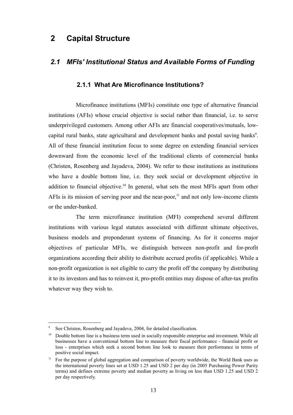# **2 Capital Structure**

#### *2.1 MFIs' Institutional Status and Available Forms of Funding*

#### **2.1.1 What Are Microfinance Institutions?**

Microfinance institutions (MFIs) constitute one type of alternative financial institutions (AFIs) whose crucial objective is social rather than financial, i.e. to serve underprivileged customers. Among other AFIs are financial cooperatives/mutuals, low-capital rural banks, state agricultural and development banks and postal saving banks<sup>[9](#page-22-0)</sup>. All of these financial institution focus to some degree on extending financial services downward from the economic level of the traditional clients of commercial banks (Christen, Rosenberg and Jayadeva, 2004). We refer to these institutions as institutions who have a double bottom line, i.e. they seek social or development objective in addition to financial objective.<sup>[10](#page-22-1)</sup> In general, what sets the most MFIs apart from other AFIs is its mission of serving poor and the near-poor,<sup>[11](#page-22-2)</sup> and not only low-income clients or the under-banked.

The term microfinance institution (MFI) comprehend several different institutions with various legal statutes associated with different ultimate objectives, business models and preponderant systems of financing. As for it concerns major objectives of particular MFIs, we distinguish between non-profit and for-profit organizations according their ability to distribute accrued profits (if applicable). While a non-profit organization is not eligible to carry the profit off the company by distributing it to its investors and has to reinvest it, pro-profit entities may dispose of after-tax profits whatever way they wish to.

<span id="page-22-0"></span>See Christen, Rosenberg and Jayadeva, 2004, for detailed classification.

<span id="page-22-1"></span><sup>10</sup> Double bottom line is a business term used in socially responsible enterprise and investment. While all businesses have a conventional bottom line to measure their fiscal performance - financial profit or loss - enterprises which seek a second bottom line look to measure their performance in terms of positive social impact.

<span id="page-22-2"></span><sup>&</sup>lt;sup>11</sup> For the purpose of global aggregation and comparison of poverty worldwide, the World Bank uses as the international poverty lines set at USD 1.25 and USD 2 per day (in 2005 Purchasing Power Parity terms) and defines extreme poverty and median poverty as living on less than USD 1.25 and USD 2 per day respectively.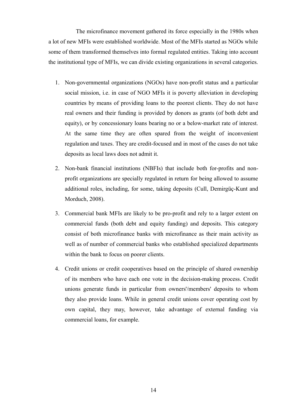The microfinance movement gathered its force especially in the 1980s when a lot of new MFIs were established worldwide. Most of the MFIs started as NGOs while some of them transformed themselves into formal regulated entities. Taking into account the institutional type of MFIs, we can divide existing organizations in several categories.

- 1. Non-governmental organizations (NGOs) have non-profit status and a particular social mission, i.e. in case of NGO MFIs it is poverty alleviation in developing countries by means of providing loans to the poorest clients. They do not have real owners and their funding is provided by donors as grants (of both debt and equity), or by concessionary loans bearing no or a below-market rate of interest. At the same time they are often spared from the weight of inconvenient regulation and taxes. They are credit-focused and in most of the cases do not take deposits as local laws does not admit it.
- 2. Non-bank financial institutions (NBFIs) that include both for-profits and nonprofit organizations are specially regulated in return for being allowed to assume additional roles, including, for some, taking deposits (Cull, Demirgüç-Kunt and Morduch, 2008).
- 3. Commercial bank MFIs are likely to be pro-profit and rely to a larger extent on commercial funds (both debt and equity funding) and deposits. This category consist of both microfinance banks with microfinance as their main activity as well as of number of commercial banks who established specialized departments within the bank to focus on poorer clients.
- 4. Credit unions or credit cooperatives based on the principle of shared ownership of its members who have each one vote in the decision-making process. Credit unions generate funds in particular from owners'/members' deposits to whom they also provide loans. While in general credit unions cover operating cost by own capital, they may, however, take advantage of external funding via commercial loans, for example.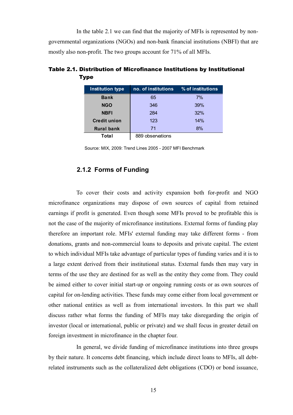In the table 2.1 we can find that the majority of MFIs is represented by nongovernmental organizations (NGOs) and non-bank financial institutions (NBFI) that are mostly also non-profit. The two groups account for 71% of all MFIs.

| <b>Institution type</b> | no. of institutions | $\%$ of institutions |
|-------------------------|---------------------|----------------------|
| <b>Bank</b>             | 65                  | 7%                   |
| <b>NGO</b>              | 346                 | 39%                  |
| <b>NBFI</b>             | 284                 | 32%                  |
| <b>Credit union</b>     | 123                 | 14%                  |
| <b>Rural bank</b>       | 71                  | 8%                   |
| Total                   | 889 observations    |                      |

### Table 2.1. Distribution of Microfinance Institutions by Institutional Type

Source: MIX, 2009: Trend Lines 2005 - 2007 MFI Benchmark

#### **2.1.2 Forms of Funding**

To cover their costs and activity expansion both for-profit and NGO microfinance organizations may dispose of own sources of capital from retained earnings if profit is generated. Even though some MFIs proved to be profitable this is not the case of the majority of microfinance institutions. External forms of funding play therefore an important role. MFIs' external funding may take different forms - from donations, grants and non-commercial loans to deposits and private capital. The extent to which individual MFIs take advantage of particular types of funding varies and it is to a large extent derived from their institutional status. External funds then may vary in terms of the use they are destined for as well as the entity they come from. They could be aimed either to cover initial start-up or ongoing running costs or as own sources of capital for on-lending activities. These funds may come either from local government or other national entities as well as from international investors. In this part we shall discuss rather what forms the funding of MFIs may take disregarding the origin of investor (local or international, public or private) and we shall focus in greater detail on foreign investment in microfinance in the chapter four.

In general, we divide funding of microfinance institutions into three groups by their nature. It concerns debt financing, which include direct loans to MFIs, all debtrelated instruments such as the collateralized debt obligations (CDO) or bond issuance,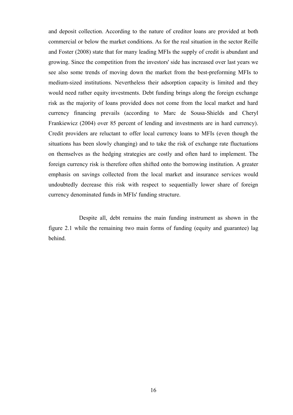and deposit collection. According to the nature of creditor loans are provided at both commercial or below the market conditions. As for the real situation in the sector Reille and Foster (2008) state that for many leading MFIs the supply of credit is abundant and growing. Since the competition from the investors' side has increased over last years we see also some trends of moving down the market from the best-preforming MFIs to medium-sized institutions. Nevertheless their adsorption capacity is limited and they would need rather equity investments. Debt funding brings along the foreign exchange risk as the majority of loans provided does not come from the local market and hard currency financing prevails (according to Marc de Sousa-Shields and Cheryl Frankiewicz (2004) over 85 percent of lending and investments are in hard currency). Credit providers are reluctant to offer local currency loans to MFIs (even though the situations has been slowly changing) and to take the risk of exchange rate fluctuations on themselves as the hedging strategies are costly and often hard to implement. The foreign currency risk is therefore often shifted onto the borrowing institution. A greater emphasis on savings collected from the local market and insurance services would undoubtedly decrease this risk with respect to sequentially lower share of foreign currency denominated funds in MFIs' funding structure.

 Despite all, debt remains the main funding instrument as shown in the figure 2.1 while the remaining two main forms of funding (equity and guarantee) lag behind.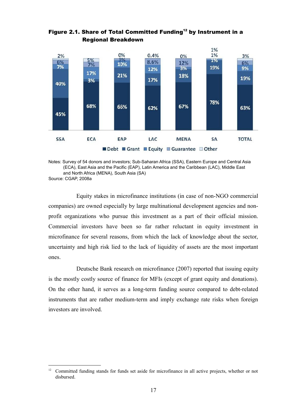#### Figure 2.1. Share of Total Committed Funding<sup>[12](#page-26-0)</sup> by Instrument in a Regional Breakdown



Notes: Survey of 54 donors and investors; Sub-Saharan Africa (SSA), Eastern Europe and Central Asia (ECA), East Asia and the Pacific (EAP), Latin America and the Caribbean (LAC), Middle East and North Africa (MENA), South Asia (SA) Source: CGAP, 2008a

Equity stakes in microfinance institutions (in case of non-NGO commercial companies) are owned especially by large multinational development agencies and nonprofit organizations who pursue this investment as a part of their official mission. Commercial investors have been so far rather reluctant in equity investment in microfinance for several reasons, from which the lack of knowledge about the sector, uncertainty and high risk lied to the lack of liquidity of assets are the most important ones.

Deutsche Bank research on microfinance (2007) reported that issuing equity is the mostly costly source of finance for MFIs (except of grant equity and donations). On the other hand, it serves as a long-term funding source compared to debt-related instruments that are rather medium-term and imply exchange rate risks when foreign investors are involved.

<span id="page-26-0"></span><sup>&</sup>lt;sup>12</sup> Committed funding stands for funds set aside for microfinance in all active projects, whether or not disbursed.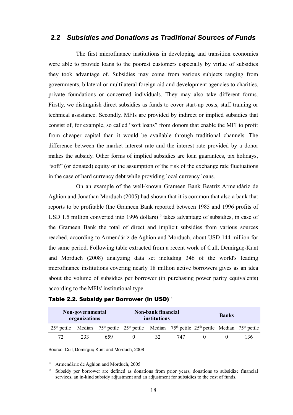### *2.2 Subsidies and Donations as Traditional Sources of Funds*

The first microfinance institutions in developing and transition economies were able to provide loans to the poorest customers especially by virtue of subsidies they took advantage of. Subsidies may come from various subjects ranging from governments, bilateral or multilateral foreign aid and development agencies to charities, private foundations or concerned individuals. They may also take different forms. Firstly, we distinguish direct subsidies as funds to cover start-up costs, staff training or technical assistance. Secondly, MFIs are provided by indirect or implied subsidies that consist of, for example, so called "soft loans" from donors that enable the MFI to profit from cheaper capital than it would be available through traditional channels. The difference between the market interest rate and the interest rate provided by a donor makes the subsidy. Other forms of implied subsidies are loan guarantees, tax holidays, "soft" (or donated) equity or the assumption of the risk of the exchange rate fluctuations in the case of hard currency debt while providing local currency loans.

On an example of the well-known Grameen Bank Beatriz Armendáriz de Aghion and Jonathan Morduch (2005) had shown that it is common that also a bank that reports to be profitable (the Grameen Bank reported between 1985 and 1996 profits of USD 1.5 million converted into 1996 dollars)<sup>[13](#page-27-0)</sup> takes advantage of subsidies, in case of the Grameen Bank the total of direct and implicit subsidies from various sources reached, according to Armendáriz de Aghion and Morduch, about USD 144 million for the same period. Following table extracted from a recent work of Cull, Demirgüç-Kunt and Morduch (2008) analyzing data set including 346 of the world's leading microfinance institutions covering nearly 18 million active borrowers gives as an idea about the volume of subsidies per borrower (in purchasing power parity equivalents) according to the MFIs' institutional type.

|  |  |  |  | Table 2.2. Subsidy per Borrower (in USD) <sup>14</sup> |  |  |  |
|--|--|--|--|--------------------------------------------------------|--|--|--|
|--|--|--|--|--------------------------------------------------------|--|--|--|

| Non-governmental<br>organizations |     |     | Non-bank financial<br>institutions                                                                       |    |     | <b>Banks</b> |     |
|-----------------------------------|-----|-----|----------------------------------------------------------------------------------------------------------|----|-----|--------------|-----|
|                                   |     |     | $25th$ pctile Median $75th$ pctile $25th$ pctile Median $75th$ pctile $25th$ pctile Median $75th$ pctile |    |     |              |     |
| 72                                | 233 | 659 |                                                                                                          | 32 | 747 |              | 136 |

Source: Cull, Demirgüç-Kunt and Morduch, 2008

<span id="page-27-0"></span>Armendáriz de Aghion and Morduch, 2005

<span id="page-27-1"></span><sup>&</sup>lt;sup>14</sup> Subsidy per borrower are defined as donations from prior years, donations to subsidize financial services, an in-kind subsidy adjustment and an adjustment for subsidies to the cost of funds.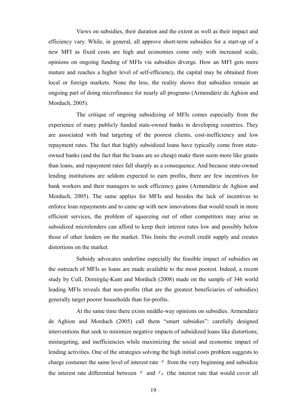Views on subsidies, their duration and the extent as well as their impact and efficiency vary. While, in general, all approve short-term subsidies for a start-up of a new MFI as fixed costs are high and economies come only with increased scale, opinions on ongoing funding of MFIs via subsidies diverge. How an MFI gets more mature and reaches a higher level of self-efficiency, the capital may be obtained from local or foreign markets. None the less, the reality shows that subsidies remain an ongoing part of doing microfinance for nearly all programs (Armendáriz de Aghion and Morduch, 2005).

The critique of ongoing subsidizing of MFIs comes especially from the experience of many publicly funded state-owned banks in developing countries. They are associated with bad targeting of the poorest clients, cost-inefficiency and low repayment rates. The fact that highly subsidized loans have typically come from stateowned banks (and the fact that the loans are so cheap) make them seem more like grants than loans, and repayment rates fall sharply as a consequence. And because state-owned lending institutions are seldom expected to earn profits, there are few incentives for bank workers and their managers to seek efficiency gains (Armendáriz de Aghion and Morduch, 2005). The same applies for MFIs and besides the lack of incentives to enforce loan repayments and to came up with new innovations that would result in more efficient services, the problem of squeezing out of other competitors may arise as subsidized microlenders can afford to keep their interest rates low and possibly below those of other lenders on the market. This limits the overall credit supply and creates distortions on the market.

Subsidy advocates underline especially the feasible impact of subsidies on the outreach of MFIs as loans are made available to the most poorest. Indeed, a recent study by Cull, Demirgüç-Kunt and Morduch (2008) made on the sample of 346 world leading MFIs reveals that non-profits (that are the greatest beneficiaries of subsidies) generally target poorer households than for-profits.

At the same time there exists middle-way opinions on subsidies. Armendáriz de Aghion and Morduch (2005) call them "smart subsidies": carefully designed interventions that seek to minimize negative impacts of subsidized loans like distortions, mistargeting, and inefficiencies while maximizing the social and economic impact of lending activities. One of the strategies solving the high initial costs problem suggests to charge costumer the same level of interest rate  $\bar{r}$  from the very beginning and subsidize the interest rate differential between  $\bar{r}$  and  $r_0$  (the interest rate that would cover all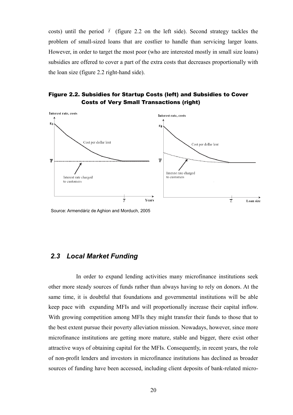costs) until the period  $\bar{t}$  (figure 2.2 on the left side). Second strategy tackles the problem of small-sized loans that are costlier to handle than servicing larger loans. However, in order to target the most poor (who are interested mostly in small size loans) subsidies are offered to cover a part of the extra costs that decreases proportionally with the loan size (figure 2.2 right-hand side).

#### Figure 2.2. Subsidies for Startup Costs (left) and Subsidies to Cover Costs of Very Small Transactions (right)



Source: Armendáriz de Aghion and Morduch, 2005

#### *2.3 Local Market Funding*

In order to expand lending activities many microfinance institutions seek other more steady sources of funds rather than always having to rely on donors. At the same time, it is doubtful that foundations and governmental institutions will be able keep pace with expanding MFIs and will proportionally increase their capital inflow. With growing competition among MFIs they might transfer their funds to those that to the best extent pursue their poverty alleviation mission. Nowadays, however, since more microfinance institutions are getting more mature, stable and bigger, there exist other attractive ways of obtaining capital for the MFIs. Consequently, in recent years, the role of non-profit lenders and investors in microfinance institutions has declined as broader sources of funding have been accessed, including client deposits of bank-related micro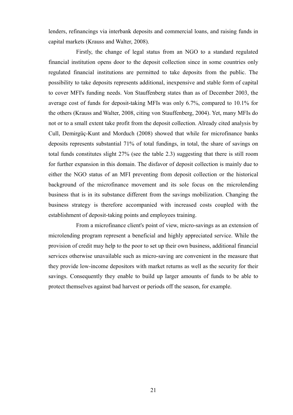lenders, refinancings via interbank deposits and commercial loans, and raising funds in capital markets (Krauss and Walter, 2008).

Firstly, the change of legal status from an NGO to a standard regulated financial institution opens door to the deposit collection since in some countries only regulated financial institutions are permitted to take deposits from the public. The possibility to take deposits represents additional, inexpensive and stable form of capital to cover MFI's funding needs. Von Stauffenberg states than as of December 2003, the average cost of funds for deposit-taking MFIs was only 6.7%, compared to 10.1% for the others (Krauss and Walter, 2008, citing von Stauffenberg, 2004). Yet, many MFIs do not or to a small extent take profit from the deposit collection. Already cited analysis by Cull, Demirgüç-Kunt and Morduch (2008) showed that while for microfinance banks deposits represents substantial 71% of total fundings, in total, the share of savings on total funds constitutes slight 27% (see the table 2.3) suggesting that there is still room for further expansion in this domain. The disfavor of deposit collection is mainly due to either the NGO status of an MFI preventing from deposit collection or the historical background of the microfinance movement and its sole focus on the microlending business that is in its substance different from the savings mobilization. Changing the business strategy is therefore accompanied with increased costs coupled with the establishment of deposit-taking points and employees training.

From a microfinance client's point of view, micro-savings as an extension of microlending program represent a beneficial and highly appreciated service. While the provision of credit may help to the poor to set up their own business, additional financial services otherwise unavailable such as micro-saving are convenient in the measure that they provide low-income depositors with market returns as well as the security for their savings. Consequently they enable to build up larger amounts of funds to be able to protect themselves against bad harvest or periods off the season, for example.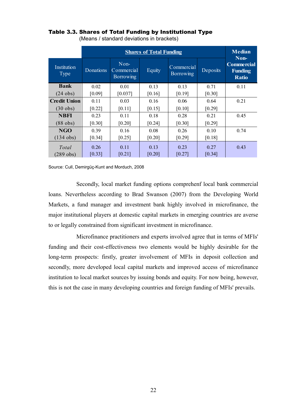#### Table 3.3. Shares of Total Funding by Institutional Type

|                      |                | <b>Median</b>                          |                |                         |                |                                                             |
|----------------------|----------------|----------------------------------------|----------------|-------------------------|----------------|-------------------------------------------------------------|
| Institution<br>Type  | Donations      | Non-<br>Commercial<br><b>Borrowing</b> | Equity         | Commercial<br>Borrowing | Deposits       | Non-<br><b>Commercial</b><br><b>Funding</b><br><b>Ratio</b> |
| <b>Bank</b>          | 0.02           | 0.01                                   | 0.13           | 0.13                    | 0.71           | 0.11                                                        |
| $(24 \text{ obs})$   | [0.09]         | [0.037]                                | [0.16]         | [0.19]                  | [0.30]         |                                                             |
| <b>Credit Union</b>  | 0.11           | 0.03                                   | 0.16           | 0.06                    | 0.64           | 0.21                                                        |
| $(30 \text{ obs})$   | [0.22]         | [0.11]                                 | [0.15]         | [0.10]                  | [0.29]         |                                                             |
| <b>NBFI</b>          | 0.23           | 0.11                                   | 0.18           | 0.28                    | 0.21           | 0.45                                                        |
| $(88$ obs)           | [0.30]         | $[0.20]$                               | [0.24]         | [0.30]                  | [0.29]         |                                                             |
| <b>NGO</b>           | 0.39           | 0.16                                   | 0.08           | 0.26                    | 0.10           | 0.74                                                        |
| $(134$ obs)          | [0.34]         | [0.25]                                 | [0.20]         | [0.29]                  | [0.18]         |                                                             |
| Total<br>$(289$ obs) | 0.26<br>[0.33] | 0.11<br>[0.21]                         | 0.13<br>[0.20] | 0.23<br>[0.27]          | 0.27<br>[0.34] | 0.43                                                        |

(Means / standard deviations in brackets)

Source: Cull, Demirgüç-Kunt and Morduch, 2008

Secondly, local market funding options comprehenf local bank commercial loans. Nevertheless according to Brad Swanson (2007) from the Developing World Markets, a fund manager and investment bank highly involved in microfinance, the major institutional players at domestic capital markets in emerging countries are averse to or legally constrained from significant investment in microfinance.

Microfinance practitioners and experts involved agree that in terms of MFIs' funding and their cost-effectiveness two elements would be highly desirable for the long-term prospects: firstly, greater involvement of MFIs in deposit collection and secondly, more developed local capital markets and improved access of microfinance institution to local market sources by issuing bonds and equity. For now being, however, this is not the case in many developing countries and foreign funding of MFIs' prevails.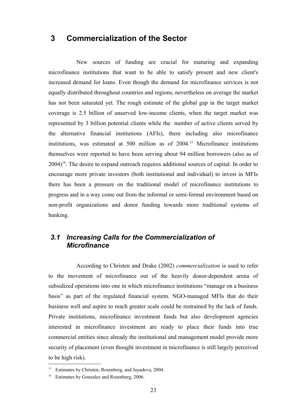## **3 Commercialization of the Sector**

New sources of funding are crucial for maturing and expanding microfinance institutions that want to be able to satisfy present and new client's increased demand for loans. Even though the demand for microfinance services is not equally distributed throughout countries and regions, nevertheless on average the market has not been saturated yet. The rough estimate of the global gap in the target market coverage is 2.5 billion of unserved low-income clients, when the target market was represented by 3 billion potential clients while the number of active clients served by the alternative financial institutions (AFIs), there including also microfinance institutions, was estimated at 500 million as of 2004.[15](#page-32-0) Microfinance institutions themselves were reported to have been serving about 94 million borrowers (also as of 2004)<sup>[16](#page-32-1)</sup>. The desire to expand outreach requires additional sources of capital. In order to encourage more private investors (both institutional and individual) to invest in MFIs there has been a pressure on the traditional model of microfinance institutions to progress and in a way come out from the informal or semi-formal environment based on non-profit organizations and donor funding towards more traditional systems of banking.

### *3.1 Increasing Calls for the Commercialization of Microfinance*

According to Christen and Drake (2002) *commercialization* is used to refer to the movement of microfinance out of the heavily donor-dependent arena of subsidized operations into one in which microfinance institutions "manage on a business basis" as part of the regulated financial system. NGO-managed MFIs that do their business well and aspire to reach greater scale could be restrained by the lack of funds. Private institutions, microfinance investment funds but also development agencies interested in microfinance investment are ready to place their funds into true commercial entities since already the institutional and management model provide more security of placement (even thought investment in microfinance is still largely perceived to be high risk).

<span id="page-32-0"></span><sup>&</sup>lt;sup>15</sup> Estimates by Christen, Rosenberg, and Jayadeva, 2004.

<span id="page-32-1"></span><sup>&</sup>lt;sup>16</sup> Estimates by Gonzalez and Rosenberg, 2006.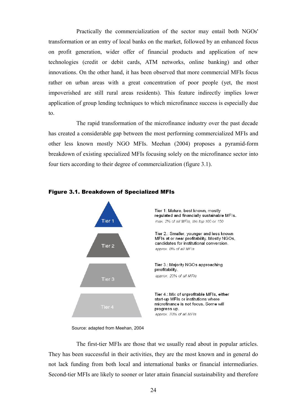Practically the commercialization of the sector may entail both NGOs' transformation or an entry of local banks on the market, followed by an enhanced focus on profit generation, wider offer of financial products and application of new technologies (credit or debit cards, ATM networks, online banking) and other innovations. On the other hand, it has been observed that more commercial MFIs focus rather on urban areas with a great concentration of poor people (yet, the most impoverished are still rural areas residents). This feature indirectly implies lower application of group lending techniques to which microfinance success is especially due to.

The rapid transformation of the microfinance industry over the past decade has created a considerable gap between the most performing commercialized MFIs and other less known mostly NGO MFIs. Meehan (2004) proposes a pyramid-form breakdown of existing specialized MFIs focusing solely on the microfinance sector into four tiers according to their degree of commercialization (figure 3.1).



#### Figure 3.1. Breakdown of Specialized MFIs

Source: adapted from Meehan, 2004

The first-tier MFIs are those that we usually read about in popular articles. They has been successful in their activities, they are the most known and in general do not lack funding from both local and international banks or financial intermediaries. Second-tier MFIs are likely to sooner or later attain financial sustainability and therefore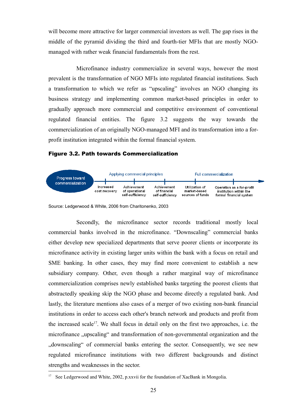will become more attractive for larger commercial investors as well. The gap rises in the middle of the pyramid dividing the third and fourth-tier MFIs that are mostly NGOmanaged with rather weak financial fundamentals from the rest.

Microfinance industry commercialize in several ways, however the most prevalent is the transformation of NGO MFIs into regulated financial institutions. Such a transformation to which we refer as "upscaling" involves an NGO changing its business strategy and implementing common market-based principles in order to gradually approach more commercial and competitive environment of conventional regulated financial entities. The figure 3.2 suggests the way towards the commercialization of an originally NGO-managed MFI and its transformation into a forprofit institution integrated within the formal financial system.

#### Figure 3.2. Path towards Commercialization



Source: Ledgerwood & White, 2006 from Charitonenko, 2003

Secondly, the microfinance sector records traditional mostly local commercial banks involved in the microfinance. "Downscaling" commercial banks either develop new specialized departments that serve poorer clients or incorporate its microfinance activity in existing larger units within the bank with a focus on retail and SME banking. In other cases, they may find more convenient to establish a new subsidiary company. Other, even though a rather marginal way of microfinance commercialization comprises newly established banks targeting the poorest clients that abstractedly speaking skip the NGO phase and become directly a regulated bank. And lastly, the literature mentions also cases of a merger of two existing non-bank financial institutions in order to access each other's branch network and products and profit from the increased scale<sup>[17](#page-34-0)</sup>. We shall focus in detail only on the first two approaches, i.e. the microfinance "upscaling" and transformation of non-governmental organization and the "downscaling" of commercial banks entering the sector. Consequently, we see new regulated microfinance institutions with two different backgrounds and distinct strengths and weaknesses in the sector.

<span id="page-34-0"></span><sup>&</sup>lt;sup>17</sup> See Ledgerwood and White, 2002, p.xxvii for the foundation of XacBank in Mongolia.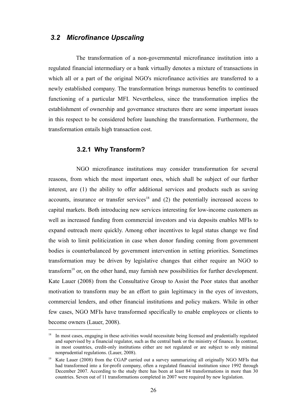### *3.2 Microfinance Upscaling*

The transformation of a non-governmental microfinance institution into a regulated financial intermediary or a bank virtually denotes a mixture of transactions in which all or a part of the original NGO's microfinance activities are transferred to a newly established company. The transformation brings numerous benefits to continued functioning of a particular MFI. Nevertheless, since the transformation implies the establishment of ownership and governance structures there are some important issues in this respect to be considered before launching the transformation. Furthermore, the transformation entails high transaction cost.

#### **3.2.1 Why Transform?**

NGO microfinance institutions may consider transformation for several reasons, from which the most important ones, which shall be subject of our further interest, are (1) the ability to offer additional services and products such as saving accounts, insurance or transfer services<sup>[18](#page-35-0)</sup> and  $(2)$  the potentially increased access to capital markets. Both introducing new services interesting for low-income customers as well as increased funding from commercial investors and via deposits enables MFIs to expand outreach more quickly. Among other incentives to legal status change we find the wish to limit politicization in case when donor funding coming from government bodies is counterbalanced by government intervention in setting priorities. Sometimes transformation may be driven by legislative changes that either require an NGO to transform<sup>[19](#page-35-1)</sup> or, on the other hand, may furnish new possibilities for further development. Kate Lauer (2008) from the Consultative Group to Assist the Poor states that another motivation to transform may be an effort to gain legitimacy in the eyes of investors, commercial lenders, and other financial institutions and policy makers. While in other few cases, NGO MFIs have transformed specifically to enable employees or clients to become owners (Lauer, 2008).

<span id="page-35-0"></span><sup>18</sup> In most cases, engaging in these activities would necessitate being licensed and prudentially regulated and supervised by a financial regulator, such as the central bank or the ministry of finance. In contrast, in most countries, credit-only institutions either are not regulated or are subject to only minimal nonprudential regulations. (Lauer, 2008).

<span id="page-35-1"></span><sup>&</sup>lt;sup>19</sup> Kate Lauer (2008) from the CGAP carried out a survey summarizing all originally NGO MFIs that had transformed into a for-profit company, often a regulated financial institution since 1992 through December 2007. According to the study there has been at least 84 transformations in more than 30 countries. Seven out of 11 transformations completed in 2007 were required by new legislation.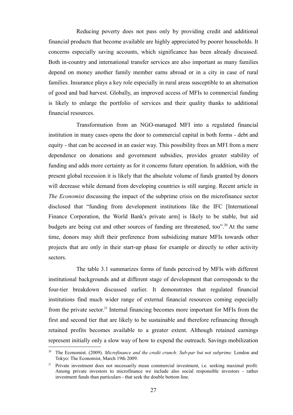Reducing poverty does not pass only by providing credit and additional financial products that become available are highly appreciated by poorer households. It concerns especially saving accounts, which significance has been already discussed. Both in-country and international transfer services are also important as many families depend on money another family member earns abroad or in a city in case of rural families. Insurance plays a key role especially in rural areas susceptible to an alternation of good and bad harvest. Globally, an improved access of MFIs to commercial funding is likely to enlarge the portfolio of services and their quality thanks to additional financial resources.

Transformation from an NGO-managed MFI into a regulated financial institution in many cases opens the door to commercial capital in both forms - debt and equity - that can be accessed in an easier way. This possibility frees an MFI from a mere dependence on donations and government subsidies, provides greater stability of funding and adds more certainty as for it concerns future operation. In addition, with the present global recession it is likely that the absolute volume of funds granted by donors will decrease while demand from developing countries is still surging. Recent article in *The Economist* discussing the impact of the subprime crisis on the microfinance sector disclosed that "funding from development institutions like the IFC [International Finance Corporation, the World Bank's private arm] is likely to be stable, but aid budgets are being cut and other sources of funding are threatened, too".<sup>[20](#page-36-0)</sup> At the same time, donors may shift their preference from subsidizing mature MFIs towards other projects that are only in their start-up phase for example or directly to other activity sectors.

The table 3.1 summarizes forms of funds perceived by MFIs with different institutional backgrounds and at different stage of development that corresponds to the four-tier breakdown discussed earlier. It demonstrates that regulated financial institutions find much wider range of external financial resources coming especially from the private sector.[21](#page-36-1) Internal financing becomes more important for MFIs from the first and second tier that are likely to be sustainable and therefore refinancing through retained profits becomes available to a greater extent. Although retained earnings represent initially only a slow way of how to expend the outreach. Savings mobilization

<span id="page-36-0"></span><sup>20</sup> The Economist. (2009). *Microfinance and the credit crunch: Sub-par but not subprime.* London and Tokyo: The Economist, March 19th 2009.

<span id="page-36-1"></span><sup>&</sup>lt;sup>21</sup> Private investment does not necessarily mean commercial investment, i.e. seeking maximal profit. Among private investors to microfinance we include also social responsible investors - rather investment funds than particulars - that seek the double bottom line.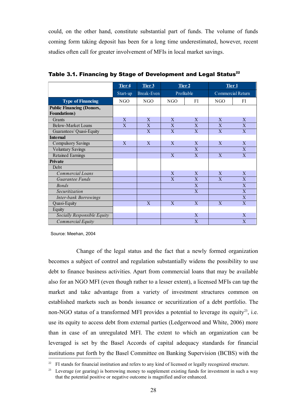could, on the other hand, constitute substantial part of funds. The volume of funds coming form taking deposit has been for a long time underestimated, however, recent studies often call for greater involvement of MFIs in local market savings.

|                                                          | Tier <sub>4</sub> | Tier <sub>3</sub> | Tier 2           |                | Tier 1            |              |  |
|----------------------------------------------------------|-------------------|-------------------|------------------|----------------|-------------------|--------------|--|
|                                                          | Start-up          | Break-Even        | Profitable       |                | Commercial Return |              |  |
| <b>Type of Financing</b>                                 | NGO               | N <sub>G</sub> O  | N <sub>G</sub> O | FI             | N <sub>G</sub> O  | FI           |  |
| <b>Public Financing (Donors,</b><br><b>Foundations</b> ) |                   |                   |                  |                |                   |              |  |
| Grants                                                   | $\mathbf{X}$      | $\mathbf{X}$      | $\mathbf{X}$     | $\mathbf{X}$   | $\overline{X}$    | $\mathbf{X}$ |  |
| <b>Below-Market Loans</b>                                | $\mathbf{X}$      | $\mathbf{X}$      | $\mathbf{X}$     | $\mathbf{X}$   | $\overline{X}$    | $\mathbf{X}$ |  |
| Guarantees/ Quasi-Equity                                 |                   | $\mathbf{X}$      | $\mathbf{X}$     | X              | $\mathbf{X}$      | X            |  |
| <b>Internal</b>                                          |                   |                   |                  |                |                   |              |  |
| Compulsory Savings                                       | $\mathbf{X}$      | $\mathbf{X}$      | $\mathbf{X}$     | X              | X                 | $\mathbf{X}$ |  |
| <b>Voluntary Savings</b>                                 |                   |                   |                  | $\overline{X}$ |                   | X            |  |
| Retained Earnings                                        |                   |                   | $\mathbf{X}$     | $\mathbf{X}$   | $\overline{X}$    | $\mathbf{X}$ |  |
| <b>Private</b>                                           |                   |                   |                  |                |                   |              |  |
| Debt                                                     |                   |                   |                  |                |                   |              |  |
| Commercial Loans                                         |                   |                   | $\mathbf{X}$     | $\mathbf{X}$   | $\mathbf{X}$      | $\mathbf{X}$ |  |
| Guarantee Funds                                          |                   |                   | $\mathbf{X}$     | $\mathbf{X}$   | $\mathbf{X}$      | $\mathbf{X}$ |  |
| <b>Bonds</b>                                             |                   |                   |                  | $\mathbf{X}$   |                   | $\mathbf{X}$ |  |
| Securitization                                           |                   |                   |                  | X              |                   | $\mathbf{X}$ |  |
| <b>Inter-bank Borrowings</b>                             |                   |                   |                  |                |                   | X            |  |
| Quasi-Equity                                             |                   | $\mathbf{X}$      | $\overline{X}$   | X              | X                 | $\mathbf{X}$ |  |
| Equity                                                   |                   |                   |                  |                |                   |              |  |
| Socially Responsible Equity                              |                   |                   |                  | $\mathbf{X}$   |                   | X            |  |
| Commercial Equity                                        |                   |                   |                  | $\mathbf{X}$   |                   | $\mathbf{X}$ |  |

Table 3.1. Financing by Stage of Development and Legal Status<sup>[22](#page-37-0)</sup>

Source: Meehan, 2004

Change of the legal status and the fact that a newly formed organization becomes a subject of control and regulation substantially widens the possibility to use debt to finance business activities. Apart from commercial loans that may be available also for an NGO MFI (even though rather to a lesser extent), a licensed MFIs can tap the market and take advantage from a variety of investment structures common on established markets such as bonds issuance or securitization of a debt portfolio. The non-NGO status of a transformed MFI provides a potential to leverage its equity<sup>[23](#page-37-1)</sup>, i.e. use its equity to access debt from external parties (Ledgerwood and White, 2006) more than in case of an unregulated MFI. The extent to which an organization can be leveraged is set by the Basel Accords of capital adequacy standards for financial institutions put forth by the Basel Committee on Banking Supervision (BCBS) with the

<span id="page-37-0"></span><sup>&</sup>lt;sup>22</sup> FI stands for financial institution and refers to any kind of licensed or legally recognized structure.

<span id="page-37-1"></span><sup>&</sup>lt;sup>23</sup> Leverage (or gearing) is borrowing money to supplement existing funds for investment in such a way that the potential positive or negative outcome is magnified and/or enhanced.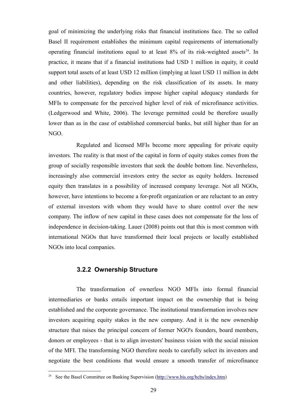goal of minimizing the underlying risks that financial institutions face. The so called Basel II requirement establishes the minimum capital requirements of internationally operating financial institutions equal to at least  $8\%$  of its risk-weighted assets<sup>[24](#page-38-0)</sup>. In practice, it means that if a financial institutions had USD 1 million in equity, it could support total assets of at least USD 12 million (implying at least USD 11 million in debt and other liabilities), depending on the risk classification of its assets. In many countries, however, regulatory bodies impose higher capital adequacy standards for MFIs to compensate for the perceived higher level of risk of microfinance activities. (Ledgerwood and White, 2006). The leverage permitted could be therefore usually lower than as in the case of established commercial banks, but still higher than for an NGO.

Regulated and licensed MFIs become more appealing for private equity investors. The reality is that most of the capital in form of equity stakes comes from the group of socially responsible investors that seek the double bottom line. Nevertheless, increasingly also commercial investors entry the sector as equity holders. Increased equity then translates in a possibility of increased company leverage. Not all NGOs, however, have intentions to become a for-profit organization or are reluctant to an entry of external investors with whom they would have to share control over the new company. The inflow of new capital in these cases does not compensate for the loss of independence in decision-taking. Lauer (2008) points out that this is most common with international NGOs that have transformed their local projects or locally established NGOs into local companies.

#### **3.2.2 Ownership Structure**

The transformation of ownerless NGO MFIs into formal financial intermediaries or banks entails important impact on the ownership that is being established and the corporate governance. The institutional transformation involves new investors acquiring equity stakes in the new company. And it is the new ownership structure that raises the principal concern of former NGO's founders, board members, donors or employees - that is to align investors' business vision with the social mission of the MFI. The transforming NGO therefore needs to carefully select its investors and negotiate the best conditions that would ensure a smooth transfer of microfinance

<span id="page-38-0"></span><sup>&</sup>lt;sup>24</sup> See the Basel Committee on Banking Supervision [\(http://www.bis.org/bcbs/index.htm\)](http://www.bis.org/bcbs/index.htm)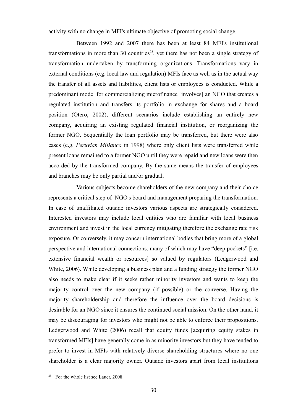activity with no change in MFI's ultimate objective of promoting social change.

Between 1992 and 2007 there has been at least 84 MFI's institutional transformations in more than 30 countries<sup>[25](#page-39-0)</sup>, yet there has not been a single strategy of transformation undertaken by transforming organizations. Transformations vary in external conditions (e.g. local law and regulation) MFIs face as well as in the actual way the transfer of all assets and liabilities, client lists or employees is conducted. While a predominant model for commercializing microfinance [involves] an NGO that creates a regulated institution and transfers its portfolio in exchange for shares and a board position (Otero, 2002), different scenarios include establishing an entirely new company, acquiring an existing regulated financial institution, or reorganizing the former NGO. Sequentially the loan portfolio may be transferred, but there were also cases (e.g. *Peruvian MiBanco* in 1998) where only client lists were transferred while present loans remained to a former NGO until they were repaid and new loans were then accorded by the transformed company. By the same means the transfer of employees and branches may be only partial and/or gradual.

Various subjects become shareholders of the new company and their choice represents a critical step of NGO's board and management preparing the transformation. In case of unaffiliated outside investors various aspects are strategically considered. Interested investors may include local entities who are familiar with local business environment and invest in the local currency mitigating therefore the exchange rate risk exposure. Or conversely, it may concern international bodies that bring more of a global perspective and international connections, many of which may have "deep pockets" [i.e. extensive financial wealth or resources] so valued by regulators (Ledgerwood and White, 2006). While developing a business plan and a funding strategy the former NGO also needs to make clear if it seeks rather minority investors and wants to keep the majority control over the new company (if possible) or the converse. Having the majority shareholdership and therefore the influence over the board decisions is desirable for an NGO since it ensures the continued social mission. On the other hand, it may be discouraging for investors who might not be able to enforce their propositions. Ledgerwood and White (2006) recall that equity funds [acquiring equity stakes in transformed MFIs] have generally come in as minority investors but they have tended to prefer to invest in MFIs with relatively diverse shareholding structures where no one shareholder is a clear majority owner. Outside investors apart from local institutions

<span id="page-39-0"></span><sup>&</sup>lt;sup>25</sup> For the whole list see Lauer, 2008.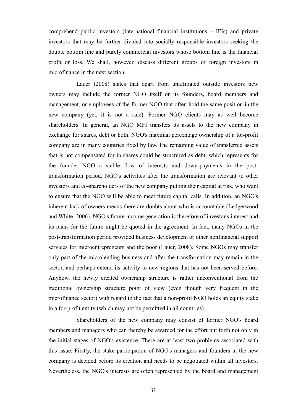comprehend public investors (international financial institutions – IFIs) and private investors that may be further divided into socially responsible investors seeking the double bottom line and purely commercial investors whose bottom line is the financial profit or loss. We shall, however, discuss different groups of foreign investors in microfinance in the next section.

Lauer (2008) states that apart from unaffiliated outside investors new owners may include the former NGO itself or its founders, board members and management, or employees of the former NGO that often hold the same position in the new company (yet, it is not a rule). Former NGO clients may as well become shareholders. In general, an NGO MFI transfers its assets to the new company in exchange for shares, debt or both. NGO's maximal percentage ownership of a for-profit company are in many countries fixed by law. The remaining value of transferred assets that is not compensated for in shares could be structured as debt, which represents for the founder NGO a stable flow of interests and down-payments in the posttransformation period. NGO's activities after the transformation are relevant to other investors and co-shareholders of the new company putting their capital at risk, who want to ensure that the NGO will be able to meet future capital calls. In addition, an NGO's inherent lack of owners means there are doubts about who is accountable (Ledgerwood and White, 2006). NGO's future income generation is therefore of investor's interest and its plans for the future might be quoted in the agreement. In fact, many NGOs in the post-transformation period provided business development or other nonfinancial support services for microentrepreneurs and the poor (Lauer, 2008). Some NGOs may transfer only part of the microlending business and after the transformation may remain in the sector, and perhaps extend its activity to new regions that has not been served before. Anyhow, the newly created ownership structure is rather unconventional from the traditional ownership structure point of view (even though very frequent in the microfinance sector) with regard to the fact that a non-profit NGO holds an equity stake in a for-profit entity (which may not be permitted in all countries).

Shareholders of the new company may consist of former NGO's board members and managers who can thereby be awarded for the effort put forth not only in the initial stages of NGO's existence. There are at least two problems associated with this issue. Firstly, the stake participation of NGO's managers and founders in the new company is decided before its creation and needs to be negotiated within all investors. Nevertheless, the NGO's interests are often represented by the board and management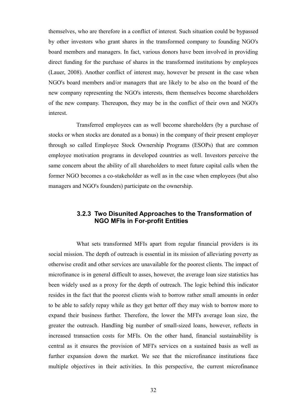themselves, who are therefore in a conflict of interest. Such situation could be bypassed by other investors who grant shares in the transformed company to founding NGO's board members and managers. In fact, various donors have been involved in providing direct funding for the purchase of shares in the transformed institutions by employees (Lauer, 2008). Another conflict of interest may, however be present in the case when NGO's board members and/or managers that are likely to be also on the board of the new company representing the NGO's interests, them themselves become shareholders of the new company. Thereupon, they may be in the conflict of their own and NGO's interest.

Transferred employees can as well become shareholders (by a purchase of stocks or when stocks are donated as a bonus) in the company of their present employer through so called Employee Stock Ownership Programs (ESOPs) that are common employee motivation programs in developed countries as well. Investors perceive the same concern about the ability of all shareholders to meet future capital calls when the former NGO becomes a co-stakeholder as well as in the case when employees (but also managers and NGO's founders) participate on the ownership.

# **3.2.3 Two Disunited Approaches to the Transformation of NGO MFIs in For-profit Entities**

What sets transformed MFIs apart from regular financial providers is its social mission. The depth of outreach is essential in its mission of alleviating poverty as otherwise credit and other services are unavailable for the poorest clients. The impact of microfinance is in general difficult to asses, however, the average loan size statistics has been widely used as a proxy for the depth of outreach. The logic behind this indicator resides in the fact that the poorest clients wish to borrow rather small amounts in order to be able to safely repay while as they get better off they may wish to borrow more to expand their business further. Therefore, the lower the MFI's average loan size, the greater the outreach. Handling big number of small-sized loans, however, reflects in increased transaction costs for MFIs. On the other hand, financial sustainability is central as it ensures the provision of MFI's services on a sustained basis as well as further expansion down the market. We see that the microfinance institutions face multiple objectives in their activities. In this perspective, the current microfinance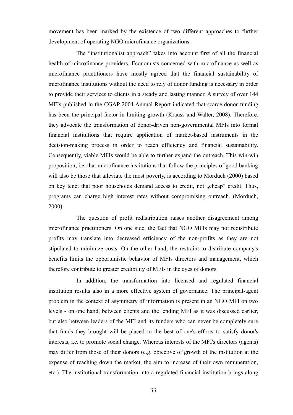movement has been marked by the existence of two different approaches to further development of operating NGO microfinance organizations.

The "institutionalist approach" takes into account first of all the financial health of microfinance providers. Economists concerned with microfinance as well as microfinance practitioners have mostly agreed that the financial sustainability of microfinance institutions without the need to rely of donor funding is necessary in order to provide their services to clients in a steady and lasting manner. A survey of over 144 MFIs published in the CGAP 2004 Annual Report indicated that scarce donor funding has been the principal factor in limiting growth (Krauss and Walter, 2008). Therefore, they advocate the transformation of donor-driven non-governmental MFIs into formal financial institutions that require application of market-based instruments in the decision-making process in order to reach efficiency and financial sustainability. Consequently, viable MFIs would be able to further expand the outreach. This win-win proposition, i.e. that microfinance institutions that follow the principles of good banking will also be those that alleviate the most poverty, is according to Morduch (2000) based on key tenet that poor households demand access to credit, not "cheap" credit. Thus, programs can charge high interest rates without compromising outreach. (Morduch, 2000).

The question of profit redistribution raises another disagreement among microfinance practitioners. On one side, the fact that NGO MFIs may not redistribute profits may translate into decreased efficiency of the non-profits as they are not stipulated to minimize costs. On the other hand, the restraint to distribute company's benefits limits the opportunistic behavior of MFIs directors and management, which therefore contribute to greater credibility of MFIs in the eyes of donors.

In addition, the transformation into licensed and regulated financial institution results also in a more effective system of governance. The principal-agent problem in the context of asymmetry of information is present in an NGO MFI on two levels - on one hand, between clients and the lending MFI as it was discussed earlier, but also between leaders of the MFI and its funders who can never be completely sure that funds they brought will be placed to the best of one's efforts to satisfy donor's interests, i.e. to promote social change. Whereas interests of the MFI's directors (agents) may differ from those of their donors (e.g. objective of growth of the institution at the expense of reaching down the market, the aim to increase of their own remuneration, etc.). The institutional transformation into a regulated financial institution brings along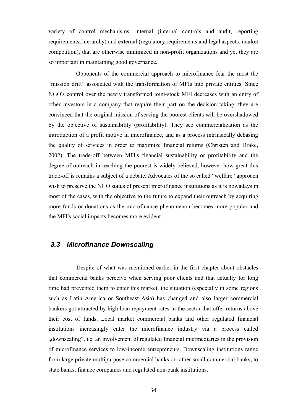variety of control mechanisms, internal (internal controls and audit, reporting requirements, hierarchy) and external (regulatory requirements and legal aspects, market competition), that are otherwise minimized in non-profit organizations and yet they are so important in maintaining good governance.

Opponents of the commercial approach to microfinance fear the most the "mission drift" associated with the transformation of MFIs into private entities. Since NGO's control over the newly transformed joint-stock MFI decreases with an entry of other investors in a company that require their part on the decision taking, they are convinced that the original mission of serving the poorest clients will be overshadowed by the objective of sustainability (profitability). They see commercialization as the introduction of a profit motive in microfinance, and as a process intrinsically debasing the quality of services in order to maximize financial returns (Christen and Drake, 2002). The trade-off between MFI's financial sustainability or profitability and the degree of outreach in reaching the poorest is widely believed, however how great this trade-off is remains a subject of a debate. Advocates of the so called "welfare" approach wish to preserve the NGO status of present microfinance institutions as it is nowadays in most of the cases, with the objective to the future to expand their outreach by acquiring more funds or donations as the microfinance phenomenon becomes more popular and the MFI's social impacts becomes more evident.

# *3.3 Microfinance Downscaling*

Despite of what was mentioned earlier in the first chapter about obstacles that commercial banks perceive when serving poor clients and that actually for long time had prevented them to enter this market, the situation (especially in some regions such as Latin America or Southeast Asia) has changed and also larger commercial bankers got attracted by high loan repayment rates in the sector that offer returns above their cost of funds. Local market commercial banks and other regulated financial institutions increasingly enter the microfinance industry via a process called "downscaling", i.e. an involvement of regulated financial intermediaries in the provision of microfinance services to low-income entrepreneurs. Downscaling institutions range from large private multipurpose commercial banks or rather small commercial banks, to state banks, finance companies and regulated non-bank institutions.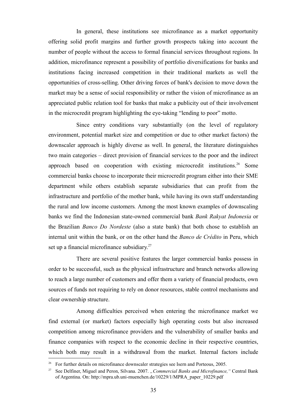In general, these institutions see microfinance as a market opportunity offering solid profit margins and further growth prospects taking into account the number of people without the access to formal financial services throughout regions. In addition, microfinance represent a possibility of portfolio diversifications for banks and institutions facing increased competition in their traditional markets as well the opportunities of cross-selling. Other driving forces of bank's decision to move down the market may be a sense of social responsibility or rather the vision of microfinance as an appreciated public relation tool for banks that make a publicity out of their involvement in the microcredit program highlighting the eye-taking "lending to poor" motto.

Since entry conditions vary substantially (on the level of regulatory environment, potential market size and competition or due to other market factors) the downscaler approach is highly diverse as well. In general, the literature distinguishes two main categories – direct provision of financial services to the poor and the indirect approach based on cooperation with existing microcredit institutions.<sup>[26](#page-44-0)</sup> Some commercial banks choose to incorporate their microcredit program either into their SME department while others establish separate subsidiaries that can profit from the infrastructure and portfolio of the mother bank, while having its own staff understanding the rural and low income customers*.* Among the most known examples of downscaling banks we find the Indonesian state-owned commercial bank *Bank Rakyat Indonesia* or the Brazilian *Banco Do Nordeste* (also a state bank) that both chose to establish an internal unit within the bank, or on the other hand the *Banco de Crédito* in Peru, which set up a financial microfinance subsidiary.<sup>[27](#page-44-1)</sup>

There are several positive features the larger commercial banks possess in order to be successful, such as the physical infrastructure and branch networks allowing to reach a large number of customers and offer them a variety of financial products, own sources of funds not requiring to rely on donor resources, stable control mechanisms and clear ownership structure.

Among difficulties perceived when entering the microfinance market we find external (or market) factors especially high operating costs but also increased competition among microfinance providers and the vulnerability of smaller banks and finance companies with respect to the economic decline in their respective countries, which both may result in a withdrawal from the market. Internal factors include

<span id="page-44-0"></span><sup>&</sup>lt;sup>26</sup> For further details on microfinance downscaler strategies see Isern and Porteous, 2005.

<span id="page-44-1"></span><sup>&</sup>lt;sup>27</sup> See Delfiner, Miguel and Peron, Silvana. 2007. *"Commercial Banks and Microfinance*, " Central Bank of Argentina. On: http://mpra.ub.uni-muenchen.de/10229/1/MPRA\_paper\_10229.pdf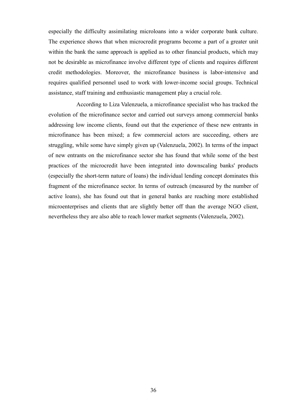especially the difficulty assimilating microloans into a wider corporate bank culture. The experience shows that when microcredit programs become a part of a greater unit within the bank the same approach is applied as to other financial products, which may not be desirable as microfinance involve different type of clients and requires different credit methodologies. Moreover, the microfinance business is labor-intensive and requires qualified personnel used to work with lower-income social groups. Technical assistance, staff training and enthusiastic management play a crucial role.

According to Liza Valenzuela, a microfinance specialist who has tracked the evolution of the microfinance sector and carried out surveys among commercial banks addressing low income clients, found out that the experience of these new entrants in microfinance has been mixed; a few commercial actors are succeeding, others are struggling, while some have simply given up (Valenzuela, 2002). In terms of the impact of new entrants on the microfinance sector she has found that while some of the best practices of the microcredit have been integrated into downscaling banks' products (especially the short-term nature of loans) the individual lending concept dominates this fragment of the microfinance sector. In terms of outreach (measured by the number of active loans), she has found out that in general banks are reaching more established microenterprises and clients that are slightly better off than the average NGO client, nevertheless they are also able to reach lower market segments (Valenzuela, 2002).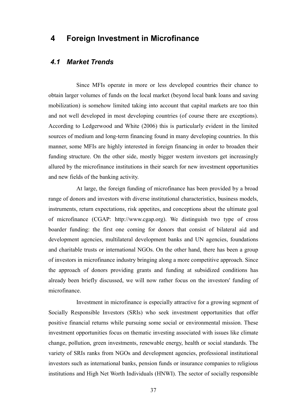# **4 Foreign Investment in Microfinance**

## *4.1 Market Trends*

Since MFIs operate in more or less developed countries their chance to obtain larger volumes of funds on the local market (beyond local bank loans and saving mobilization) is somehow limited taking into account that capital markets are too thin and not well developed in most developing countries (of course there are exceptions). According to Ledgerwood and White (2006) this is particularly evident in the limited sources of medium and long-term financing found in many developing countries. In this manner, some MFIs are highly interested in foreign financing in order to broaden their funding structure. On the other side, mostly bigger western investors get increasingly allured by the microfinance institutions in their search for new investment opportunities and new fields of the banking activity.

At large, the foreign funding of microfinance has been provided by a broad range of donors and investors with diverse institutional characteristics, business models, instruments, return expectations, risk appetites, and conceptions about the ultimate goal of microfinance (CGAP: http://www.cgap.org). We distinguish two type of cross boarder funding: the first one coming for donors that consist of bilateral aid and development agencies, multilateral development banks and UN agencies, foundations and charitable trusts or international NGOs. On the other hand, there has been a group of investors in microfinance industry bringing along a more competitive approach. Since the approach of donors providing grants and funding at subsidized conditions has already been briefly discussed, we will now rather focus on the investors' funding of microfinance.

Investment in microfinance is especially attractive for a growing segment of Socially Responsible Investors (SRIs) who seek investment opportunities that offer positive financial returns while pursuing some social or environmental mission. These investment opportunities focus on thematic investing associated with issues like climate change, pollution, green investments, renewable energy, health or social standards. The variety of SRIs ranks from NGOs and development agencies, professional institutional investors such as international banks, pension funds or insurance companies to religious institutions and High Net Worth Individuals (HNWI). The sector of socially responsible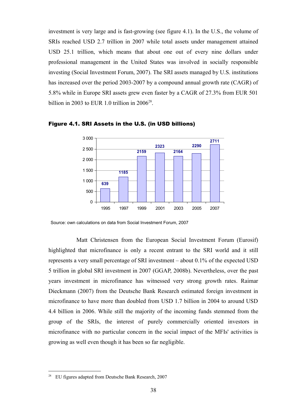investment is very large and is fast-growing (see figure 4.1). In the U.S., the volume of SRIs reached USD 2.7 trillion in 2007 while total assets under management attained USD 25.1 trillion, which means that about one out of every nine dollars under professional management in the United States was involved in socially responsible investing (Social Investment Forum, 2007). The SRI assets managed by U.S. institutions has increased over the period 2003-2007 by a compound annual growth rate (CAGR) of 5.8% while in Europe SRI assets grew even faster by a CAGR of 27.3% from EUR 501 billion in 2003 to EUR 1.0 trillion in  $2006^{28}$  $2006^{28}$  $2006^{28}$ .



Figure 4.1. SRI Assets in the U.S. (in USD billions)

Matt Christensen from the European Social Investment Forum (Eurosif) highlighted that microfinance is only a recent entrant to the SRI world and it still represents a very small percentage of SRI investment – about 0.1% of the expected USD 5 trillion in global SRI investment in 2007 (GGAP, 2008b). Nevertheless, over the past years investment in microfinance has witnessed very strong growth rates. Raimar Dieckmann (2007) from the Deutsche Bank Research estimated foreign investment in microfinance to have more than doubled from USD 1.7 billion in 2004 to around USD 4.4 billion in 2006. While still the majority of the incoming funds stemmed from the group of the SRIs, the interest of purely commercially oriented investors in microfinance with no particular concern in the social impact of the MFIs' activities is growing as well even though it has been so far negligible.

Source: own calculations on data from Social Investment Forum, 2007

<span id="page-47-0"></span><sup>28</sup> EU figures adapted from Deutsche Bank Research, 2007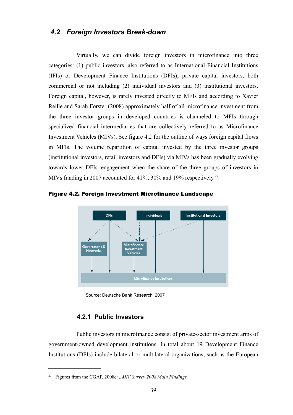# *4.2 Foreign Investors Break-down*

Virtually, we can divide foreign investors in microfinance into three categories: (1) public investors, also referred to as International Financial Institutions (IFIs) or Development Finance Institutions (DFIs); private capital investors, both commercial or not including (2) individual investors and (3) institutional investors. Foreign capital, however, is rarely invested directly to MFIs and according to Xavier Reille and Sarah Forster (2008) approximately half of all microfinance investment from the three investor groups in developed countries is channeled to MFIs through specialized financial intermediaries that are collectively referred to as Microfinance Investment Vehicles (MIVs). See figure 4.2 for the outline of ways foreign capital flows in MFIs. The volume repartition of capital invested by the three investor groups (institutional investors, retail investors and DFIs) via MIVs has been gradually evolving towards lower DFIs' engagement when the share of the three groups of investors in MIVs funding in 2007 accounted for 41%, 30% and 19% respectively.<sup>[29](#page-48-0)</sup>



Figure 4.2. Foreign Investment Microfinance Landscape

Source: Deutsche Bank Research, 2007

## **4.2.1 Public Investors**

Public investors in microfinance consist of private-sector investment arms of government-owned development institutions. In total about 19 Development Finance Institutions (DFIs) include bilateral or multilateral organizations, such as the European

<span id="page-48-0"></span>Figures from the CGAP, 2008c: *.MIV Survey 2008 Main Findings*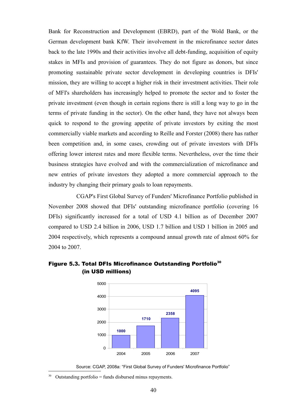Bank for Reconstruction and Development (EBRD), part of the Wold Bank, or the German development bank KfW. Their involvement in the microfinance sector dates back to the late 1990s and their activities involve all debt-funding, acquisition of equity stakes in MFIs and provision of guarantees. They do not figure as donors, but since promoting sustainable private sector development in developing countries is DFIs' mission, they are willing to accept a higher risk in their investment activities. Their role of MFI's shareholders has increasingly helped to promote the sector and to foster the private investment (even though in certain regions there is still a long way to go in the terms of private funding in the sector). On the other hand, they have not always been quick to respond to the growing appetite of private investors by exiting the most commercially viable markets and according to Reille and Forster (2008) there has rather been competition and, in some cases, crowding out of private investors with DFIs offering lower interest rates and more flexible terms. Nevertheless, over the time their business strategies have evolved and with the commercialization of microfinance and new entries of private investors they adopted a more commercial approach to the industry by changing their primary goals to loan repayments.

CGAP's First Global Survey of Funders' Microfinance Portfolio published in November 2008 showed that DFIs' outstanding microfinance portfolio (covering 16 DFIs) significantly increased for a total of USD 4.1 billion as of December 2007 compared to USD 2.4 billion in 2006, USD 1.7 billion and USD 1 billion in 2005 and 2004 respectively, which represents a compound annual growth rate of almost 60% for 2004 to 2007.



Figure 5.3. Total DFIs Microfinance Outstanding Portfolio<sup>[30](#page-49-0)</sup> (in USD millions)

Source: CGAP, 2008a: "First Global Survey of Funders' Microfinance Portfolio"

<span id="page-49-0"></span> $30$  Outstanding portfolio = funds disbursed minus repayments.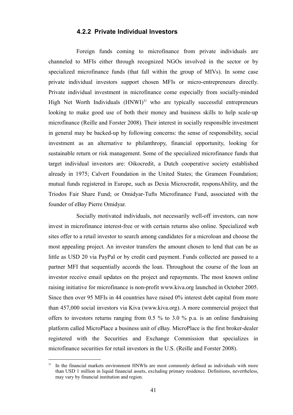### **4.2.2 Private Individual Investors**

Foreign funds coming to microfinance from private individuals are channeled to MFIs either through recognized NGOs involved in the sector or by specialized microfinance funds (that fall within the group of MIVs). In some case private individual investors support chosen MFIs or micro-entrepreneurs directly. Private individual investment in microfinance come especially from socially-minded High Net Worth Individuals  $(HNWI)^{31}$  $(HNWI)^{31}$  $(HNWI)^{31}$  who are typically successful entrepreneurs looking to make good use of both their money and business skills to help scale-up microfinance (Reille and Forster 2008)*.* Their interest in socially responsible investment in general may be backed-up by following concerns: the sense of responsibility, social investment as an alternative to philanthropy, financial opportunity, looking for sustainable return or risk management. Some of the specialized microfinance funds that target individual investors are: Oikocredit, a Dutch cooperative society established already in 1975; Calvert Foundation in the United States; the Grameen Foundation; mutual funds registered in Europe, such as Dexia Microcredit, responsAbility, and the Triodos Fair Share Fund; or Omidyar-Tufts Microfinance Fund, associated with the founder of eBay Pierre Omidyar.

Socially motivated individuals, not necessarily well-off investors, can now invest in microfinance interest-free or with certain returns also online. Specialized web sites offer to a retail investor to search among candidates for a microloan and choose the most appealing project. An investor transfers the amount chosen to lend that can be as little as USD 20 via PayPal or by credit card payment. Funds collected are passed to a partner MFI that sequentially accords the loan. Throughout the course of the loan an investor receive email updates on the project and repayments. The most known online raising initiative for microfinance is non-profit www.kiva.org launched in October 2005. Since then over 95 MFIs in 44 countries have raised 0% interest debt capital from more than 457,000 social investors via Kiva (www.kiva.org). A more commercial project that offers to investors returns ranging from 0.5  $\%$  to 3.0  $\%$  p.a. is an online fundraising platform called MicroPlace a business unit of eBay. MicroPlace is the first broker-dealer registered with the Securities and Exchange Commission that specializes in microfinance securities for retail investors in the U.S. (Reille and Forster 2008).

<span id="page-50-0"></span>In the financial markets environment HNWIs are most commonly defined as individuals with more than USD 1 million in liquid financial assets, excluding primary residence. Definitions, nevertheless, may vary by financial institution and region.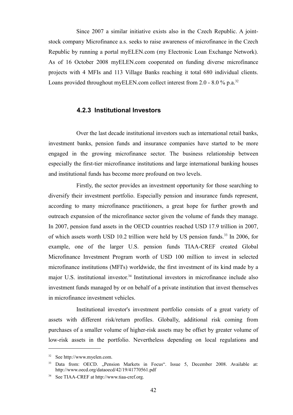Since 2007 a similar initiative exists also in the Czech Republic. A jointstock company Microfinance a.s. seeks to raise awareness of microfinance in the Czech Republic by running a portal myELEN.com (my Electronic Loan Exchange Network). As of 16 October 2008 myELEN.com cooperated on funding diverse microfinance projects with 4 MFIs and 113 Village Banks reaching it total 680 individual clients. Loans provided throughout myELEN.com collect interest from 2.0 - 8.0 % p.a.<sup>[32](#page-51-0)</sup>

### **4.2.3 Institutional Investors**

Over the last decade institutional investors such as international retail banks, investment banks, pension funds and insurance companies have started to be more engaged in the growing microfinance sector. The business relationship between especially the first-tier microfinance institutions and large international banking houses and institutional funds has become more profound on two levels.

Firstly, the sector provides an investment opportunity for those searching to diversify their investment portfolio. Especially pension and insurance funds represent, according to many microfinance practitioners, a great hope for further growth and outreach expansion of the microfinance sector given the volume of funds they manage. In 2007, pension fund assets in the OECD countries reached USD 17.9 trillion in 2007, of which assets worth USD 10.2 trillion were held by US pension funds.<sup>[33](#page-51-1)</sup> In 2006, for example, one of the larger U.S. pension funds TIAA-CREF created Global Microfinance Investment Program worth of USD 100 million to invest in selected microfinance institutions (MFI's) worldwide, the first investment of its kind made by a major U.S. institutional investor.<sup>[34](#page-51-2)</sup> Institutional investors in microfinance include also investment funds managed by or on behalf of a private institution that invest themselves in microfinance investment vehicles.

Institutional investor's investment portfolio consists of a great variety of assets with different risk/return profiles. Globally, additional risk coming from purchases of a smaller volume of higher-risk assets may be offset by greater volume of low-risk assets in the portfolio. Nevertheless depending on local regulations and

<span id="page-51-0"></span><sup>32</sup> See http://www.myelen.com.

<span id="page-51-1"></span><sup>&</sup>lt;sup>33</sup> Data from: OECD. "Pension Markets in Focus". Issue 5, December 2008. Available at: http://www.oecd.org/dataoecd/42/19/41770561.pdf

<span id="page-51-2"></span><sup>&</sup>lt;sup>34</sup> See TIAA-CREF at http://www.tiaa-cref.org.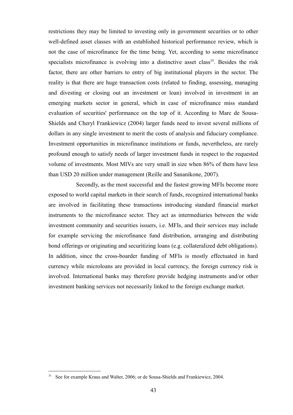restrictions they may be limited to investing only in government securities or to other well-defined asset classes with an established historical performance review, which is not the case of microfinance for the time being. Yet, according to some microfinance specialists microfinance is evolving into a distinctive asset class<sup>[35](#page-52-0)</sup>. Besides the risk factor, there are other barriers to entry of big institutional players in the sector. The reality is that there are huge transaction costs (related to finding, assessing, managing and divesting or closing out an investment or loan) involved in investment in an emerging markets sector in general, which in case of microfinance miss standard evaluation of securities' performance on the top of it. According to Marc de Sousa-Shields and Cheryl Frankiewicz (2004) larger funds need to invest several millions of dollars in any single investment to merit the costs of analysis and fiduciary compliance. Investment opportunities in microfinance institutions or funds, nevertheless, are rarely profound enough to satisfy needs of larger investment funds in respect to the requested volume of investments. Most MIVs are very small in size when 86% of them have less than USD 20 million under management (Reille and Sananikone, 2007).

Secondly, as the most successful and the fastest growing MFIs become more exposed to world capital markets in their search of funds, recognized international banks are involved in facilitating these transactions introducing standard financial market instruments to the microfinance sector. They act as intermediaries between the wide investment community and securities issuers, i.e. MFIs, and their services may include for example servicing the microfinance fund distribution, arranging and distributing bond offerings or originating and securitizing loans (e.g. collateralized debt obligations). In addition, since the cross-boarder funding of MFIs is mostly effectuated in hard currency while microloans are provided in local currency, the foreign currency risk is involved. International banks may therefore provide hedging instruments and/or other investment banking services not necessarily linked to the foreign exchange market.

<span id="page-52-0"></span><sup>35</sup> See for example Kraus and Walter, 2006; or de Sousa-Shields and Frankiewicz, 2004.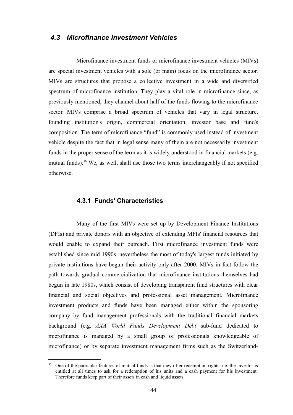# *4.3 Microfinance Investment Vehicles*

Microfinance investment funds or microfinance investment vehicles (MIVs) are special investment vehicles with a sole (or main) focus on the microfinance sector. MIVs are structures that propose a collective investment in a wide and diversified spectrum of microfinance institution. They play a vital role in microfinance since, as previously mentioned, they channel about half of the funds flowing to the microfinance sector. MIVs comprise a broad spectrum of vehicles that vary in legal structure, founding institution's origin, commercial orientation, investor base and fund's composition. The term of microfinance "fund" is commonly used instead of investment vehicle despite the fact that in legal sense many of them are not necessarily investment funds in the proper sense of the term as it is widely understood in financial markets (e.g. mutual funds).<sup>[36](#page-53-0)</sup> We, as well, shall use those two terms interchangeably if not specified otherwise.

# **4.3.1 Funds' Characteristics**

Many of the first MIVs were set up by Development Finance Institutions (DFIs) and private donors with an objective of extending MFIs' financial resources that would enable to expand their outreach. First microfinance investment funds were established since mid 1990s, nevertheless the most of today's largest funds initiated by private institutions have begun their activity only after 2000. MIVs in fact follow the path towards gradual commercialization that microfinance institutions themselves had begun in late 1980s, which consist of developing transparent fund structures with clear financial and social objectives and professional asset management. Microfinance investment products and funds have been managed either within the sponsoring company by fund management professionals with the traditional financial markets background (e.g. *AXA World Funds Development Debt* sub-fund dedicated to microfinance is managed by a small group of professionals knowledgeable of microfinance) or by separate investment management firms such as the Switzerland-

<span id="page-53-0"></span><sup>36</sup> One of the particular features of mutual funds is that they offer redemption rights, i.e. the investor is entitled at all times to ask for a redemption of his units and a cash payment for his investment. Therefore funds keep part of their assets in cash and liquid assets.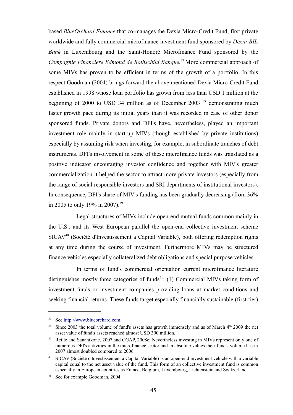based *BlueOrchard Finance* that co-manages the Dexia Micro-Credit Fund, first private worldwide and fully commercial microfinance investment fund sponsored by *Dexia-BIL Bank* in Luxembourg and the Saint-Honoré Microfinance Fund sponsored by the *Compagnie Financière Edmond de Rothschild Banque.*[37](#page-54-0) More commercial approach of some MIVs has proven to be efficient in terms of the growth of a portfolio. In this respect Goodman (2004) brings forward the above mentioned Dexia Micro-Credit Fund established in 1998 whose loan portfolio has grown from less than USD 1 million at the beginningof 2000 to USD 34 million as of December 2003<sup>38</sup> demonstrating much faster growth pace during its initial years than it was recorded in case of other donor sponsored funds. Private donors and DFI's have, nevertheless, played an important investment role mainly in start-up MIVs (though established by private institutions) especially by assuming risk when investing, for example, in subordinate tranches of debt instruments. DFI's involvement in some of these microfinance funds was translated as a positive indicator encouraging investor confidence and together with MIV's greater commercialization it helped the sector to attract more private investors (especially from the range of social responsible investors and SRI departments of institutional investors). In consequence, DFI's share of MIV's funding has been gradually decreasing (from 36% in 2005 to only 19% in 2007).[39](#page-54-2)

Legal structures of MIVs include open-end mutual funds common mainly in the U.S., and its West European parallel the open-end collective investment scheme SICAV<sup>[40](#page-54-3)</sup> (Société d'Investissement à Capital Variable), both offering redemption rights at any time during the course of investment. Furthermore MIVs may be structured finance vehicles especially collateralized debt obligations and special purpose vehicles.

In terms of fund's commercial orientation current microfinance literature distinguishes mostly three categories of funds<sup>[41](#page-54-4)</sup>: (1) Commercial MIVs taking form of investment funds or investment companies providing loans at market conditions and seeking financial returns. These funds target especially financially sustainable (first-tier)

<span id="page-54-0"></span><sup>37</sup> See [http://www.blueorchard.com.](http://www.blueorchard.com/)

<span id="page-54-1"></span>Since 2003 the total volume of fund's assets has growth immensely and as of March 4<sup>th</sup> 2009 the net asset value of fund's assets reached almost USD 390 million.

<span id="page-54-2"></span>Reille and Sananikone, 2007 and CGAP, 2008c; Nevertheless investing in MIVs represent only one of numerous DFI's activities in the microfinance sector and in absolute values their fund's volume has in 2007 almost doubled compared to 2006.

<span id="page-54-3"></span><sup>40</sup> SICAV (Société d'Investissement à Capital Variable) is an open-end investment vehicle with a variable capital equal to the net asset value of the fund. This form of an collective investment fund is common especially in European countries as France, Belgium, Luxembourg, Lichtenstein and Switzerland.

<span id="page-54-4"></span><sup>&</sup>lt;sup>41</sup> See for example Goodman, 2004.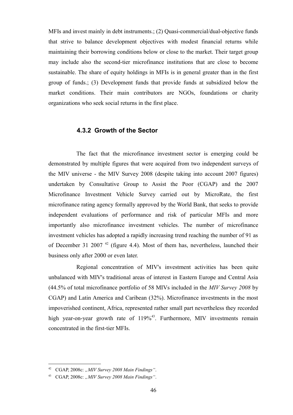MFIs and invest mainly in debt instruments.; (2) Quasi-commercial/dual-objective funds that strive to balance development objectives with modest financial returns while maintaining their borrowing conditions below or close to the market. Their target group may include also the second-tier microfinance institutions that are close to become sustainable. The share of equity holdings in MFIs is in general greater than in the first group of funds.; (3) Development funds that provide funds at subsidized below the market conditions. Their main contributors are NGOs, foundations or charity organizations who seek social returns in the first place.

#### **4.3.2 Growth of the Sector**

The fact that the microfinance investment sector is emerging could be demonstrated by multiple figures that were acquired from two independent surveys of the MIV universe - the MIV Survey 2008 (despite taking into account 2007 figures) undertaken by Consultative Group to Assist the Poor (CGAP) and the 2007 Microfinance Investment Vehicle Survey carried out by MicroRate, the first microfinance rating agency formally approved by the World Bank, that seeks to provide independent evaluations of performance and risk of particular MFIs and more importantly also microfinance investment vehicles. The number of microfinance investment vehicles has adopted a rapidly increasing trend reaching the number of 91 as ofDecember 31 2007  $42$  (figure 4.4). Most of them has, nevertheless, launched their business only after 2000 or even later.

Regional concentration of MIV's investment activities has been quite unbalanced with MIV's traditional areas of interest in Eastern Europe and Central Asia (44.5% of total microfinance portfolio of 58 MIVs included in the *MIV Survey 2008* by CGAP) and Latin America and Caribean (32%). Microfinance investments in the most impoverished continent, Africa, represented rather small part nevertheless they recorded high year-on-year growth rate of 119%<sup>[43](#page-55-1)</sup>. Furthermore, MIV investments remain concentrated in the first-tier MFIs.

<span id="page-55-0"></span><sup>&</sup>lt;sup>42</sup> CGAP, 2008c: "*MIV Survey 2008 Main Findings"*.

<span id="page-55-1"></span><sup>&</sup>lt;sup>43</sup> CGAP, 2008c: *..MIV Survey 2008 Main Findings* ".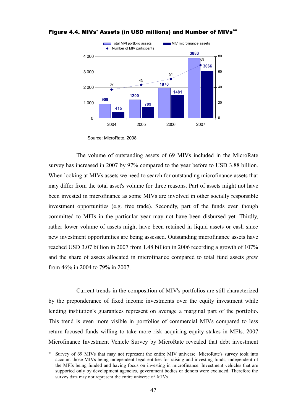

Figure 4.4. MIVs' Assets (in USD millions) and Number of MIVs<sup>[44](#page-56-0)</sup>

Source: MicroRate, 2008

The volume of outstanding assets of 69 MIVs included in the MicroRate survey has increased in 2007 by 97% compared to the year before to USD 3.88 billion. When looking at MIVs assets we need to search for outstanding microfinance assets that may differ from the total asset's volume for three reasons. Part of assets might not have been invested in microfinance as some MIVs are involved in other socially responsible investment opportunities (e.g. free trade). Secondly, part of the funds even though committed to MFIs in the particular year may not have been disbursed yet. Thirdly, rather lower volume of assets might have been retained in liquid assets or cash since new investment opportunities are being assessed. Outstanding microfinance assets have reached USD 3.07 billion in 2007 from 1.48 billion in 2006 recording a growth of 107% and the share of assets allocated in microfinance compared to total fund assets grew from 46% in 2004 to 79% in 2007.

Current trends in the composition of MIV's portfolios are still characterized by the preponderance of fixed income investments over the equity investment while lending institution's guarantees represent on average a marginal part of the portfolio. This trend is even more visible in portfolios of commercial MIVs compared to less return-focused funds willing to take more risk acquiring equity stakes in MFIs. 2007 Microfinance Investment Vehicle Survey by MicroRate revealed that debt investment

<span id="page-56-0"></span><sup>&</sup>lt;sup>44</sup> Survey of 69 MIVs that may not represent the entire MIV universe. MicroRate's survey took into account those MIVs being independent legal entities for raising and investing funds, independent of the MFIs being funded and having focus on investing in microfinance. Investment vehicles that are supported only by development agencies, government bodies or donors were excluded. Therefore the survey data may not represent the entire universe of MIVs.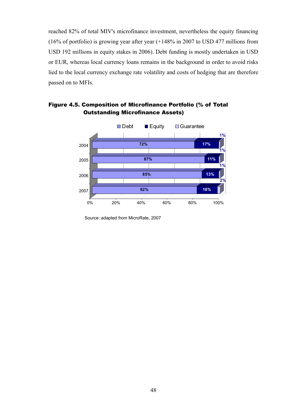reached 82% of total MIV's microfinance investment, nevertheless the equity financing (16% of portfolio) is growing year after year (+148% in 2007 to USD 477 millions from USD 192 millions in equity stakes in 2006). Debt funding is mostly undertaken in USD or EUR, whereas local currency loans remains in the background in order to avoid risks lied to the local currency exchange rate volatility and costs of hedging that are therefore passed on to MFIs.



# Figure 4.5. Composition of Microfinance Portfolio (% of Total Outstanding Microfinance Assets)

Source: adapted from MicroRate, 2007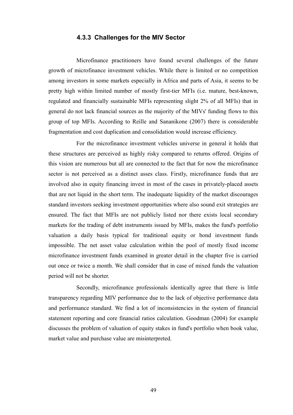### **4.3.3 Challenges for the MIV Sector**

Microfinance practitioners have found several challenges of the future growth of microfinance investment vehicles. While there is limited or no competition among investors in some markets especially in Africa and parts of Asia, it seems to be pretty high within limited number of mostly first-tier MFIs (i.e. mature, best-known, regulated and financially sustainable MFIs representing slight 2% of all MFIs) that in general do not lack financial sources as the majority of the MIVs' funding flows to this group of top MFIs. According to Reille and Sananikone (2007) there is considerable fragmentation and cost duplication and consolidation would increase efficiency.

For the microfinance investment vehicles universe in general it holds that these structures are perceived as highly risky compared to returns offered. Origins of this vision are numerous but all are connected to the fact that for now the microfinance sector is not perceived as a distinct asses class. Firstly, microfinance funds that are involved also in equity financing invest in most of the cases in privately-placed assets that are not liquid in the short term. The inadequate liquidity of the market discourages standard investors seeking investment opportunities where also sound exit strategies are ensured. The fact that MFIs are not publicly listed nor there exists local secondary markets for the trading of debt instruments issued by MFIs, makes the fund's portfolio valuation a daily basis typical for traditional equity or bond investment funds impossible. The net asset value calculation within the pool of mostly fixed income microfinance investment funds examined in greater detail in the chapter five is carried out once or twice a month. We shall consider that in case of mixed funds the valuation period will not be shorter.

Secondly, microfinance professionals identically agree that there is little transparency regarding MIV performance due to the lack of objective performance data and performance standard. We find a lot of inconsistencies in the system of financial statement reporting and core financial ratios calculation. Goodman (2004) for example discusses the problem of valuation of equity stakes in fund's portfolio when book value, market value and purchase value are misinterpreted.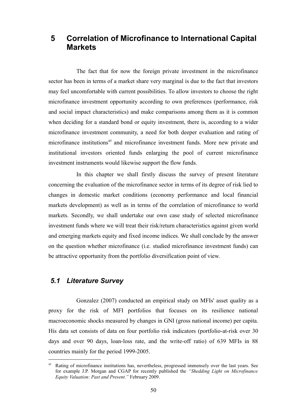# **5 Correlation of Microfinance to International Capital Markets**

The fact that for now the foreign private investment in the microfinance sector has been in terms of a market share very marginal is due to the fact that investors may feel uncomfortable with current possibilities. To allow investors to choose the right microfinance investment opportunity according to own preferences (performance, risk and social impact characteristics) and make comparisons among them as it is common when deciding for a standard bond or equity investment, there is, according to a wider microfinance investment community, a need for both deeper evaluation and rating of microfinance institutions<sup>[45](#page-59-0)</sup> and microfinance investment funds. More new private and institutional investors oriented funds enlarging the pool of current microfinance investment instruments would likewise support the flow funds.

In this chapter we shall firstly discuss the survey of present literature concerning the evaluation of the microfinance sector in terms of its degree of risk lied to changes in domestic market conditions (economy performance and local financial markets development) as well as in terms of the correlation of microfinance to world markets. Secondly, we shall undertake our own case study of selected microfinance investment funds where we will treat their risk/return characteristics against given world and emerging markets equity and fixed income indices. We shall conclude by the answer on the question whether microfinance (i.e. studied microfinance investment funds) can be attractive opportunity from the portfolio diversification point of view.

# *5.1 Literature Survey*

Gonzalez (2007) conducted an empirical study on MFIs' asset quality as a proxy for the risk of MFI portfolios that focuses on its resilience national macroeconomic shocks measured by changes in GNI (gross national income) per capita. His data set consists of data on four portfolio risk indicators (portfolio-at-risk over 30 days and over 90 days, loan-loss rate, and the write-off ratio) of 639 MFIs in 88 countries mainly for the period 1999-2005.

<span id="page-59-0"></span><sup>45</sup> Rating of microfinance institutions has, nevertheless, progressed immensely over the last years. See for example J.P. Morgan and CGAP for recently published the *"Shedding Light on Microfinance Equity Valuation: Past and Present."* February 2009.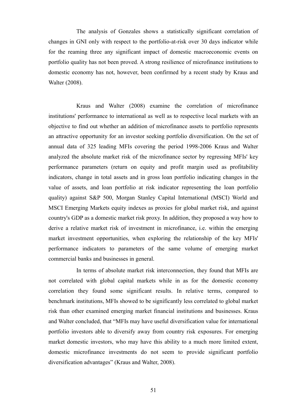The analysis of Gonzales shows a statistically significant correlation of changes in GNI only with respect to the portfolio-at-risk over 30 days indicator while for the reaming three any significant impact of domestic macroeconomic events on portfolio quality has not been proved. A strong resilience of microfinance institutions to domestic economy has not, however, been confirmed by a recent study by Kraus and Walter (2008).

Kraus and Walter (2008) examine the correlation of microfinance institutions' performance to international as well as to respective local markets with an objective to find out whether an addition of microfinance assets to portfolio represents an attractive opportunity for an investor seeking portfolio diversification. On the set of annual data of 325 leading MFIs covering the period 1998-2006 Kraus and Walter analyzed the absolute market risk of the microfinance sector by regressing MFIs' key performance parameters (return on equity and profit margin used as profitability indicators, change in total assets and in gross loan portfolio indicating changes in the value of assets, and loan portfolio at risk indicator representing the loan portfolio quality) against S&P 500, Morgan Stanley Capital International (MSCI) World and MSCI Emerging Markets equity indexes as proxies for global market risk, and against country's GDP as a domestic market risk proxy. In addition, they proposed a way how to derive a relative market risk of investment in microfinance, i.e. within the emerging market investment opportunities, when exploring the relationship of the key MFIs' performance indicators to parameters of the same volume of emerging market commercial banks and businesses in general.

In terms of absolute market risk interconnection, they found that MFIs are not correlated with global capital markets while in as for the domestic economy correlation they found some significant results. In relative terms, compared to benchmark institutions, MFIs showed to be significantly less correlated to global market risk than other examined emerging market financial institutions and businesses. Kraus and Walter concluded, that "MFIs may have useful diversification value for international portfolio investors able to diversify away from country risk exposures. For emerging market domestic investors, who may have this ability to a much more limited extent, domestic microfinance investments do not seem to provide significant portfolio diversification advantages" (Kraus and Walter, 2008).

51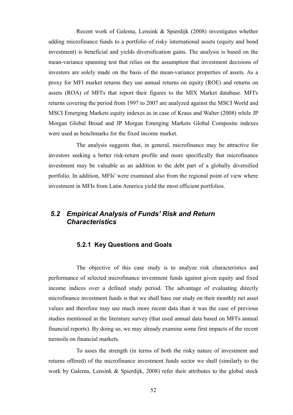Recent work of Galema, Lensink & Spierdijk (2008) investigates whether adding microfinance funds to a portfolio of risky international assets (equity and bond investment) is beneficial and yields diversification gains. The analysis is based on the mean-variance spanning test that relies on the assumption that investment decisions of investors are solely made on the basis of the mean-variance properties of assets. As a proxy for MFI market returns they use annual returns on equity (ROE) and returns on assets (ROA) of MFI's that report their figures to the MIX Market database. MFI's returns covering the period from 1997 to 2007 are analyzed against the MSCI World and MSCI Emerging Markets equity indexes as in case of Kraus and Walter (2008) while JP Morgan Global Broad and JP Morgan Emerging Markets Global Composite indexes were used as benchmarks for the fixed income market.

The analysis suggests that, in general, microfinance may be attractive for investors seeking a better risk-return profile and more specifically that microfinance investment may be valuable as an addition to the debt part of a globally diversified portfolio. In addition, MFIs' were examined also from the regional point of view where investment in MFIs from Latin America yield the most efficient portfolios.

# *5.2 Empirical Analysis of Funds' Risk and Return Characteristics*

### **5.2.1 Key Questions and Goals**

The objective of this case study is to analyze risk characteristics and performance of selected microfinance investment funds against given equity and fixed income indices over a defined study period. The advantage of evaluating directly microfinance investment funds is that we shall base our study on their monthly net asset values and therefore may use much more recent data than it was the case of previous studies mentioned in the literature survey (that used annual data based on MFI's annual financial reports). By doing so, we may already examine some first impacts of the recent turmoils on financial markets.

To asses the strength (in terms of both the risky nature of investment and returns offered) of the microfinance investment funds sector we shall (similarly to the work by Galema, Lensink & Spierdijk, 2008) refer their attributes to the global stock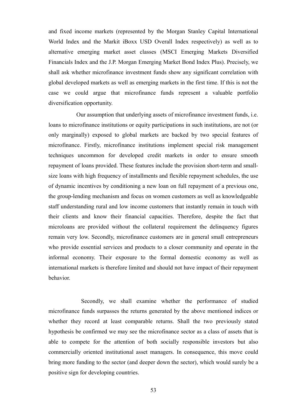and fixed income markets (represented by the Morgan Stanley Capital International World Index and the Markit iBoxx USD Overall Index respectively) as well as to alternative emerging market asset classes (MSCI Emerging Markets Diversified Financials Index and the J.P. Morgan Emerging Market Bond Index Plus). Precisely, we shall ask whether microfinance investment funds show any significant correlation with global developed markets as well as emerging markets in the first time. If this is not the case we could argue that microfinance funds represent a valuable portfolio diversification opportunity.

Our assumption that underlying assets of microfinance investment funds, i.e. loans to microfinance institutions or equity participations in such institutions, are not (or only marginally) exposed to global markets are backed by two special features of microfinance. Firstly, microfinance institutions implement special risk management techniques uncommon for developed credit markets in order to ensure smooth repayment of loans provided. These features include the provision short-term and smallsize loans with high frequency of installments and flexible repayment schedules, the use of dynamic incentives by conditioning a new loan on full repayment of a previous one, the group-lending mechanism and focus on women customers as well as knowledgeable staff understanding rural and low income customers that instantly remain in touch with their clients and know their financial capacities. Therefore, despite the fact that microloans are provided without the collateral requirement the delinquency figures remain very low. Secondly, microfinance customers are in general small entrepreneurs who provide essential services and products to a closer community and operate in the informal economy. Their exposure to the formal domestic economy as well as international markets is therefore limited and should not have impact of their repayment behavior.

Secondly, we shall examine whether the performance of studied microfinance funds surpasses the returns generated by the above mentioned indices or whether they record at least comparable returns. Shall the two previously stated hypothesis be confirmed we may see the microfinance sector as a class of assets that is able to compete for the attention of both socially responsible investors but also commercially oriented institutional asset managers. In consequence, this move could bring more funding to the sector (and deeper down the sector), which would surely be a positive sign for developing countries.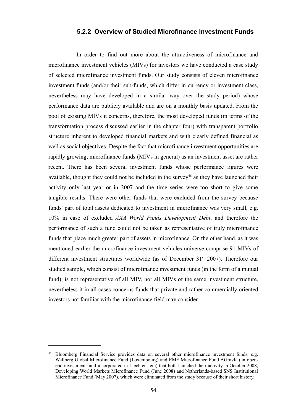### **5.2.2 Overview of Studied Microfinance Investment Funds**

In order to find out more about the attractiveness of microfinance and microfinance investment vehicles (MIVs) for investors we have conducted a case study of selected microfinance investment funds. Our study consists of eleven microfinance investment funds (and/or their sub-funds, which differ in currency or investment class, nevertheless may have developed in a similar way over the study period) whose performance data are publicly available and are on a monthly basis updated. From the pool of existing MIVs it concerns, therefore, the most developed funds (in terms of the transformation process discussed earlier in the chapter four) with transparent portfolio structure inherent to developed financial markets and with clearly defined financial as well as social objectives. Despite the fact that microfinance investment opportunities are rapidly growing, microfinance funds (MIVs in general) as an investment asset are rather recent. There has been several investment funds whose performance figures were available, thought they could not be included in the survey<sup>[46](#page-63-0)</sup> as they have launched their activity only last year or in 2007 and the time series were too short to give some tangible results. There were other funds that were excluded from the survey because funds' part of total assets dedicated to investment in microfinance was very small, e.g. 10% in case of excluded *AXA World Funds Development Debt*, and therefore the performance of such a fund could not be taken as representative of truly microfinance funds that place much greater part of assets in microfinance. On the other hand, as it was mentioned earlier the microfinance investment vehicles universe comprise 91 MIVs of different investment structures worldwide (as of December  $31<sup>st</sup>$  2007). Therefore our studied sample, which consist of microfinance investment funds (in the form of a mutual fund), is not representative of all MIV, nor all MIVs of the same investment structure, nevertheless it in all cases concerns funds that private and rather commercially oriented investors not familiar with the microfinance field may consider.

<span id="page-63-0"></span><sup>46</sup> Bloomberg Financial Service provides data on several other microfinance investment funds, e.g. Wallberg Global Microfinance Fund (Luxembourg) and EMF Microfinance Fund AGmvK (an openend investment fund incorporated in Liechtenstein) that both launched their activity in October 2008, Developing World Markets Microfinance Fund (June 2008) and Netherlands-based SNS Institutional Microfinance Fund (May 2007), which were eliminated from the study because of their short history.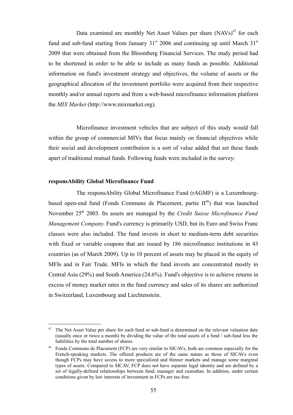Data examined are monthly Net Asset Values per share (NAVs)<sup>[47](#page-64-0)</sup> for each fund and sub-fund starting from January  $31<sup>st</sup>$  2006 and continuing up until March  $31<sup>st</sup>$ 2009 that were obtained from the Bloomberg Financial Services. The study period had to be shortened in order to be able to include as many funds as possible. Additional information on fund's investment strategy and objectives, the volume of assets or the geographical allocation of the investment portfolio were acquired from their respective monthly and/or annual reports and from a web-based microfinance information platform the *MIX Market* (http://www.mixmarket.org).

Microfinance investment vehicles that are subject of this study would fall within the group of commercial MIVs that focus mainly on financial objectives while their social and development contribution is a sort of value added that set these funds apart of traditional mutual funds. Following funds were included in the survey:

#### **responsAbility Global Microfinance Fund**

The responsAbility Global Microfinance Fund (rAGMF) is a Luxembourgbased open-end fund (Fonds Communs de Placement, partie  $II<sup>48</sup>$  $II<sup>48</sup>$  $II<sup>48</sup>$ ) that was launched November 25<sup>th</sup> 2003. Its assets are managed by the *Credit Suisse Microfinance Fund Management Company*. Fund's currency is primarily USD, but its Euro and Swiss Franc classes were also included. The fund invests in short to medium-term debt securities with fixed or variable coupons that are issued by 186 microfinance institutions in 43 countries (as of March 2009). Up to 10 percent of assets may be placed in the equity of MFIs and in Fair Trade. MFIs in which the fund invests are concentrated mostly in Central Asia (29%) and South America (24.6%). Fund's objective is to achieve returns in excess of money market rates in the fund currency and sales of its shares are authorized in Switzerland, Luxembourg and Liechtenstein.

<span id="page-64-0"></span><sup>&</sup>lt;sup>47</sup> The Net Asset Value per share for each fund or sub-fund is determined on the relevant valuation date (usually once or twice a month) by dividing the value of the total assets of a fund / sub-fund less the liabilities by the total number of shares.

<span id="page-64-1"></span><sup>&</sup>lt;sup>48</sup> Fonds Communs de Placement (FCP) are very similar to SICAVs, both are common especially for the French-speaking markets. The offered products are of the same nature as those of SICAVs even though FCPs may have access to more specialized and thinner markets and manage some marginal types of assets. Compared to SICAV, FCP does not have separate legal identity and are defined by a set of legally-defined relationships between fund, manager and custodian. In addition, under certain conditions given by law interests of investment in FCPs are tax-free.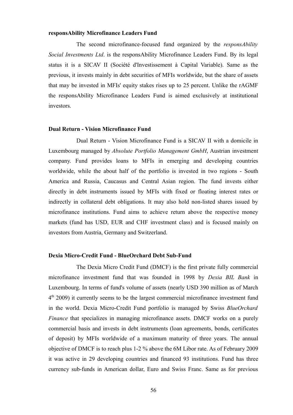#### **responsAbility Microfinance Leaders Fund**

The second microfinance-focused fund organized by the *responsAbility Social Investments Ltd*. is the responsAbility Microfinance Leaders Fund. By its legal status it is a SICAV II (Société d'Investissement à Capital Variable). Same as the previous, it invests mainly in debt securities of MFIs worldwide, but the share of assets that may be invested in MFIs' equity stakes rises up to 25 percent. Unlike the rAGMF the responsAbility Microfinance Leaders Fund is aimed exclusively at institutional investors.

#### **Dual Return - Vision Microfinance Fund**

Dual Return - Vision Microfinance Fund is a SICAV II with a domicile in Luxembourg managed by *Absolute Portfolio Management GmbH*, Austrian investment company. Fund provides loans to MFIs in emerging and developing countries worldwide, while the about half of the portfolio is invested in two regions - South America and Russia, Caucasus and Central Asian region. The fund invests either directly in debt instruments issued by MFIs with fixed or floating interest rates or indirectly in collateral debt obligations. It may also hold non-listed shares issued by microfinance institutions. Fund aims to achieve return above the respective money markets (fund has USD, EUR and CHF investment class) and is focused mainly on investors from Austria, Germany and Switzerland.

#### **Dexia Micro-Credit Fund - BlueOrchard Debt Sub-Fund**

The Dexia Micro Credit Fund (DMCF) is the first private fully commercial microfinance investment fund that was founded in 1998 by *Dexia BIL Bank* in Luxembourg. In terms of fund's volume of assets (nearly USD 390 million as of March 4<sup>th</sup> 2009) it currently seems to be the largest commercial microfinance investment fund in the world. Dexia Micro-Credit Fund portfolio is managed by Swiss *BlueOrchard Finance* that specializes in managing microfinance assets. DMCF works on a purely commercial basis and invests in debt instruments (loan agreements, bonds, certificates of deposit) by MFIs worldwide of a maximum maturity of three years. The annual objective of DMCF is to reach plus 1-2 % above the 6M Libor rate. As of February 2009 it was active in 29 developing countries and financed 93 institutions. Fund has three currency sub-funds in American dollar, Euro and Swiss Franc. Same as for previous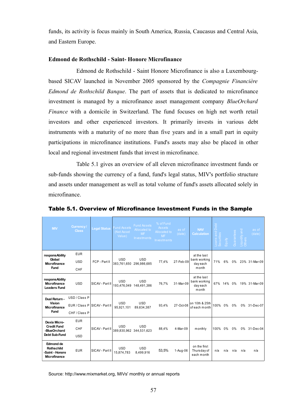funds, its activity is focus mainly in South America, Russia, Caucasus and Central Asia, and Eastern Europe.

#### **Edmond de Rothschild - Saint- Honore Microfinance**

Edmond de Rothschild - Saint Honore Microfinance is also a Luxembourgbased SICAV launched in November 2005 sponsored by the *Compagnie Financière Edmond de Rothschild Banque*. The part of assets that is dedicated to microfinance investment is managed by a microfinance asset management company *BlueOrchard Finance* with a domicile in Switzerland. The fund focuses on high net worth retail investors and other experienced investors. It primarily invests in various debt instruments with a maturity of no more than five years and in a small part in equity participations in microfinance institutions. Fund's assets may also be placed in other local and regional investment funds that invest in microfinance.

Table 5.1 gives an overview of all eleven microfinance investment funds or sub-funds showing the currency of a fund, fund's legal status, MIV's portfolio structure and assets under management as well as total volume of fund's assets allocated solely in microfinance.

| <b>MIV</b>                                                               | Currency/<br><b>Class</b> | <b>Legal Status</b> | <b>Fund Assets</b><br>(Net Asset<br>Value) | <b>Fund Assets</b><br>Allocated to<br><b>MF</b><br><b>Investments</b> | % of Fund<br>Assets<br>Allocated to<br><b>MF</b><br><b>Investments</b> | as of<br>(data) | <b>NAV</b><br><b>Calculation</b>                 | $\rm ebt$<br>Ó<br>and<br>Loans and<br>Securities | Equity | Guarantees | bue A<br>Liquidit<br>Others | as of<br>(date) |
|--------------------------------------------------------------------------|---------------------------|---------------------|--------------------------------------------|-----------------------------------------------------------------------|------------------------------------------------------------------------|-----------------|--------------------------------------------------|--------------------------------------------------|--------|------------|-----------------------------|-----------------|
| responsAbility<br>Global<br><b>Microfinance</b><br><b>Fund</b>           | <b>EUR</b>                | FCP - Part II       | <b>USD</b><br>383,761,650                  | <b>USD</b><br>296,986,685                                             | 77,4%                                                                  | 27-Feb-09       | at the last                                      |                                                  |        |            |                             |                 |
|                                                                          | <b>USD</b>                |                     |                                            |                                                                       |                                                                        |                 | bank working<br>day each<br>month                | 71%                                              | 6%     | $0\%$      |                             | 23% 31-Mar-09   |
|                                                                          | CHF                       |                     |                                            |                                                                       |                                                                        |                 |                                                  |                                                  |        |            |                             |                 |
| responsAbility<br><b>Microfinance</b><br><b>Leaders Fund</b>             | <b>USD</b>                | SICAV - Part II     | <b>USD</b><br>193,476,049                  | <b>USD</b><br>148,491,386                                             | 76.7%                                                                  | 31-Mar-09       | at the last<br>bank working<br>day each<br>month | 67%                                              | 14%    | 0%         |                             | 19% 31-Mar-09   |
| Dual Return -<br><b>Vision</b><br><b>Microfinance</b><br><b>Fund</b>     | USD / Class P             | SICAV - Part II     | <b>USD</b><br>95,921,101                   | <b>USD</b><br>89,634,387                                              | 93,4%                                                                  | 27-Oct-08       | on 10th & 25th<br>of each month                  | 100%                                             | $0\%$  | 0%         |                             | 0% 31-Dec-07    |
|                                                                          | EUR / Class P             |                     |                                            |                                                                       |                                                                        |                 |                                                  |                                                  |        |            |                             |                 |
|                                                                          | CHF / Class P             |                     |                                            |                                                                       |                                                                        |                 |                                                  |                                                  |        |            |                             |                 |
| Dexia Micro-<br><b>Credit Fund</b><br>-BlueOrchard<br>Debt Sub-Fund      | <b>EUR</b>                | SICAV - Part II     | <b>USD</b><br>389,830,962                  | <b>USD</b><br>344,531,623                                             | 88,4%                                                                  | 4-Mar-09        | monthly                                          | 100%                                             | $0\%$  | 0%         |                             | 0% 31-Dec-04    |
|                                                                          | CHF                       |                     |                                            |                                                                       |                                                                        |                 |                                                  |                                                  |        |            |                             |                 |
|                                                                          | <b>USD</b>                |                     |                                            |                                                                       |                                                                        |                 |                                                  |                                                  |        |            |                             |                 |
| Edmond de<br><b>Rothschild</b><br>-Saint - Honore<br><b>Microfinance</b> | <b>EUR</b>                | SICAV - Part II     | <b>USD</b><br>15,874,783                   | <b>USD</b><br>8,499,916                                               | 53,5%                                                                  | 1-Aug-06        | on the first<br>Thursday of<br>each month        | n/a                                              | n/a    | n/a        | n/a                         | n/a             |

Table 5.1. Overview of Microfinance Investment Funds in the Sample

Source: http://www.mixmarket.org, MIVs' monthly or annual reports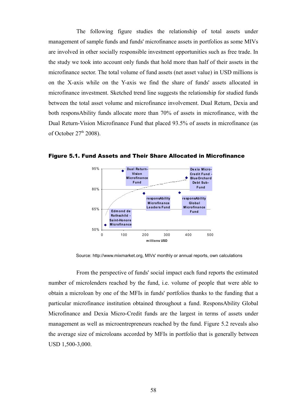The following figure studies the relationship of total assets under management of sample funds and funds' microfinance assets in portfolios as some MIVs are involved in other socially responsible investment opportunities such as free trade. In the study we took into account only funds that hold more than half of their assets in the microfinance sector. The total volume of fund assets (net asset value) in USD millions is on the X-axis while on the Y-axis we find the share of funds' assets allocated in microfinance investment. Sketched trend line suggests the relationship for studied funds between the total asset volume and microfinance involvement. Dual Return, Dexia and both responsAbility funds allocate more than 70% of assets in microfinance, with the Dual Return-Vision Microfinance Fund that placed 93.5% of assets in microfinance (as of October  $27<sup>th</sup> 2008$ ).



Figure 5.1. Fund Assets and Their Share Allocated in Microfinance

Source: http://www.mixmarket.org, MIVs' monthly or annual reports, own calculations

From the perspective of funds' social impact each fund reports the estimated number of microlenders reached by the fund, i.e. volume of people that were able to obtain a microloan by one of the MFIs in funds' portfolios thanks to the funding that a particular microfinance institution obtained throughout a fund. ResponsAbility Global Microfinance and Dexia Micro-Credit funds are the largest in terms of assets under management as well as microentrepreneurs reached by the fund. Figure 5.2 reveals also the average size of microloans accorded by MFIs in portfolio that is generally between USD 1,500-3,000.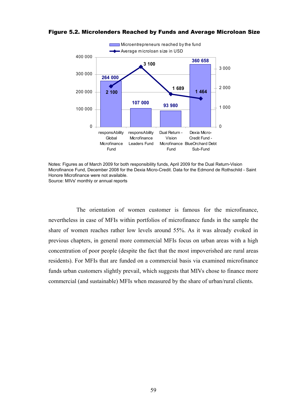

#### Figure 5.2. Microlenders Reached by Funds and Average Microloan Size

Notes: Figures as of March 2009 for both responsibility funds, April 2009 for the Dual Return-Vision Microfinance Fund, December 2008 for the Dexia Micro-Credit. Data for the Edmond de Rothschild - Saint Honore Microfinance were not available. Source: MIVs' monthly or annual reports

The orientation of women customer is famous for the microfinance, nevertheless in case of MFIs within portfolios of microfinance funds in the sample the share of women reaches rather low levels around 55%. As it was already evoked in previous chapters, in general more commercial MFIs focus on urban areas with a high concentration of poor people (despite the fact that the most impoverished are rural areas residents). For MFIs that are funded on a commercial basis via examined microfinance funds urban customers slightly prevail, which suggests that MIVs chose to finance more commercial (and sustainable) MFIs when measured by the share of urban/rural clients.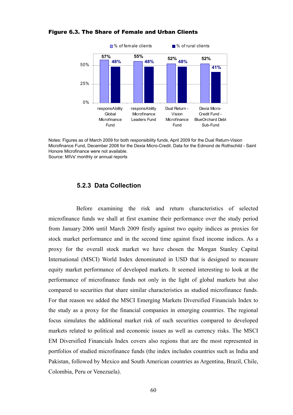

#### Figure 6.3. The Share of Female and Urban Clients

Notes: Figures as of March 2009 for both responsibility funds, April 2009 for the Dual Return-Vision Microfinance Fund, December 2008 for the Dexia Micro-Credit. Data for the Edmond de Rothschild - Saint Honore Microfinance were not available. Source: MIVs' monthly or annual reports

## **5.2.3 Data Collection**

Before examining the risk and return characteristics of selected microfinance funds we shall at first examine their performance over the study period from January 2006 until March 2009 firstly against two equity indices as proxies for stock market performance and in the second time against fixed income indices. As a proxy for the overall stock market we have chosen the Morgan Stanley Capital International (MSCI) World Index denominated in USD that is designed to measure equity market performance of developed markets. It seemed interesting to look at the performance of microfinance funds not only in the light of global markets but also compared to securities that share similar characteristics as studied microfinance funds. For that reason we added the MSCI Emerging Markets Diversified Financials Index to the study as a proxy for the financial companies in emerging countries. The regional focus simulates the additional market risk of such securities compared to developed markets related to political and economic issues as well as currency risks. The MSCI EM Diversified Financials Index covers also regions that are the most represented in portfolios of studied microfinance funds (the index includes countries such as India and Pakistan, followed by Mexico and South American countries as Argentina, Brazil, Chile, Colombia, Peru or Venezuela).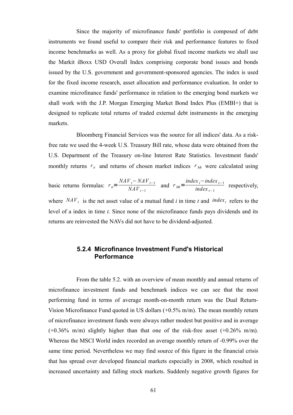Since the majority of microfinance funds' portfolio is composed of debt instruments we found useful to compare their risk and performance features to fixed income benchmarks as well. As a proxy for global fixed income markets we shall use the Markit iBoxx USD Overall Index comprising corporate bond issues and bonds issued by the U.S. government and government-sponsored agencies. The index is used for the fixed income research, asset allocation and performance evaluation. In order to examine microfinance funds' performance in relation to the emerging bond markets we shall work with the J.P. Morgan Emerging Market Bond Index Plus (EMBI+) that is designed to replicate total returns of traded external debt instruments in the emerging markets.

Bloomberg Financial Services was the source for all indices' data. As a riskfree rate we used the 4-week U.S. Treasury Bill rate, whose data were obtained from the U.S. Department of the Treasury on-line Interest Rate Statistics. Investment funds' monthly returns  $r_{it}$  and returns of chosen market indices  $r_{Mt}$  were calculated using

basic returns formulas: 
$$
r_{ii} = \frac{NAV_t - NAV_{t-1}}{NAV_{t-1}}
$$
 and  $r_{Mi} = \frac{index_t - index_{t-1}}{index_{t-1}}$  respectively,  
where  $NAV_t$  is the net asset value of a mutual fund *i* in time *t* and *index\_t* refers to the  
level of a index in time *t*. Since none of the microfinance funds pays dividends and its  
returns are reinvested the NAVs did not have to be dividend-adjusted.

# **5.2.4 Microfinance Investment Fund's Historical Performance**

From the table 5.2. with an overview of mean monthly and annual returns of microfinance investment funds and benchmark indices we can see that the most performing fund in terms of average month-on-month return was the Dual Return-Vision Microfinance Fund quoted in US dollars (+0.5% m/m). The mean monthly return of microfinance investment funds were always rather modest but positive and in average  $(+0.36\%$  m/m) slightly higher than that one of the risk-free asset  $(+0.26\%$  m/m). Whereas the MSCI World index recorded an average monthly return of -0.99% over the same time period. Nevertheless we may find source of this figure in the financial crisis that has spread over developed financial markets especially in 2008, which resulted in increased uncertainty and falling stock markets. Suddenly negative growth figures for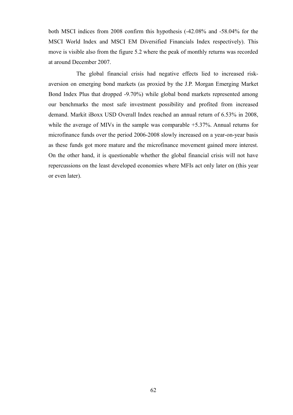both MSCI indices from 2008 confirm this hypothesis (-42.08% and -58.04% for the MSCI World Index and MSCI EM Diversified Financials Index respectively). This move is visible also from the figure 5.2 where the peak of monthly returns was recorded at around December 2007.

The global financial crisis had negative effects lied to increased riskaversion on emerging bond markets (as proxied by the J.P. Morgan Emerging Market Bond Index Plus that dropped -9.70%) while global bond markets represented among our benchmarks the most safe investment possibility and profited from increased demand. Markit iBoxx USD Overall Index reached an annual return of 6.53% in 2008, while the average of MIVs in the sample was comparable  $+5.37\%$ . Annual returns for microfinance funds over the period 2006-2008 slowly increased on a year-on-year basis as these funds got more mature and the microfinance movement gained more interest. On the other hand, it is questionable whether the global financial crisis will not have repercussions on the least developed economies where MFIs act only later on (this year or even later).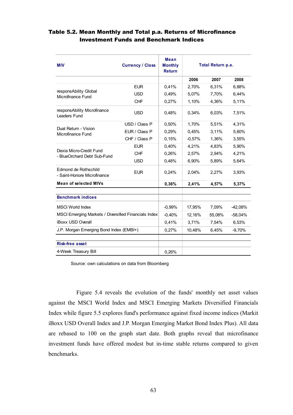| <b>Currency / Class</b><br><b>MIV</b>                             |               | <b>Mean</b><br><b>Monthly</b><br><b>Return</b> |          |           | Total Return p.a. |  |
|-------------------------------------------------------------------|---------------|------------------------------------------------|----------|-----------|-------------------|--|
|                                                                   |               |                                                | 2006     | 2007      | 2008              |  |
|                                                                   | <b>EUR</b>    | 0,41%                                          | 2.70%    | 6.31%     | 6.88%             |  |
| responsAbility Global<br>Microfinance Fund                        | <b>USD</b>    | 0,49%                                          | 5,07%    | 7,70%     | 6,44%             |  |
|                                                                   | <b>CHF</b>    | 0,27%                                          | 1,10%    | 4,36%     | 5,11%             |  |
| responsAbility Microfinance<br>Leaders Fund                       | <b>USD</b>    | 0,48%                                          | 0.34%    | 6,03%     | 7,51%             |  |
|                                                                   | USD / Class P | 0.50%                                          | 1,70%    | 5,51%     | 4,31%             |  |
| Dual Return - Vision<br>Microfinance Fund                         | EUR / Class P | 0,29%                                          | 0,45%    | 3.11%     | 5,60%             |  |
|                                                                   | CHF / Class P | 0,15%                                          | $-0.57%$ | 1,36%     | 3,55%             |  |
|                                                                   | <b>EUR</b>    | 0,40%                                          | 4,21%    | 4,83%     | 5,90%             |  |
| Dexia Micro-Credit Fund<br>- BlueOrchard Debt Sub-Fund            | <b>CHF</b>    | 0,26%                                          | 2,57%    | 2,94%     | 4,21%             |  |
|                                                                   | <b>USD</b>    | 0,48%                                          | 6,90%    | 5,89%     | 5,64%             |  |
| Edmond de Rothschild<br><b>EUR</b><br>- Saint-Honore Microfinance |               | 0,24%                                          | 2,04%    | 2,27%     | 3,93%             |  |
| <b>Mean of selected MIVs</b>                                      |               | 0,36%                                          | 2,41%    | 4,57%     | 5,37%             |  |
|                                                                   |               |                                                |          |           |                   |  |
| <b>Benchmark indices</b>                                          |               |                                                |          |           |                   |  |
| <b>MSCI World Index</b>                                           |               | $-0.99%$                                       | 17,95%   | 7,09%     | $-42,08%$         |  |
| MSCI Emerging Markets / Diversified Financials Index              | $-0.40%$      | 12,16%                                         | 55,08%   | $-58,04%$ |                   |  |
| <b>iBoxx USD Overall</b>                                          | 0,41%         | 3,71%                                          | 7,54%    | 6,53%     |                   |  |
| J.P. Morgan Emerging Bond Index (EMBI+)                           |               | 0,27%                                          | 10,48%   | 6,45%     | $-9,70%$          |  |
|                                                                   |               |                                                |          |           |                   |  |
| <b>Risk-free asset</b>                                            |               |                                                |          |           |                   |  |
| 4-Week Treasury Bill                                              | 0,26%         |                                                |          |           |                   |  |

### Table 5.2. Mean Monthly and Total p.a. Returns of Microfinance Investment Funds and Benchmark Indices

Source: own calculations on data from Bloomberg

Figure 5.4 reveals the evolution of the funds' monthly net asset values against the MSCI World Index and MSCI Emerging Markets Diversified Financials Index while figure 5.5 explores fund's performance against fixed income indices (Markit iBoxx USD Overall Index and J.P. Morgan Emerging Market Bond Index Plus). All data are rebased to 100 on the graph start date. Both graphs reveal that microfinance investment funds have offered modest but in-time stable returns compared to given benchmarks.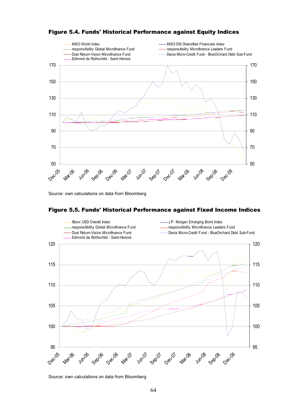

Figure 5.4. Funds' Historical Performance against Equity Indices

Source: own calculations on data from Bloomberg



Figure 5.5. Funds' Historical Performance against Fixed Income Indices

Source: own calculations on data from Bloomberg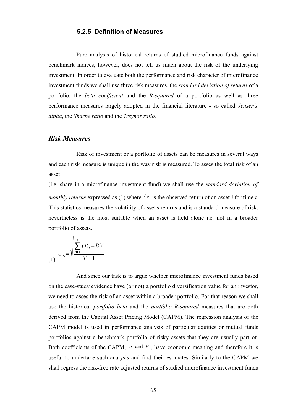### **5.2.5 Definition of Measures**

Pure analysis of historical returns of studied microfinance funds against benchmark indices, however, does not tell us much about the risk of the underlying investment. In order to evaluate both the performance and risk character of microfinance investment funds we shall use three risk measures, the *standard deviation of returns* of a portfolio, the *beta coefficient* and the *R-squared* of a portfolio as well as three performance measures largely adopted in the financial literature - so called *Jensen's alpha*, the *Sharpe ratio* and the *Treynor ratio.*

#### *Risk Measures*

Risk of investment or a portfolio of assets can be measures in several ways and each risk measure is unique in the way risk is measured. To asses the total risk of an asset

(i.e. share in a microfinance investment fund) we shall use the *standard deviation of monthly returns* expressed as (1) where  $r_{it}$  is the observed return of an asset *i* for time *t*. This statistics measures the volatility of asset's returns and is a standard measure of risk, nevertheless is the most suitable when an asset is held alone i.e. not in a broader portfolio of assets.

$$
\sigma_D = \sqrt{\frac{\sum_{t=1}^{T} (D_t - \bar{D})^2}{T - 1}}
$$

And since our task is to argue whether microfinance investment funds based on the case-study evidence have (or not) a portfolio diversification value for an investor, we need to asses the risk of an asset within a broader portfolio. For that reason we shall use the historical *portfolio beta* and the *portfolio R-squared* measures that are both derived from the Capital Asset Pricing Model (CAPM). The regression analysis of the CAPM model is used in performance analysis of particular equities or mutual funds portfolios against a benchmark portfolio of risky assets that they are usually part of. Both coefficients of the CAPM,  $\alpha$  and  $\beta$ , have economic meaning and therefore it is useful to undertake such analysis and find their estimates. Similarly to the CAPM we shall regress the risk-free rate adjusted returns of studied microfinance investment funds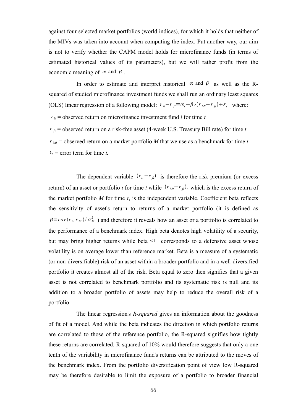against four selected market portfolios (world indices), for which it holds that neither of the MIVs was taken into account when computing the index. Put another way, our aim is not to verify whether the CAPM model holds for microfinance funds (in terms of estimated historical values of its parameters), but we will rather profit from the economic meaning of  $\alpha$  and  $\beta$ .

In order to estimate and interpret historical  $\alpha$  and  $\beta$  as well as the Rsquared of studied microfinance investment funds we shall run an ordinary least squares (OLS) linear regression of a following model:  $r_{it} - r_{fi} = \alpha_i + \beta_i \cdot (r_{Mt} - r_{fi}) + \epsilon_i$  where:

 $r_{it}$  = observed return on microfinance investment fund *i* for time *t* 

 $r_{\hat{t}}$  = observed return on a risk-free asset (4-week U.S. Treasury Bill rate) for time *t*  $r_{Mt}$  = observed return on a market portfolio *M* that we use as a benchmark for time *t*  $\varepsilon_t$  = error term for time *t*.

The dependent variable  $(r_{it} - r_{ft})$  is therefore the risk premium (or excess return) of an asset or portfolio *i* for time *t* while  $(r_M - r_f)$ , which is the excess return of the market portfolio  $M$  for time  $t$ , is the independent variable. Coefficient beta reflects the sensitivity of asset's return to returns of a market portfolio (it is defined as  $\beta = cov(r_i, r_M)/\sigma_M^2$ ) and therefore it reveals how an asset or a portfolio is correlated to the performance of a benchmark index. High beta denotes high volatility of a security, but may bring higher returns while beta  $\leq 1$  corresponds to a defensive asset whose volatility is on average lower than reference market. Beta is a measure of a systematic (or non-diversifiable) risk of an asset within a broader portfolio and in a well-diversified portfolio it creates almost all of the risk. Beta equal to zero then signifies that a given asset is not correlated to benchmark portfolio and its systematic risk is null and its addition to a broader portfolio of assets may help to reduce the overall risk of a portfolio.

The linear regression's *R-squared* gives an information about the goodness of fit of a model. And while the beta indicates the direction in which portfolio returns are correlated to those of the reference portfolio, the R-squared signifies how tightly these returns are correlated. R-squared of 10% would therefore suggests that only a one tenth of the variability in microfinance fund's returns can be attributed to the moves of the benchmark index. From the portfolio diversification point of view low R-squared may be therefore desirable to limit the exposure of a portfolio to broader financial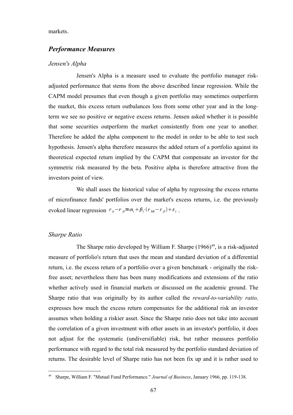#### markets.

## *Performance Measures*

### *Jensen's Alpha*

Jensen's Alpha is a measure used to evaluate the portfolio manager riskadjusted performance that stems from the above described linear regression. While the CAPM model presumes that even though a given portfolio may sometimes outperform the market, this excess return outbalances loss from some other year and in the longterm we see no positive or negative excess returns. Jensen asked whether it is possible that some securities outperform the market consistently from one year to another. Therefore he added the alpha component to the model in order to be able to test such hypothesis. Jensen's alpha therefore measures the added return of a portfolio against its theoretical expected return implied by the CAPM that compensate an investor for the symmetric risk measured by the beta. Positive alpha is therefore attractive from the investors point of view.

We shall asses the historical value of alpha by regressing the excess returns of microfinance funds' portfolios over the market's excess returns, i.e. the previously evoked linear regression  $r_i - r_j = \alpha_i + \beta_i \cdot (r_{Mt} - r_j) + \varepsilon_t$ .

### *Sharpe Ratio*

The Sharpe ratio developed by William F. Sharpe  $(1966)^{49}$  $(1966)^{49}$  $(1966)^{49}$ , is a risk-adjusted measure of portfolio's return that uses the mean and standard deviation of a differential return, i.e. the excess return of a portfolio over a given benchmark - originally the riskfree asset; nevertheless there has been many modifications and extensions of the ratio whether actively used in financial markets or discussed on the academic ground. The Sharpe ratio that was originally by its author called the *reward-to-variability ratio,* expresses how much the excess return compensates for the additional risk an investor assumes when holding a riskier asset. Since the Sharpe ratio does not take into account the correlation of a given investment with other assets in an investor's portfolio, it does not adjust for the systematic (undiversifiable) risk, but rather measures portfolio performance with regard to the total risk measured by the portfolio standard deviation of returns. The desirable level of Sharpe ratio has not been fix up and it is rather used to

<span id="page-76-0"></span><sup>49</sup> Sharpe, William F. "Mutual Fund Performance." *Journal of Business*, January 1966, pp. 119-138.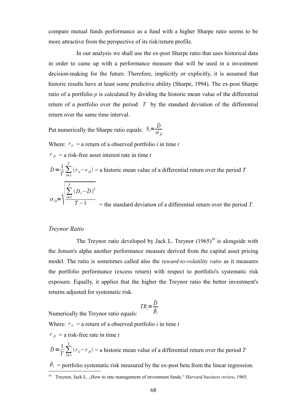compare mutual funds performance as a fund with a higher Sharpe ratio seems to be more attractive from the perspective of its risk/return profile.

In our analysis we shall use the ex-post Sharpe ratio that uses historical data in order to came up with a performance measure that will be used in a investment decision-making for the future. Therefore, implicitly or explicitly, it is assumed that historic results have at least some predictive ability (Sharpe, 1994). The ex-post Sharpe ratio of a portfolio *p* is calculated by dividing the historic mean value of the differential return of a portfolio over the period *T* by the standard deviation of the differential return over the same time interval.

Put numerically the Sharpe ratio equals:  $S_i$ = *D*  $\sigma$ <sub>*D*</sub>

Where:  $r_{it}$  = a return of a observed portfolio *i* in time *t* 

 $r_{ft}$  = a risk-free asset interest rate in time *t* 

$$
\overline{D} = \frac{1}{T} \sum_{i=1}^{T} (r_{ii} - r_{fi}) = \text{a historic mean value of a differential return over the period } T
$$
\n
$$
\sigma_D = \sqrt{\frac{\sum_{i=1}^{T} (D_i - \overline{D})^2}{T - 1}} = \text{the standard deviation of a differential return over the period } T.
$$

### *Treynor Ratio*

The Treynor ratio developed by Jack L. Treynor  $(1965)^{50}$  $(1965)^{50}$  $(1965)^{50}$  is alongside with the Jensen's alpha another performance measure derived from the capital asset pricing model. The ratio is sometimes called also the *reward-to-volatility ratio* as it measures the portfolio performance (excess return) with respect to portfolio's systematic risk exposure. Equally, it applies that the higher the Treynor ratio the better investment's returns adjusted for systematic risk.

$$
TR_i = \frac{\overline{D}}{\hat{\beta}_i}
$$

Numerically the Treynor ratio equals:

Where:  $r_{it}$  = a return of a observed portfolio *i* in time *t* 

 $r<sub>f</sub>$  = a risk-free rate in time *t* 

 $\bar{D} = \frac{1}{T} \sum_{t=1}^{T}$  $(r_{it} - r_{ft}) = a$  historic mean value of a differential return over the period *T* 

 $\hat{\beta}_i$  = portfolio systematic risk measured by the ex-post beta from the linear regression.

<span id="page-77-0"></span><sup>&</sup>lt;sup>50</sup> Treynor, Jack L. "How to rate management of investment funds." *Harvard business review*, 1965.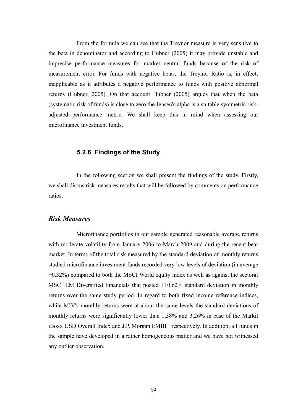From the formula we can see that tha Treynor measure is very sensitive to the beta in denominator and according to Hubner (2005) it may provide unstable and imprecise performance measures for market neutral funds because of the risk of measurement error. For funds with negative betas, the Treynor Ratio is, in effect, inapplicable as it attributes a negative performance to funds with positive abnormal returns (Hubner, 2005). On that account Hubner (2005) argues that when the beta (systematic risk of funds) is close to zero the Jensen's alpha is a suitable symmetric riskadjusted performance metric. We shall keep this in mind when assessing our microfinance investment funds.

#### **5.2.6 Findings of the Study**

In the following section we shall present the findings of the study. Firstly, we shall discus risk measures results that will be followed by comments on performance ratios.

## *Risk Measures*

Microfinance portfolios in our sample generated reasonable average returns with moderate volatility from January 2006 to March 2009 and during the recent bear market. In terms of the total risk measured by the standard deviation of monthly returns studied microfinance investment funds recorded very low levels of deviation (in average +0.32%) compared to both the MSCI World equity index as well as against the sectoral MSCI EM Diversified Financials that posted +10.62% standard deviation in monthly returns over the same study period. In regard to both fixed income reference indices, while MIV's monthly returns were at about the same levels the standard deviations of monthly returns were significantly lower than 1.38% and 3.26% in case of the Markit iBoxx USD Overall Index and J.P. Morgan EMBI+ respectively. In addition, all funds in the sample have developed in a rather homogeneous matter and we have not witnessed any outlier observation.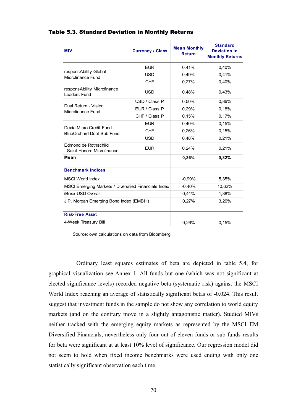| <b>MIV</b>                                                    | <b>Currency / Class</b> | <b>Mean Monthly</b><br><b>Return</b> | <b>Standard</b><br><b>Deviation in</b><br><b>Monthly Returns</b> |
|---------------------------------------------------------------|-------------------------|--------------------------------------|------------------------------------------------------------------|
|                                                               | <b>EUR</b>              | 0,41%                                | 0,40%                                                            |
| responsAbility Global<br>Microfinance Fund                    | <b>USD</b>              | 0,49%                                | 0,41%                                                            |
|                                                               | <b>CHF</b>              | 0.27%                                | 0.40%                                                            |
| responsAbility Microfinance<br>Leaders Fund                   | <b>USD</b>              | 0,48%                                | 0,43%                                                            |
|                                                               | USD / Class P           | 0.50%                                | 0,86%                                                            |
| Dual Return - Vision<br>Microfinance Fund                     | EUR / Class P           | 0,29%                                | 0,18%                                                            |
|                                                               | CHF / Class P           | 0,15%                                | 0,17%                                                            |
|                                                               | <b>EUR</b>              | 0,40%                                | 0,15%                                                            |
| Dexia Micro-Credit Fund -<br><b>BlueOrchard Debt Sub-Fund</b> | <b>CHF</b>              | 0,26%                                | 0,15%                                                            |
|                                                               | <b>USD</b>              | 0,48%                                | 0,21%                                                            |
| Edmond de Rothschild<br>- Saint-Honore Microfinance           | <b>EUR</b>              | 0,24%                                | 0,21%                                                            |
| Mean                                                          |                         | 0,36%                                | 0,32%                                                            |
| <b>Benchmark Indices</b>                                      |                         |                                      |                                                                  |
| <b>MSCI World Index</b>                                       |                         | $-0.99%$                             | 5,35%                                                            |
| MSCI Emerging Markets / Diversified Financials Index          | $-0,40%$                | 10,62%                               |                                                                  |
| <b>iBoxx USD Overall</b>                                      | 0,41%                   | 1,38%                                |                                                                  |
| J.P. Morgan Emerging Bond Index (EMBI+)                       | 0,27%                   | 3,26%                                |                                                                  |
| <b>Risk-Free Asset</b>                                        |                         |                                      |                                                                  |
| 4-Week Treasury Bill                                          | 0,26%                   | 0,15%                                |                                                                  |

#### Table 5.3. Standard Deviation in Monthly Returns

Source: own calculations on data from Bloomberg

Ordinary least squares estimates of beta are depicted in table 5.4, for graphical visualization see Annex 1. All funds but one (which was not significant at elected significance levels) recorded negative beta (systematic risk) against the MSCI World Index reaching an average of statistically significant betas of -0.024. This result suggest that investment funds in the sample do not show any correlation to world equity markets (and on the contrary move in a slightly antagonistic matter). Studied MIVs neither tracked with the emerging equity markets as represented by the MSCI EM Diversified Financials, nevertheless only four out of eleven funds or sub-funds results for beta were significant at at least 10% level of significance. Our regression model did not seem to hold when fixed income benchmarks were used ending with only one statistically significant observation each time.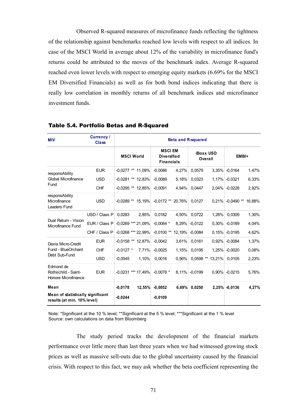Observed R-squared measures of microfinance funds reflecting the tightness of the relationship against benchmarks reached low levels with respect to all indices. In case of the MSCI World in average about 12% of the variability in microfinance fund's returns could be attributed to the moves of the benchmark index. Average R-squared reached even lower levels with respect to emerging equity markets (6.69% for the MSCI EM Diversified Financials) as well as for both bond indices indicating that there is really low correlation in monthly returns of all benchmark indices and microfinance investment funds.

| <b>MIV</b>                                                       | <b>Currency /</b><br><b>Class</b> | <b>Beta and R-squared</b>                                                      |                       |                             |                            |  |  |
|------------------------------------------------------------------|-----------------------------------|--------------------------------------------------------------------------------|-----------------------|-----------------------------|----------------------------|--|--|
|                                                                  |                                   | <b>MSCI EM</b><br><b>MSCI World</b><br><b>Diversified</b><br><b>Financials</b> |                       | <b>iBoxx USD</b><br>Overall | EMBI+                      |  |  |
| responsAbility                                                   | <b>EUR</b>                        | $-0.0277$ ** 11,09%                                                            | $-0.0086$<br>4,27%    | 0.0579                      | $3,35\%$ -0,0164<br>1,47%  |  |  |
| Global Microfinance                                              | <b>USD</b>                        | $-0,0281$ ** 12,83%                                                            | $-0.0089$<br>5.18%    | 0,0323                      | 1,17% - 0,0321<br>6,33%    |  |  |
| Fund                                                             | <b>CHF</b>                        | $-0.0295$ ** 12.85%                                                            | $-0.0091$<br>4,94%    | 0,0447                      | 2,04% -0,0228<br>2,92%     |  |  |
| responsAbility<br>Microfinance<br>Leaders Fund                   | <b>USD</b>                        | $-0.0289$ ** 15.19%                                                            | $-0.0172$ ** 20.76%   | 0,0127                      | $0.21\%$ -0.0490 ** 16,88% |  |  |
| Dual Return - Vision<br>Microfinance Fund                        | USD / Class P                     | 0.0283<br>2.85%                                                                | 0.0182<br>4,50%       | 0.0722<br>1,28%             | 1,30%<br>0,0309            |  |  |
|                                                                  | EUR / Class P                     | $-0,0269$ *** 21,09%                                                           | $-0.0084$ *<br>8,29%  | $-0.0122$                   | $0,30\%$ -0,0189<br>4,04%  |  |  |
|                                                                  | CHF / Class P                     | $-0.0268$ *** 22.99%                                                           | $-0.0100**$<br>12,19% | $-0.0084$                   | $0,15\%$ -0,0195<br>4,62%  |  |  |
| Dexia Micro-Credit                                               | <b>EUR</b>                        | $-0.0158$ ** 12.87%                                                            | $-0.0042$<br>3,61%    | 0.0161                      | $0.92\%$ -0,0084<br>1,37%  |  |  |
| Fund - BlueOrchard                                               | <b>CHF</b>                        | 7.71%<br>$-0.0127$ *                                                           | 1.15%<br>$-0.0025$    | 0.0195                      | 0.08%<br>1,25% - 0,0020    |  |  |
| Debt Sub-Fund                                                    | <b>USD</b>                        | 1,10%<br>$-0.0045$                                                             | 0,0016<br>0.56%       | $0.0598$ ** 13,21%          | 2,23%<br>0,0105            |  |  |
| Edmond de<br>Rothschild - Saint-<br>Honore Microfinance          | <b>EUR</b>                        | $-0.0231$ *** 17.49%                                                           | $-0.0078$ *           | $8.11\%$ -0.0199            | $0.90\%$ -0.0215<br>5.76%  |  |  |
| Mean                                                             |                                   | $-0.0178$<br>12,55%                                                            | $6,69\%$<br>$-0.0052$ | 0.0250                      | $2,25\%$ -0,0136<br>4,27%  |  |  |
| Mean of statistically significant<br>results (at min. 10% level) |                                   | $-0.0244$                                                                      | $-0,0109$             |                             |                            |  |  |

#### Table 5.4. Portfolio Betas and R-Squared

Note: \*Significant at the 10 % level; \*\*Significant at the 5 % level; \*\*\*Significant at the 1 % level Source: own calculations on data from Bloomberg

The study period tracks the development of the financial markets performance over little more than last three years when we had witnessed growing stock prices as well as massive sell-outs due to the global uncertainty caused by the financial crisis. With respect to this fact, we may ask whether the beta coefficient representing the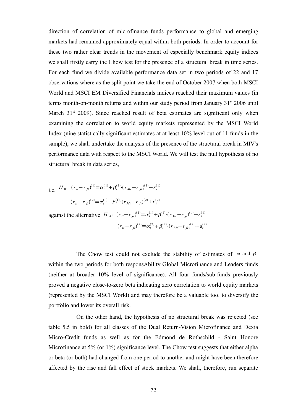direction of correlation of microfinance funds performance to global and emerging markets had remained approximately equal within both periods. In order to account for these two rather clear trends in the movement of especially benchmark equity indices we shall firstly carry the Chow test for the presence of a structural break in time series. For each fund we divide available performance data set in two periods of 22 and 17 observations where as the split point we take the end of October 2007 when both MSCI World and MSCI EM Diversified Financials indices reached their maximum values (in terms month-on-month returns and within our study period from January  $31<sup>st</sup>$  2006 until March  $31<sup>st</sup>$  2009). Since reached result of beta estimates are significant only when examining the correlation to world equity markets represented by the MSCI World Index (nine statistically significant estimates at at least 10% level out of 11 funds in the sample), we shall undertake the analysis of the presence of the structural break in MIV's performance data with respect to the MSCI World. We will test the null hypothesis of no structural break in data series,

i.e. 
$$
H_0
$$
:  $(r_{it} - r_{ft})^{(1)} = \alpha_i^{(1)} + \beta_i^{(1)} \cdot (r_{Mt} - r_{ft})^{(1)} + \varepsilon_t^{(1)}$   
\n
$$
(r_{it} - r_{ft})^{(2)} = \alpha_i^{(1)} + \beta_i^{(1)} \cdot (r_{Mt} - r_{ft})^{(2)} + \varepsilon_t^{(2)}
$$
\nagainst the alternative  $H_A$ :  $(r_{it} - r_{ft})^{(1)} = \alpha_i^{(1)} + \beta_i^{(1)} \cdot (r_{Mt} - r_{ft})^{(1)} + \varepsilon_t^{(1)}$   
\n
$$
(r_{it} - r_{ft})^{(2)} = \alpha_i^{(2)} + \beta_i^{(2)} \cdot (r_{Mt} - r_{ft})^{(2)} + \varepsilon_t^{(2)}
$$

The Chow test could not exclude the stability of estimates of  $\alpha$  and  $\beta$ within the two periods for both responsAbility Global Microfinance and Leaders funds (neither at broader 10% level of significance). All four funds/sub-funds previously proved a negative close-to-zero beta indicating zero correlation to world equity markets (represented by the MSCI World) and may therefore be a valuable tool to diversify the portfolio and lower its overall risk.

On the other hand, the hypothesis of no structural break was rejected (see table 5.5 in bold) for all classes of the Dual Return-Vision Microfinance and Dexia Micro-Credit funds as well as for the Edmond de Rothschild - Saint Honore Microfinance at 5% (or 1%) significance level. The Chow test suggests that either alpha or beta (or both) had changed from one period to another and might have been therefore affected by the rise and fall effect of stock markets. We shall, therefore, run separate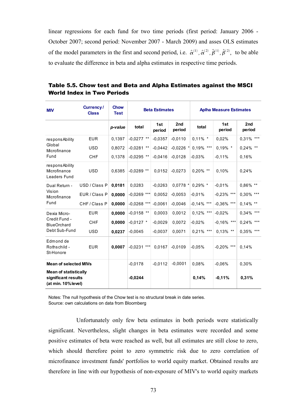linear regressions for each fund for two time periods (first period: January 2006 - October 2007; second period: November 2007 - March 2009) and asses OLS estimates of the model parameters in the first and second period, i.e.  $\hat{\alpha}^{(1)}$ ,  $\hat{\alpha}^{(2)}$ ,  $\hat{\beta}^{(1)}$ ,  $\hat{\beta}^{(2)}$ , to be able to evaluate the difference in beta and alpha estimates in respective time periods.

| <b>MIV</b>                                                                 | Currency/<br><b>Class</b> | <b>Chow</b><br><b>Test</b> | <b>Beta Estimates</b> |               |               | <b>Aplha Measure Estimates</b> |               |                           |
|----------------------------------------------------------------------------|---------------------------|----------------------------|-----------------------|---------------|---------------|--------------------------------|---------------|---------------------------|
|                                                                            |                           | p-value                    | total                 | 1st<br>period | 2nd<br>period | total                          | 1st<br>period | 2 <sub>nd</sub><br>period |
| respons Ability                                                            | <b>EUR</b>                | 0,1397                     | $-0,0277$ **          | $-0,0357$     | $-0,0110$     | $0,11\%$ *                     | 0,02%         | $0,31\%$ ***              |
| Global<br>Microfinance                                                     | <b>USD</b>                | 0,8072                     | $-0,0281$ **          | $-0,0442$     | $-0,0226$ *   | $0,19\%$ ***                   | $0.19\%$ *    | $0,24\%$ **               |
| Fund                                                                       | <b>CHF</b>                | 0,1378                     | $-0.0295$ **          | $-0,0416$     | $-0,0128$     | $-0,03%$                       | $-0,11%$      | 0,16%                     |
| respons Ability<br>Microfinance<br>Leaders Fund                            | <b>USD</b>                | 0,6385                     | $-0,0289$ **          | 0,0152        | $-0,0273$     | $0,20\%$ **                    | 0,10%         | 0,24%                     |
| Dual Return -                                                              | USD / Class P             | 0,0181                     | 0.0283                | $-0,0263$     | $0.0778*$     | $0,29\%$ *                     | $-0,01%$      | 0,86% **                  |
| Vision<br>Microfinance                                                     | EUR / Class P             | 0,0000                     | $-0,0269$ ***         | 0,0052        | $-0,0053$     | $-0,01%$                       | $-0,23\%$ *** | $0.30\%$ ***              |
| Fund                                                                       | CHF/Class P               | 0,0000                     | $-0,0268$ ***         | $-0,0061$     | $-0,0046$     | $-0,14\%$ ***                  | $-0,36\%$ *** | $0,14\%$ **               |
| Dexia Micro-                                                               | <b>EUR</b>                | 0,0000                     | $-0,0158$ **          | 0,0003        | 0,0012        | $0,12\%$ ***                   | $-0,02%$      | $0,34\%$ ***              |
| Credit Fund -<br><b>BlueOrchard</b>                                        | <b>CHF</b>                | 0,0000                     | $-0,0127$ *           | $-0,0029$     | 0,0072        | $-0,02%$                       | $-0,16\%$ *** | $0,24\%$ ***              |
| Debt Sub-Fund                                                              | <b>USD</b>                | 0,0237                     | $-0,0045$             | $-0,0037$     | 0,0071        | $0,21\%$ ***                   | $0,13\%$ **   | 0,35% ***                 |
| Edmond de<br>Rothschild -<br>St-Honore                                     | <b>EUR</b>                | 0,0007                     | $-0,0231$ ***         | 0,0167        | $-0,0109$     | $-0,05%$                       | $-0,20\%$ *** | 0,14%                     |
| <b>Mean of selected MIVs</b>                                               |                           |                            | $-0,0178$             | $-0,0112$     | $-0.0001$     | 0,08%                          | $-0,06%$      | 0,30%                     |
| <b>Mean of statistically</b><br>significant results<br>(at min. 10% level) |                           |                            | $-0.0244$             |               |               | 0.14%                          | $-0.11%$      | 0,31%                     |

Table 5.5. Chow test and Beta and Alpha Estimates against the MSCI World Index in Two Periods

Notes: The null hypothesis of the Chow test is no structural break in date series. Source: own calculations on data from Bloomberg

Unfortunately only few beta estimates in both periods were statistically significant. Nevertheless, slight changes in beta estimates were recorded and some positive estimates of beta were reached as well, but all estimates are still close to zero, which should therefore point to zero symmetric risk due to zero correlation of microfinance investment funds' portfolios to world equity market. Obtained results are therefore in line with our hypothesis of non-exposure of MIV's to world equity markets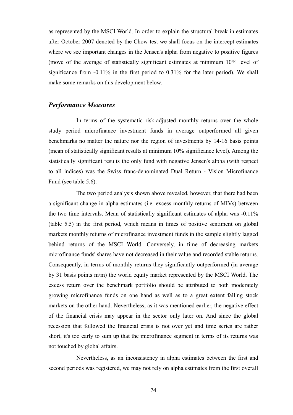as represented by the MSCI World. In order to explain the structural break in estimates after October 2007 denoted by the Chow test we shall focus on the intercept estimates where we see important changes in the Jensen's alpha from negative to positive figures (move of the average of statistically significant estimates at minimum 10% level of significance from -0.11% in the first period to 0.31% for the later period). We shall make some remarks on this development below.

#### *Performance Measures*

In terms of the systematic risk-adjusted monthly returns over the whole study period microfinance investment funds in average outperformed all given benchmarks no matter the nature nor the region of investments by 14-16 basis points (mean of statistically significant results at minimum 10% significance level). Among the statistically significant results the only fund with negative Jensen's alpha (with respect to all indices) was the Swiss franc-denominated Dual Return - Vision Microfinance Fund (see table 5.6).

The two period analysis shown above revealed, however, that there had been a significant change in alpha estimates (i.e. excess monthly returns of MIVs) between the two time intervals. Mean of statistically significant estimates of alpha was -0.11% (table 5.5) in the first period, which means in times of positive sentiment on global markets monthly returns of microfinance investment funds in the sample slightly lagged behind returns of the MSCI World. Conversely, in time of decreasing markets microfinance funds' shares have not decreased in their value and recorded stable returns. Consequently, in terms of monthly returns they significantly outperformed (in average by 31 basis points m/m) the world equity market represented by the MSCI World. The excess return over the benchmark portfolio should be attributed to both moderately growing microfinance funds on one hand as well as to a great extent falling stock markets on the other hand. Nevertheless, as it was mentioned earlier, the negative effect of the financial crisis may appear in the sector only later on. And since the global recession that followed the financial crisis is not over yet and time series are rather short, it's too early to sum up that the microfinance segment in terms of its returns was not touched by global affairs.

Nevertheless, as an inconsistency in alpha estimates between the first and second periods was registered, we may not rely on alpha estimates from the first overall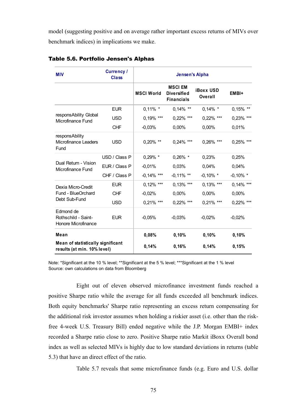model (suggesting positive and on average rather important excess returns of MIVs over benchmark indices) in implications we make.

| <b>MIV</b>                                                       | <b>Currency /</b><br><b>Class</b> |                   |                                                           |                             |              |
|------------------------------------------------------------------|-----------------------------------|-------------------|-----------------------------------------------------------|-----------------------------|--------------|
|                                                                  |                                   | <b>MSCI World</b> | <b>MSCI EM</b><br><b>Diversified</b><br><b>Financials</b> | <b>iBoxx USD</b><br>Overall | EMBI+        |
|                                                                  | <b>EUR</b>                        | $0,11\%$ *        | $0,14\%$ **                                               | $0,14\%$ *                  | $0,15\%$ **  |
| responsAbility Global<br>Microfinance Fund                       | <b>USD</b>                        | 0,19% ***         | $0,22\%$ ***                                              | $0.22\%$ ***                | 0,23% ***    |
|                                                                  | <b>CHF</b>                        | $-0,03%$          | 0,00%                                                     | 0,00%                       | 0,01%        |
| responsAbility<br>Microfinance Leaders<br>Fund                   | <b>USD</b>                        | 0,20% **          | $0.24\%$ ***                                              | 0,26% ***                   | 0,25% ***    |
|                                                                  | USD / Class P                     | $0,29\%$ *        | $0,26\%$ *                                                | 0,23%                       | 0,25%        |
| Dual Return - Vision<br>Microfinance Fund                        | EUR / Class P                     | $-0,01%$          | 0,03%                                                     | 0,04%                       | 0,04%        |
|                                                                  | CHF / Class P                     | $-0,14\%$ ***     | $-0,11\%$ **                                              | $-0,10\%$ *                 | $-0,10\%$ *  |
| Dexia Micro-Credit                                               | <b>EUR</b>                        | $0,12\%$ ***      | $0,13\%$ ***                                              | $0,13\%$ ***                | $0,14\%$ *** |
| Fund - BlueOrchard                                               | <b>CHF</b>                        | $-0,02%$          | 0,00%                                                     | 0,00%                       | 0,00%        |
| Debt Sub-Fund                                                    | <b>USD</b>                        | $0,21\%$ ***      | 0,22% ***                                                 | $0,21\%$ ***                | 0,22% ***    |
| Edmond de<br>Rothschild - Saint-<br>Honore Microfinance          | <b>EUR</b>                        | $-0,05%$          | $-0,03%$                                                  | $-0,02%$                    | $-0,02%$     |
| Mean                                                             |                                   | 0,08%             | 0,10%                                                     | 0,10%                       | 0,10%        |
| Mean of statistically significant<br>results (at min. 10% level) |                                   | 0,14%             | 0,16%                                                     | 0,14%                       | 0,15%        |

#### Table 5.6. Portfolio Jensen's Alphas

Note: \*Significant at the 10 % level; \*\*Significant at the 5 % level; \*\*\*Significant at the 1 % level Source: own calculations on data from Bloomberg

Eight out of eleven observed microfinance investment funds reached a positive Sharpe ratio while the average for all funds exceeded all benchmark indices. Both equity benchmarks' Sharpe ratio representing an excess return compensating for the additional risk investor assumes when holding a riskier asset (i.e. other than the riskfree 4-week U.S. Treasury Bill) ended negative while the J.P. Morgan EMBI+ index recorded a Sharpe ratio close to zero. Positive Sharpe ratio Markit iBoxx Overall bond index as well as selected MIVs is highly due to low standard deviations in returns (table 5.3) that have an direct effect of the ratio.

Table 5.7 reveals that some microfinance funds (e.g. Euro and U.S. dollar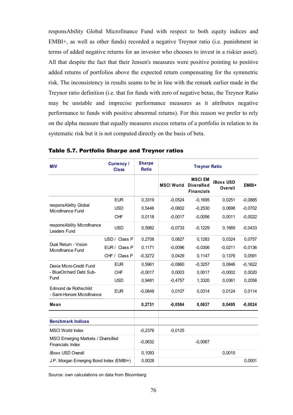responsAbility Global Microfinance Fund with respect to both equity indices and EMBI+, as well as other funds) recorded a negative Treynor ratio (i.e. punishment in terms of added negative returns for an investor who chooses to invest in a riskier asset). All that despite the fact that their Jensen's measures were positive pointing to positive added returns of portfolios above the expected return compensating for the symmetric risk. The inconsistency in results seams to be in line with the remark earlier made in the Treynor ratio definition (i.e. that for funds with zero of negative betas, the Treynor Ratio may be unstable and imprecise performance measures as it attributes negative performance to funds with positive abnormal returns). For this reason we prefer to rely on the alpha measure that equally measures excess returns of a portfolio in relation to its systematic risk but it is not computed directly on the basis of beta.

| <b>MIV</b>                                              | <b>Currency /</b><br><b>Class</b> | <b>Sharpe</b><br><b>Ratio</b> | <b>Treynor Ratio</b> |                                                           |                             |           |
|---------------------------------------------------------|-----------------------------------|-------------------------------|----------------------|-----------------------------------------------------------|-----------------------------|-----------|
|                                                         |                                   |                               | <b>MSCI World</b>    | <b>MSCI EM</b><br><b>Diversified</b><br><b>Financials</b> | <b>iBoxx USD</b><br>Overall | EMBI+     |
|                                                         | <b>EUR</b>                        | 0,3319                        | $-0,0524$            | $-0,1695$                                                 | 0,0251                      | $-0,0885$ |
| responsAbility Global<br>Microfinance Fund              | <b>USD</b>                        | 0,5446                        | $-0,0802$            | $-0,2530$                                                 | 0,0698                      | $-0,0702$ |
|                                                         | <b>CHF</b>                        | 0,0118                        | $-0,0017$            | $-0,0056$                                                 | 0,0011                      | $-0,0022$ |
| responsAbility Microfinance<br>Leaders Fund             | <b>USD</b>                        | 0,5982                        | $-0,0733$            | $-0,1229$                                                 | 0,1669                      | $-0,0433$ |
|                                                         | USD / Class P                     | 0,2708                        | 0,0827               | 0,1283                                                    | 0,0324                      | 0,0757    |
| Dual Return - Vision<br>Microfinance Fund               | EUR / Class P                     | 0,1171                        | $-0,0096$            | $-0,0306$                                                 | $-0,0211$                   | $-0,0136$ |
|                                                         | CHF / Class P                     | $-0,3272$                     | 0,0429               | 0,1147                                                    | 0,1376                      | 0,0591    |
| Dexia Micro-Credit Fund                                 | <b>EUR</b>                        | 0,5961                        | $-0,0860$            | $-0,3257$                                                 | 0,0846                      | $-0,1622$ |
| - BlueOrchard Debt Sub-                                 | <b>CHF</b>                        | $-0,0017$                     | 0,0003               | 0,0017                                                    | $-0,0002$                   | 0,0020    |
| Fund                                                    | <b>USD</b>                        | 0,9481                        | $-0,4757$            | 1,3320                                                    | 0,0361                      | 0,2058    |
| Edmond de Rothschild<br>- Saint-Honore Microfinance     | <b>EUR</b>                        | $-0,0849$                     | 0,0107               | 0,0314                                                    | 0,0124                      | 0,0114    |
| Mean                                                    |                                   | 0,2731                        | $-0.0584$            | 0,0637                                                    | 0,0495                      | $-0,0024$ |
|                                                         |                                   |                               |                      |                                                           |                             |           |
| <b>Benchmark Indices</b>                                |                                   |                               |                      |                                                           |                             |           |
| <b>MSCI World Index</b>                                 |                                   | $-0,2376$                     | $-0,0125$            |                                                           |                             |           |
| MSCI Emerging Markets / Diversified<br>Financials Index |                                   | $-0,0632$                     |                      | $-0,0067$                                                 |                             |           |
| iBoxx USD Overall                                       |                                   | 0,1093                        |                      |                                                           | 0,0015                      |           |
| J.P. Morgan Emerging Bond Index (EMBI+)                 |                                   | 0,0028                        |                      |                                                           |                             | 0,0001    |

| Table 5.7. Portfolio Sharpe and Treynor ratios |  |  |  |
|------------------------------------------------|--|--|--|
|------------------------------------------------|--|--|--|

Source: own calculations on data from Bloomberg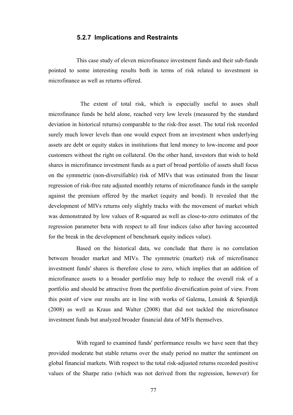### **5.2.7 Implications and Restraints**

This case study of eleven microfinance investment funds and their sub-funds pointed to some interesting results both in terms of risk related to investment in microfinance as well as returns offered.

 The extent of total risk, which is especially useful to asses shall microfinance funds be held alone, reached very low levels (measured by the standard deviation in historical returns) comparable to the risk-free asset. The total risk recorded surely much lower levels than one would expect from an investment when underlying assets are debt or equity stakes in institutions that lend money to low-income and poor customers without the right on collateral. On the other hand, investors that wish to hold shares in microfinance investment funds as a part of broad portfolio of assets shall focus on the symmetric (non-diversifiable) risk of MIVs that was estimated from the linear regression of risk-free rate adjusted monthly returns of microfinance funds in the sample against the premium offered by the market (equity and bond). It revealed that the development of MIVs returns only slightly tracks with the movement of market which was demonstrated by low values of R-squared as well as close-to-zero estimates of the regression parameter beta with respect to all four indices (also after having accounted for the break in the development of benchmark equity indices value).

Based on the historical data, we conclude that there is no correlation between broader market and MIVs. The symmetric (market) risk of microfinance investment funds' shares is therefore close to zero, which implies that an addition of microfinance assets to a broader portfolio may help to reduce the overall risk of a portfolio and should be attractive from the portfolio diversification point of view. From this point of view our results are in line with works of Galema, Lensink & Spierdijk (2008) as well as Kraus and Walter (2008) that did not tackled the microfinance investment funds but analyzed broader financial data of MFIs themselves.

With regard to examined funds' performance results we have seen that they provided moderate but stable returns over the study period no matter the sentiment on global financial markets. With respect to the total risk-adjusted returns recorded positive values of the Sharpe ratio (which was not derived from the regression, however) for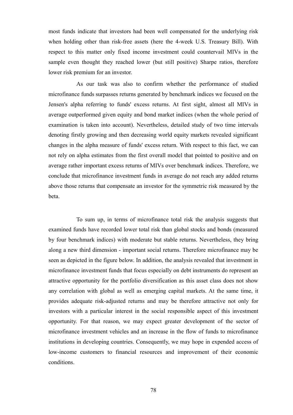most funds indicate that investors had been well compensated for the underlying risk when holding other than risk-free assets (here the 4-week U.S. Treasury Bill). With respect to this matter only fixed income investment could countervail MIVs in the sample even thought they reached lower (but still positive) Sharpe ratios, therefore lower risk premium for an investor.

As our task was also to confirm whether the performance of studied microfinance funds surpasses returns generated by benchmark indices we focused on the Jensen's alpha referring to funds' excess returns. At first sight, almost all MIVs in average outperformed given equity and bond market indices (when the whole period of examination is taken into account). Nevertheless, detailed study of two time intervals denoting firstly growing and then decreasing world equity markets revealed significant changes in the alpha measure of funds' excess return. With respect to this fact, we can not rely on alpha estimates from the first overall model that pointed to positive and on average rather important excess returns of MIVs over benchmark indices. Therefore, we conclude that microfinance investment funds in average do not reach any added returns above those returns that compensate an investor for the symmetric risk measured by the beta.

To sum up, in terms of microfinance total risk the analysis suggests that examined funds have recorded lower total risk than global stocks and bonds (measured by four benchmark indices) with moderate but stable returns. Nevertheless, they bring along a new third dimension - important social returns. Therefore microfinance may be seen as depicted in the figure below. In addition, the analysis revealed that investment in microfinance investment funds that focus especially on debt instruments do represent an attractive opportunity for the portfolio diversification as this asset class does not show any correlation with global as well as emerging capital markets. At the same time, it provides adequate risk-adjusted returns and may be therefore attractive not only for investors with a particular interest in the social responsible aspect of this investment opportunity. For that reason, we may expect greater development of the sector of microfinance investment vehicles and an increase in the flow of funds to microfinance institutions in developing countries. Consequently, we may hope in expended access of low-income customers to financial resources and improvement of their economic conditions.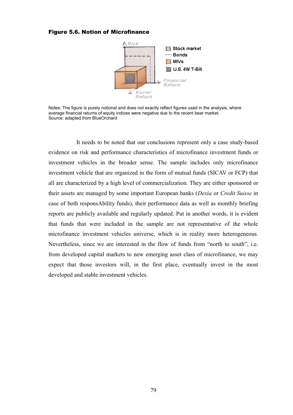#### Figure 5.6. Notion of Microfinance



Notes: The figure is purely notional and does not exactly reflect figures used in the analysis, where average financial returns of equity indices were negative due to the recent bear market. Source: adapted from BlueOrchard

It needs to be noted that our conclusions represent only a case study-based evidence on risk and performance characteristics of microfinance investment funds or investment vehicles in the broader sense. The sample includes only microfinance investment vehicle that are organized in the form of mutual funds (SICAV or FCP) that all are characterized by a high level of commercialization. They are either sponsored or their assets are managed by some important European banks (*Dexia* or *Credit Suisse* in case of both responsAbility funds), their performance data as well as monthly briefing reports are publicly available and regularly updated. Put in another words, it is evident that funds that were included in the sample are not representative of the whole microfinance investment vehicles universe, which is in reality more heterogeneous. Nevertheless, since we are interested in the flow of funds from "north to south", i.e. from developed capital markets to new emerging asset class of microfinance, we may expect that those investors will, in the first place, eventually invest in the most developed and stable investment vehicles.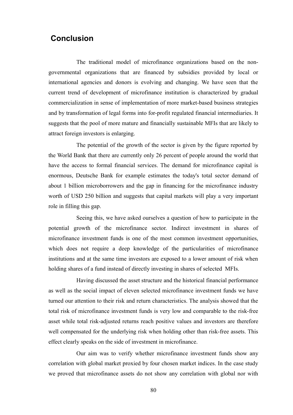# **Conclusion**

The traditional model of microfinance organizations based on the nongovernmental organizations that are financed by subsidies provided by local or international agencies and donors is evolving and changing. We have seen that the current trend of development of microfinance institution is characterized by gradual commercialization in sense of implementation of more market-based business strategies and by transformation of legal forms into for-profit regulated financial intermediaries. It suggests that the pool of more mature and financially sustainable MFIs that are likely to attract foreign investors is enlarging.

The potential of the growth of the sector is given by the figure reported by the World Bank that there are currently only 26 percent of people around the world that have the access to formal financial services. The demand for microfinance capital is enormous, Deutsche Bank for example estimates the today's total sector demand of about 1 billion microborrowers and the gap in financing for the microfinance industry worth of USD 250 billion and suggests that capital markets will play a very important role in filling this gap.

Seeing this, we have asked ourselves a question of how to participate in the potential growth of the microfinance sector. Indirect investment in shares of microfinance investment funds is one of the most common investment opportunities, which does not require a deep knowledge of the particularities of microfinance institutions and at the same time investors are exposed to a lower amount of risk when holding shares of a fund instead of directly investing in shares of selected MFIs.

Having discussed the asset structure and the historical financial performance as well as the social impact of eleven selected microfinance investment funds we have turned our attention to their risk and return characteristics. The analysis showed that the total risk of microfinance investment funds is very low and comparable to the risk-free asset while total risk-adjusted returns reach positive values and investors are therefore well compensated for the underlying risk when holding other than risk-free assets. This effect clearly speaks on the side of investment in microfinance.

Our aim was to verify whether microfinance investment funds show any correlation with global market proxied by four chosen market indices. In the case study we proved that microfinance assets do not show any correlation with global nor with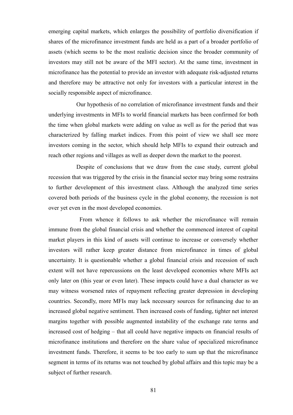emerging capital markets, which enlarges the possibility of portfolio diversification if shares of the microfinance investment funds are held as a part of a broader portfolio of assets (which seems to be the most realistic decision since the broader community of investors may still not be aware of the MFI sector). At the same time, investment in microfinance has the potential to provide an investor with adequate risk-adjusted returns and therefore may be attractive not only for investors with a particular interest in the socially responsible aspect of microfinance.

Our hypothesis of no correlation of microfinance investment funds and their underlying investments in MFIs to world financial markets has been confirmed for both the time when global markets were adding on value as well as for the period that was characterized by falling market indices. From this point of view we shall see more investors coming in the sector, which should help MFIs to expand their outreach and reach other regions and villages as well as deeper down the market to the poorest.

Despite of conclusions that we draw from the case study, current global recession that was triggered by the crisis in the financial sector may bring some restrains to further development of this investment class. Although the analyzed time series covered both periods of the business cycle in the global economy, the recession is not over yet even in the most developed economies.

 From whence it follows to ask whether the microfinance will remain immune from the global financial crisis and whether the commenced interest of capital market players in this kind of assets will continue to increase or conversely whether investors will rather keep greater distance from microfinance in times of global uncertainty. It is questionable whether a global financial crisis and recession of such extent will not have repercussions on the least developed economies where MFIs act only later on (this year or even later). These impacts could have a dual character as we may witness worsened rates of repayment reflecting greater depression in developing countries. Secondly, more MFIs may lack necessary sources for refinancing due to an increased global negative sentiment. Then increased costs of funding, tighter net interest margins together with possible augmented instability of the exchange rate terms and increased cost of hedging – that all could have negative impacts on financial results of microfinance institutions and therefore on the share value of specialized microfinance investment funds. Therefore, it seems to be too early to sum up that the microfinance segment in terms of its returns was not touched by global affairs and this topic may be a subject of further research.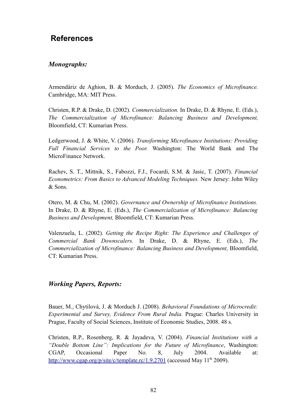# **References**

# *Monographs:*

Armendáriz de Aghion, B. & Morduch, J. (2005). *The Economics of Microfinance.* Cambridge, MA: MIT Press.

Christen, R.P. & Drake, D. (2002). *Commercialization.* In Drake, D. & Rhyne, E. (Eds.), *The Commercialization of Microfinance: Balancing Business and Development,* Bloomfield, CT: Kumarian Press.

Ledgerwood, J. & White, V. (2006). *Transforming Microfinance Institutions: Providing Full Financial Services to the Poor.* Washington: The World Bank and The MicroFinance Network.

Rachev, S. T., Mittnik, S., Fabozzi, F.J., Focardi, S.M. & Jasic, T. (2007). *Financial Econometrics: From Basics to Advanced Modeling Techniques.* New Jersey: John Wiley & Sons.

Otero, M. & Chu, M. (2002). *Governance and Ownership of Microfinance Institutions.* In Drake, D. & Rhyne, E. (Eds.), *The Commercialization of Microfinance: Balancing Business and Development,* Bloomfield, CT: Kumarian Press.

Valenzuela, L. (2002). *Getting the Recipe Right: The Experience and Challenges of Commercial Bank Downscalers.* In Drake, D. & Rhyne, E. (Eds.), *The Commercialization of Microfinance: Balancing Business and Development,* Bloomfield, CT: Kumarian Press.

## *Working Papers, Reports:*

Bauer, M., Chytilová, J. & Morduch J. (2008). *Behavioral Foundations of Microcredit: Experimental and Survey, Evidence From Rural India.* Prague: Charles University in Prague, Faculty of Social Sciences, Institute of Economic Studies, 2008. 48 s.

Christen, R.P., Rosenberg, R. & Jayadeva, V. (2004). *Financial Institutions with a "Double Bottom Line": Implications for the Future of Microfinance*, Washington: CGAP, Occasional Paper No. 8, July 2004. Available at: <http://www.cgap.org/p/site/c/template.rc/1.9.2701> (accessed May  $11<sup>th</sup>$  2009).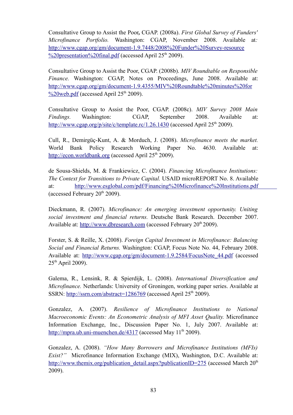Consultative Group to Assist the Poor*,* CGAP. (2008a). *First Global Survey of Funders' Microfinance Portfolio.* Washington: CGAP, November 2008. Available at*:* [http://www.cgap.org/gm/document-1.9.7448/2008%20Funder%20Survey-resource](http://www.cgap.org/gm/document-1.9.7448/2008%20Funder%20Survey-resource%20presentation%20final.pdf)  $\frac{\%200}{\%200}$  resentation  $\frac{\%20$  final.pdf (accessed April 25<sup>th</sup> 2009).

Consultative Group to Assist the Poor, CGAP. (2008b). *MIV Roundtable on Responsible Finance.* Washington: CGAP, Notes on Proceedings, June 2008. Available at: [http://www.cgap.org/gm/document-1.9.4355/MIV%20Roundtable%20minutes%20for](http://www.cgap.org/gm/document-1.9.4355/MIV%20Roundtable%20minutes%20for%20web.pdf)  $\frac{\%20 \text{web.pdf}}{\%20 \text{web.pdf}}$  (accessed April 25<sup>th</sup> 2009).

Consultative Group to Assist the Poor, CGAP. (2008c). *MIV Survey 2008 Main Findings.* Washington: CGAP, September 2008. Available at: <http://www.cgap.org/p/site/c/template.rc/1.26.1430>(accessed April 25<sup>th</sup> 2009).

Cull, R., Demirgüç-Kunt, A. & Morduch, J. (2008). *Microfinance meets the market.* World Bank Policy Research Working Paper No. 4630. Available at: [http://econ.worldbank.org](http://econ.worldbank.org/) (accessed April  $25<sup>th</sup> 2009$ ).

de Sousa-Shields, M. & Frankiewicz, C. (2004). *Financing Microfinance Institutions: The Context for Transitions to Private Capital.* USAID microREPORT No. 8. Available at:<http://www.esglobal.com/pdf/Financing%20Microfinance%20Institutions.pdf> (accessed February  $20<sup>th</sup> 2009$ ).

Dieckmann, R. (2007). *Microfinance: An emerging investment opportunity. Uniting social investment and financial returns.* Deutsche Bank Research. December 2007. Available at: [http://www.dbresearch.com](http://www.dbresearch.com/) (accessed February 20<sup>th</sup> 2009).

Forster, S. & Reille, X. (2008). *Foreign Capital Investment in Microfinance: Balancing Social and Financial Returns.* Washington: CGAP, Focus Note No. 44, February 2008. Available at: [http://www.cgap.org/gm/document-1.9.2584/FocusNote\\_44.pdf](http://www.cgap.org/gm/document-1.9.2584/FocusNote_44.pdf) (accessed  $25<sup>th</sup>$  April 2009).

Galema, R., Lensink, R. & Spierdijk, L. (2008). *International Diversification and Microfinance.* Netherlands: University of Groningen, working paper series. Available at SSRN:<http://ssrn.com/abstract=1286769> (accessed April 25<sup>th</sup> 2009).

Gonzalez, A. (2007). *Resilience of Microfinance Institutions to National Macroeconomic Events: An Econometric Analysis of MFI Asset Quality.* Microfinance Information Exchange, Inc., Discussion Paper No. 1, July 2007. Available at: <http://mpra.ub.uni-muenchen.de/4317>(accessed May  $11<sup>th</sup> 2009$ ).

Gonzalez, A. (2008). *"How Many Borrowers and Microfinance Institutions (MFIs) Exist?"* Microfinance Information Exchange (MIX), Washington, D.C. Available at: [http://www.themix.org/publication\\_detail.aspx?publicationID=275](http://www.themix.org/publication_detail.aspx?publicationID=275) (accessed March 20<sup>th</sup>) 2009).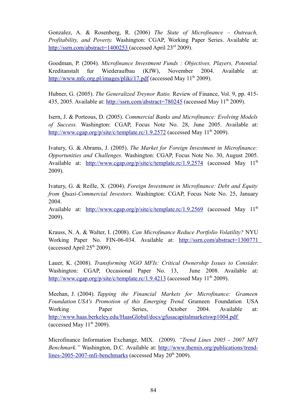Gonzalez, A. & Rosenberg, R. (2006) *The State of Microfinance – Outreach, Profitability, and Poverty.* Washington: CGAP, Working Paper Series. Available at: http://ssrn.com/abstract=1400253 (accessed April 23<sup>rd</sup> 2009).

Goodman, P. (2004). *Microfinance Investment Funds : Objectives, Players, Potential.* Kreditanstalt fur Wiederaufbau (KfW), November 2004. Available at: <http://www.mfc.org.pl/images/pliki/17.pdf>(accessed May  $11<sup>th</sup> 2009$ ).

Hubner, G. (2005). *The Generalized Treynor Ratio.* Review of Finance, Vol. 9, pp. 415 435, 2005. Available at:<http://ssrn.com/abstract=780245> (accessed May  $11<sup>th</sup>$  2009).

Isern, J. & Porteous, D. (2005). *Commercial Banks and Microfinance: Evolving Models of Success.* Washington: CGAP, Focus Note No. 28, June 2005. Available at: <http://www.cgap.org/p/site/c/template.rc/1.9.2572> (accessed May  $11<sup>th</sup>$  2009).

Ivatury, G. & Abrams, J. (2005). *The Market for Foreign Investment in Microfinance: Opportunities and Challenges.* Washington: CGAP, Focus Note No. 30, August 2005. Available at:<http://www.cgap.org/p/site/c/template.rc/1.9.2574> (accessed May 11<sup>th</sup>) 2009).

Ivatury, G. & Reille, X. (2004). *Foreign Investment in Microfinance: Debt and Equity from Quasi-Commercial Investors.* Washington: CGAP, Focus Note No. 25, January 2004.

Available at:<http://www.cgap.org/p/site/c/template.rc/1.9.2569> (accessed May 11<sup>th</sup>) 2009).

Krauss, N. A. & Walter, I. (2008). *Can Microfinance Reduce Portfolio Volatility?* NYU Working Paper No. FIN-06-034. Available at:<http://ssrn.com/abstract=1300771> (accessed April  $25<sup>th</sup> 2009$ ).

Lauer, K. (2008). *Transforming NGO MFIs: Critical Ownership Issues to Consider*. Washington: CGAP, Occasional Paper No. 13, June 2008. Available at: [http://www.cgap.org/p/site/c/template.rc/1.9.4213](http://www.cgap.org/p/site/c/template.rc/1.9.2701) (accessed May  $11<sup>th</sup> 2009$ ).

Meehan, J. (2004). *Tapping the Financial Markets for Microfinance: Grameen Foundation USA's Promotion of this Emerging Trend.* Grameen Foundation USA Working Paper Series, October 2004. Available at: <http://www.haas.berkeley.edu/HaasGlobal/docs/gfusacapitalmarketswp1004.pdf> (accessed May  $11<sup>th</sup> 2009$ ).

Microfinance Information Exchange, MIX. (2009). *"Trend Lines 2005 - 2007 MFI Benchmark."* Washington, D.C. Available at: [http://www.themix.org/publications/trend](http://www.themix.org/publications/trend-lines-2005-2007-mfi-benchmarks)[lines-2005-2007-mfi-benchmarks](http://www.themix.org/publications/trend-lines-2005-2007-mfi-benchmarks) (accessed May  $20<sup>th</sup> 2009$ ).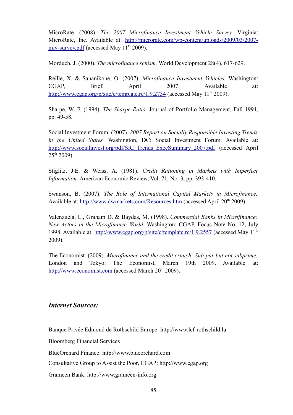MicroRate. (2008). *The 2007 Microfinance Investment Vehicle Survey.* Virginia: MicroRate, Inc. Available at: [http://microrate.com/wp-content/uploads/2009/03/2007](http://microrate.com/wp-content/uploads/2009/03/2007-miv-survey.pdf) [miv-survey.pdf](http://microrate.com/wp-content/uploads/2009/03/2007-miv-survey.pdf) (accessed May  $11<sup>th</sup> 2009$ ).

Morduch, J. (2000). *The microfinance schism.* World Development 28(4), 617-629.

Reille, X. & Sananikone, O. (2007). *Microfinance Investment Vehicles.* Washington: CGAP, Brief, April 2007. Available at: <http://www.cgap.org/p/site/c/template.rc/1.9.2734> (accessed May  $11<sup>th</sup> 2009$ ).

Sharpe, W. F. (1994). *The Sharpe Ratio.* Journal of Portfolio Management, Fall 1994, pp. 49-58.

Social Investment Forum. (2007). *2007 Report on Socially Responsible Investing Trends in the United States.* Washington, DC: Social Investment Forum. Available at: http://www.socialinvest.org/pdf/SRI Trends ExecSummary 2007.pdf (accessed April  $25^{th}$  2009).

Stiglitz, J.E. & Weiss, A. (1981). *Credit Rationing in Markets with Imperfect Information.* American Economic Review, Vol. 71, No. 3, pp. 393-410.

Swanson, B. (2007). *The Role of International Capital Markets in Microfinance.* Available at: <http://www.dwmarkets.com/Resources.htm>(accessed April 20<sup>th</sup> 2009).

Valenzuela, L., Graham D. & Baydas, M. (1998). *Commercial Banks in Microfinance: New Actors in the Microfinance World.* Washington: CGAP, Focus Note No. 12, July 1998. Available at:<http://www.cgap.org/p/site/c/template.rc/1.9.2557>(accessed May 11th 2009).

The Economist. (2009). *Microfinance and the credit crunch: Sub-par but not subprime.* London and Tokyo: The Economist, March 19th 2009. Available at: [http://www.economist.com](http://www.economist.com/) (accessed March 20<sup>th</sup> 2009).

## *Internet Sources:*

Banque Privée Edmond de Rothschild Europe: http://www.lcf-rothschild.lu

Bloomberg Financial Services

BlueOrchard Finance: http://www.blueorchard.com

Consultative Group to Assist the Poor*,* CGAP: http://www.cgap.org

Grameen Bank: http://www.grameen-info.org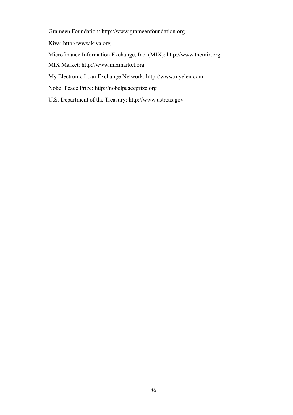Grameen Foundation: http://www.grameenfoundation.org

Kiva: http://www.kiva.org

Microfinance Information Exchange, Inc. (MIX): http://www.themix.org

MIX Market: http://www.mixmarket.org

My Electronic Loan Exchange Network: http://www.myelen.com

Nobel Peace Prize: http://nobelpeaceprize.org

U.S. Department of the Treasury: http://www.ustreas.gov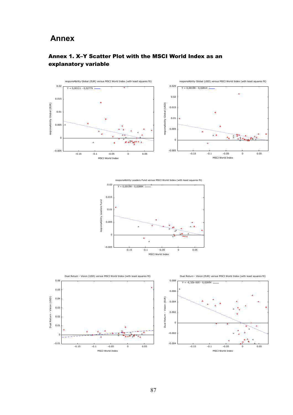# **Annex**



## Annex 1. X–Y Scatter Plot with the MSCI World Index as an explanatory variable